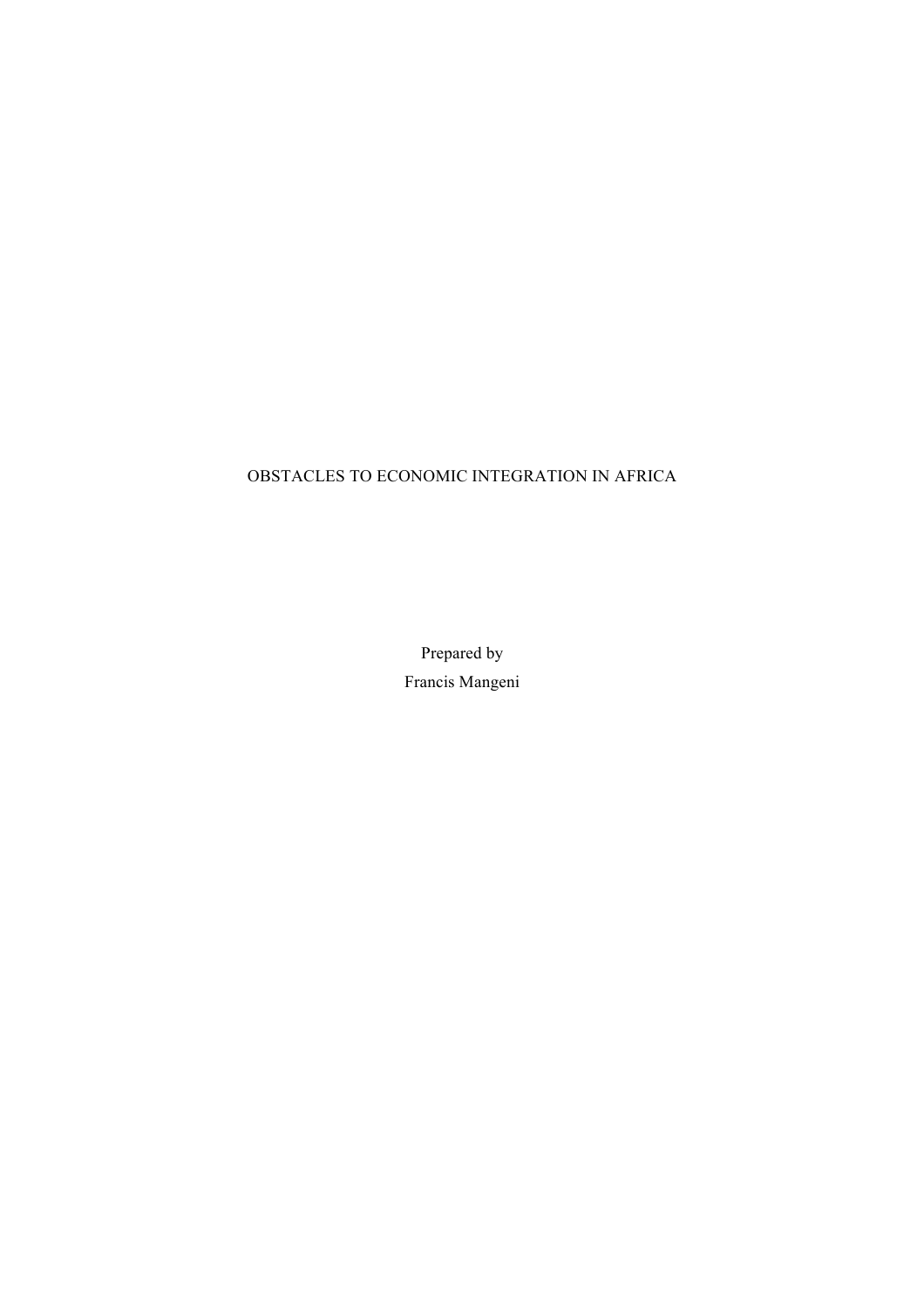# OBSTACLES TO ECONOMIC INTEGRATION IN AFRICA

Prepared by Francis Mangeni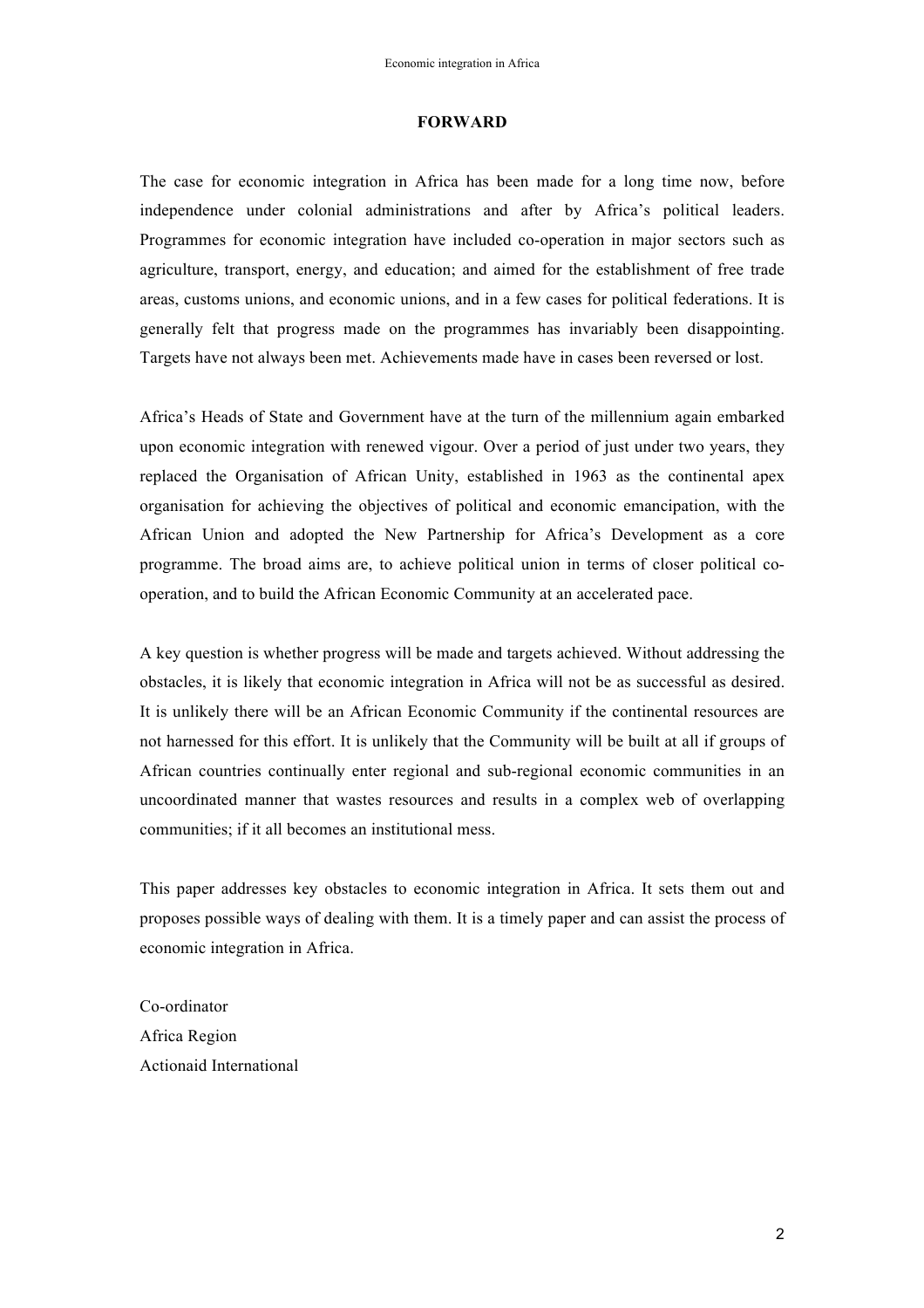#### **FORWARD**

The case for economic integration in Africa has been made for a long time now, before independence under colonial administrations and after by Africa's political leaders. Programmes for economic integration have included co-operation in major sectors such as agriculture, transport, energy, and education; and aimed for the establishment of free trade areas, customs unions, and economic unions, and in a few cases for political federations. It is generally felt that progress made on the programmes has invariably been disappointing. Targets have not always been met. Achievements made have in cases been reversed or lost.

Africa's Heads of State and Government have at the turn of the millennium again embarked upon economic integration with renewed vigour. Over a period of just under two years, they replaced the Organisation of African Unity, established in 1963 as the continental apex organisation for achieving the objectives of political and economic emancipation, with the African Union and adopted the New Partnership for Africa's Development as a core programme. The broad aims are, to achieve political union in terms of closer political cooperation, and to build the African Economic Community at an accelerated pace.

A key question is whether progress will be made and targets achieved. Without addressing the obstacles, it is likely that economic integration in Africa will not be as successful as desired. It is unlikely there will be an African Economic Community if the continental resources are not harnessed for this effort. It is unlikely that the Community will be built at all if groups of African countries continually enter regional and sub-regional economic communities in an uncoordinated manner that wastes resources and results in a complex web of overlapping communities; if it all becomes an institutional mess.

This paper addresses key obstacles to economic integration in Africa. It sets them out and proposes possible ways of dealing with them. It is a timely paper and can assist the process of economic integration in Africa.

Co-ordinator Africa Region Actionaid International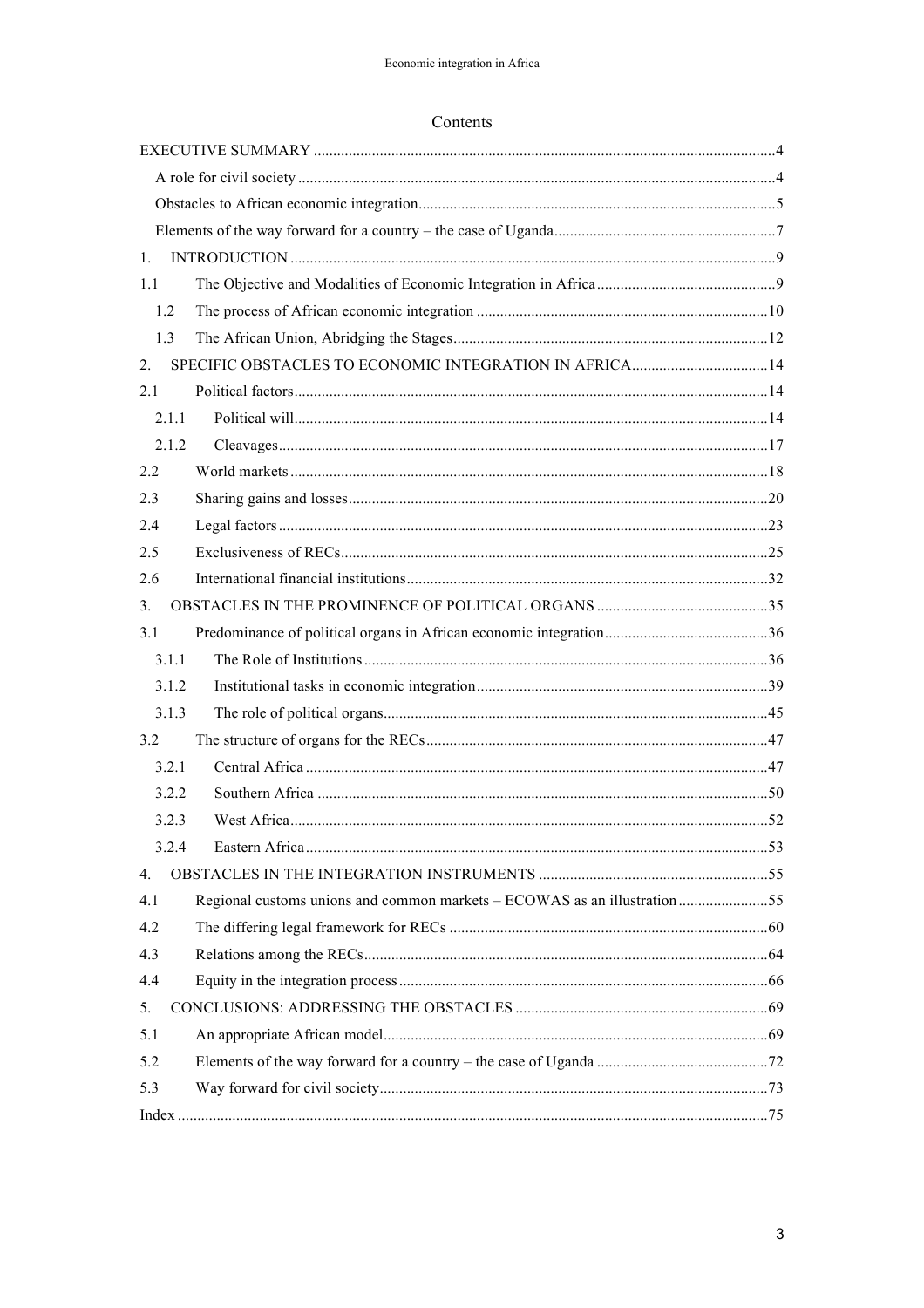# Contents

| 1.          |                                                                           |  |  |  |
|-------------|---------------------------------------------------------------------------|--|--|--|
| 1.1         |                                                                           |  |  |  |
| 1.2         |                                                                           |  |  |  |
| 1.3         |                                                                           |  |  |  |
| 2.          | SPECIFIC OBSTACLES TO ECONOMIC INTEGRATION IN AFRICA 14                   |  |  |  |
| 2.1         |                                                                           |  |  |  |
| 2.1.1       |                                                                           |  |  |  |
| 2.1.2       |                                                                           |  |  |  |
| 2.2         |                                                                           |  |  |  |
| 2.3         |                                                                           |  |  |  |
| 2.4         |                                                                           |  |  |  |
| 2.5         |                                                                           |  |  |  |
| 2.6         |                                                                           |  |  |  |
| 3.          |                                                                           |  |  |  |
| 3.1         |                                                                           |  |  |  |
| 3.1.1       |                                                                           |  |  |  |
| 3.1.2       |                                                                           |  |  |  |
| 3.1.3       |                                                                           |  |  |  |
| 3.2         |                                                                           |  |  |  |
| 3.2.1       |                                                                           |  |  |  |
| 3.2.2       |                                                                           |  |  |  |
| 3.2.3       |                                                                           |  |  |  |
| 3.2.4       |                                                                           |  |  |  |
| $4_{\cdot}$ |                                                                           |  |  |  |
| 4.1         | Regional customs unions and common markets – ECOWAS as an illustration 55 |  |  |  |
| 4.2         |                                                                           |  |  |  |
| 4.3         |                                                                           |  |  |  |
| 4.4         |                                                                           |  |  |  |
| 5.          |                                                                           |  |  |  |
| 5.1         |                                                                           |  |  |  |
| 5.2         |                                                                           |  |  |  |
| 5.3         |                                                                           |  |  |  |
|             |                                                                           |  |  |  |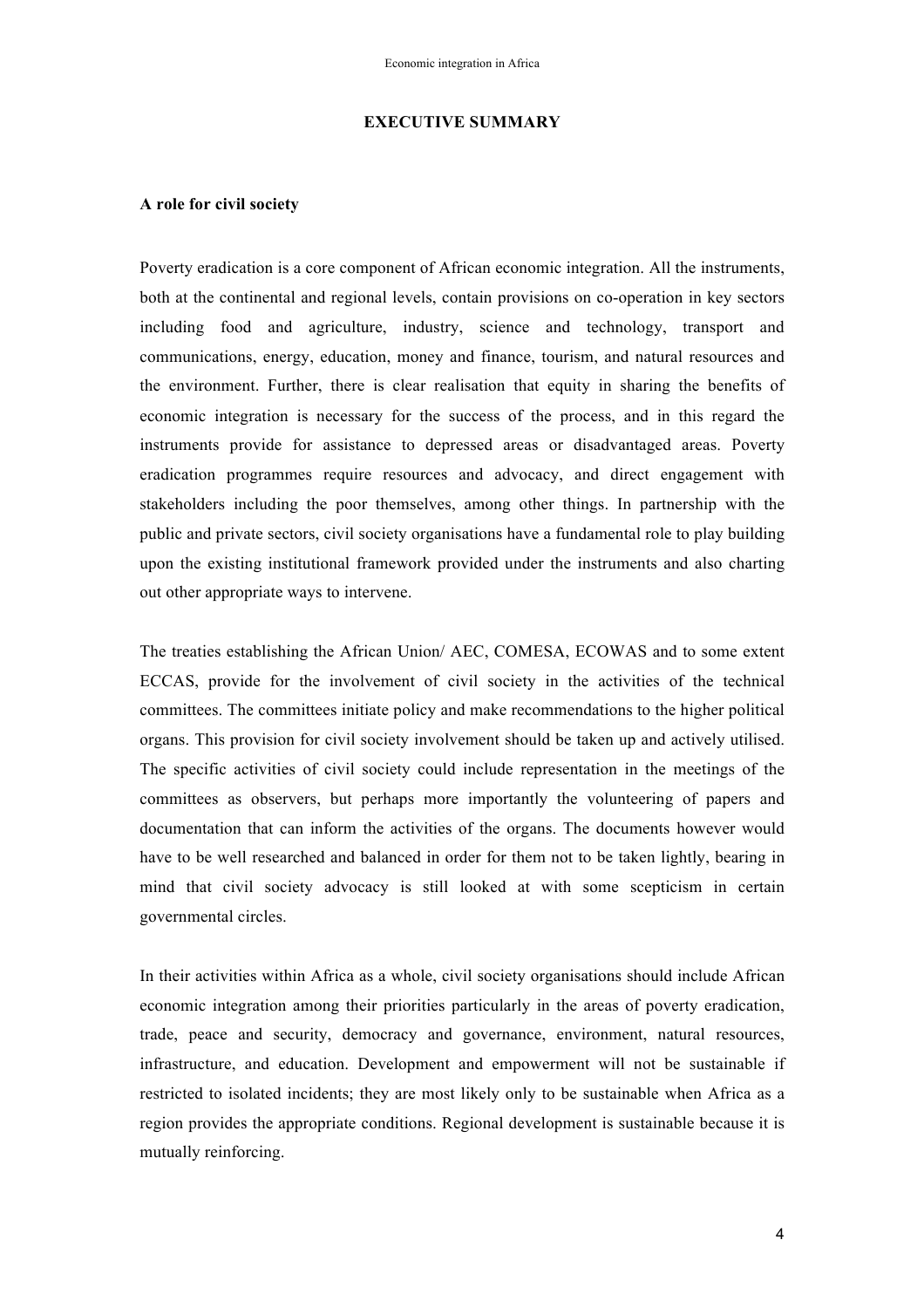#### **EXECUTIVE SUMMARY**

### **A role for civil society**

Poverty eradication is a core component of African economic integration. All the instruments, both at the continental and regional levels, contain provisions on co-operation in key sectors including food and agriculture, industry, science and technology, transport and communications, energy, education, money and finance, tourism, and natural resources and the environment. Further, there is clear realisation that equity in sharing the benefits of economic integration is necessary for the success of the process, and in this regard the instruments provide for assistance to depressed areas or disadvantaged areas. Poverty eradication programmes require resources and advocacy, and direct engagement with stakeholders including the poor themselves, among other things. In partnership with the public and private sectors, civil society organisations have a fundamental role to play building upon the existing institutional framework provided under the instruments and also charting out other appropriate ways to intervene.

The treaties establishing the African Union/ AEC, COMESA, ECOWAS and to some extent ECCAS, provide for the involvement of civil society in the activities of the technical committees. The committees initiate policy and make recommendations to the higher political organs. This provision for civil society involvement should be taken up and actively utilised. The specific activities of civil society could include representation in the meetings of the committees as observers, but perhaps more importantly the volunteering of papers and documentation that can inform the activities of the organs. The documents however would have to be well researched and balanced in order for them not to be taken lightly, bearing in mind that civil society advocacy is still looked at with some scepticism in certain governmental circles.

In their activities within Africa as a whole, civil society organisations should include African economic integration among their priorities particularly in the areas of poverty eradication, trade, peace and security, democracy and governance, environment, natural resources, infrastructure, and education. Development and empowerment will not be sustainable if restricted to isolated incidents; they are most likely only to be sustainable when Africa as a region provides the appropriate conditions. Regional development is sustainable because it is mutually reinforcing.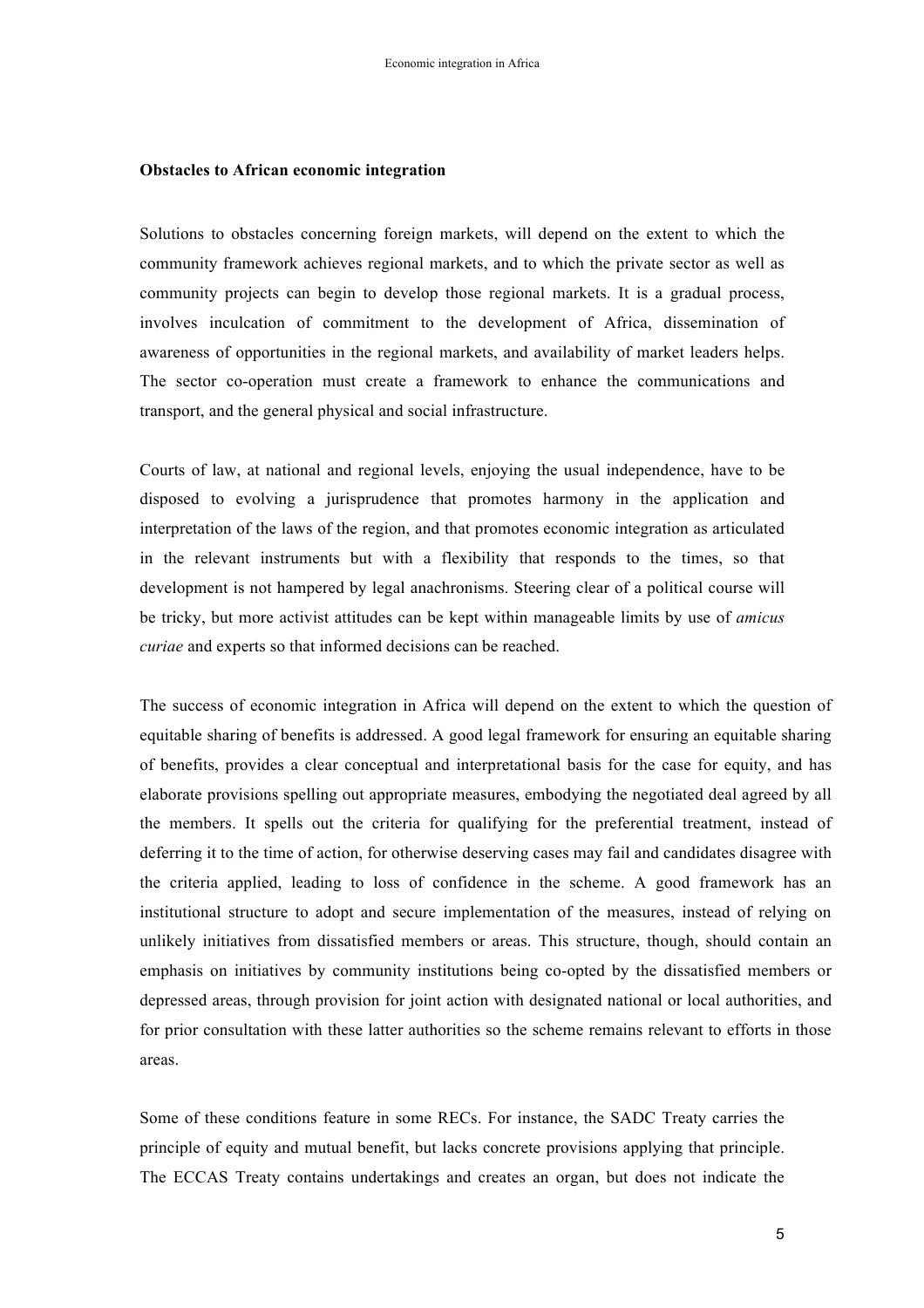#### **Obstacles to African economic integration**

Solutions to obstacles concerning foreign markets, will depend on the extent to which the community framework achieves regional markets, and to which the private sector as well as community projects can begin to develop those regional markets. It is a gradual process, involves inculcation of commitment to the development of Africa, dissemination of awareness of opportunities in the regional markets, and availability of market leaders helps. The sector co-operation must create a framework to enhance the communications and transport, and the general physical and social infrastructure.

Courts of law, at national and regional levels, enjoying the usual independence, have to be disposed to evolving a jurisprudence that promotes harmony in the application and interpretation of the laws of the region, and that promotes economic integration as articulated in the relevant instruments but with a flexibility that responds to the times, so that development is not hampered by legal anachronisms. Steering clear of a political course will be tricky, but more activist attitudes can be kept within manageable limits by use of *amicus curiae* and experts so that informed decisions can be reached.

The success of economic integration in Africa will depend on the extent to which the question of equitable sharing of benefits is addressed. A good legal framework for ensuring an equitable sharing of benefits, provides a clear conceptual and interpretational basis for the case for equity, and has elaborate provisions spelling out appropriate measures, embodying the negotiated deal agreed by all the members. It spells out the criteria for qualifying for the preferential treatment, instead of deferring it to the time of action, for otherwise deserving cases may fail and candidates disagree with the criteria applied, leading to loss of confidence in the scheme. A good framework has an institutional structure to adopt and secure implementation of the measures, instead of relying on unlikely initiatives from dissatisfied members or areas. This structure, though, should contain an emphasis on initiatives by community institutions being co-opted by the dissatisfied members or depressed areas, through provision for joint action with designated national or local authorities, and for prior consultation with these latter authorities so the scheme remains relevant to efforts in those areas.

Some of these conditions feature in some RECs. For instance, the SADC Treaty carries the principle of equity and mutual benefit, but lacks concrete provisions applying that principle. The ECCAS Treaty contains undertakings and creates an organ, but does not indicate the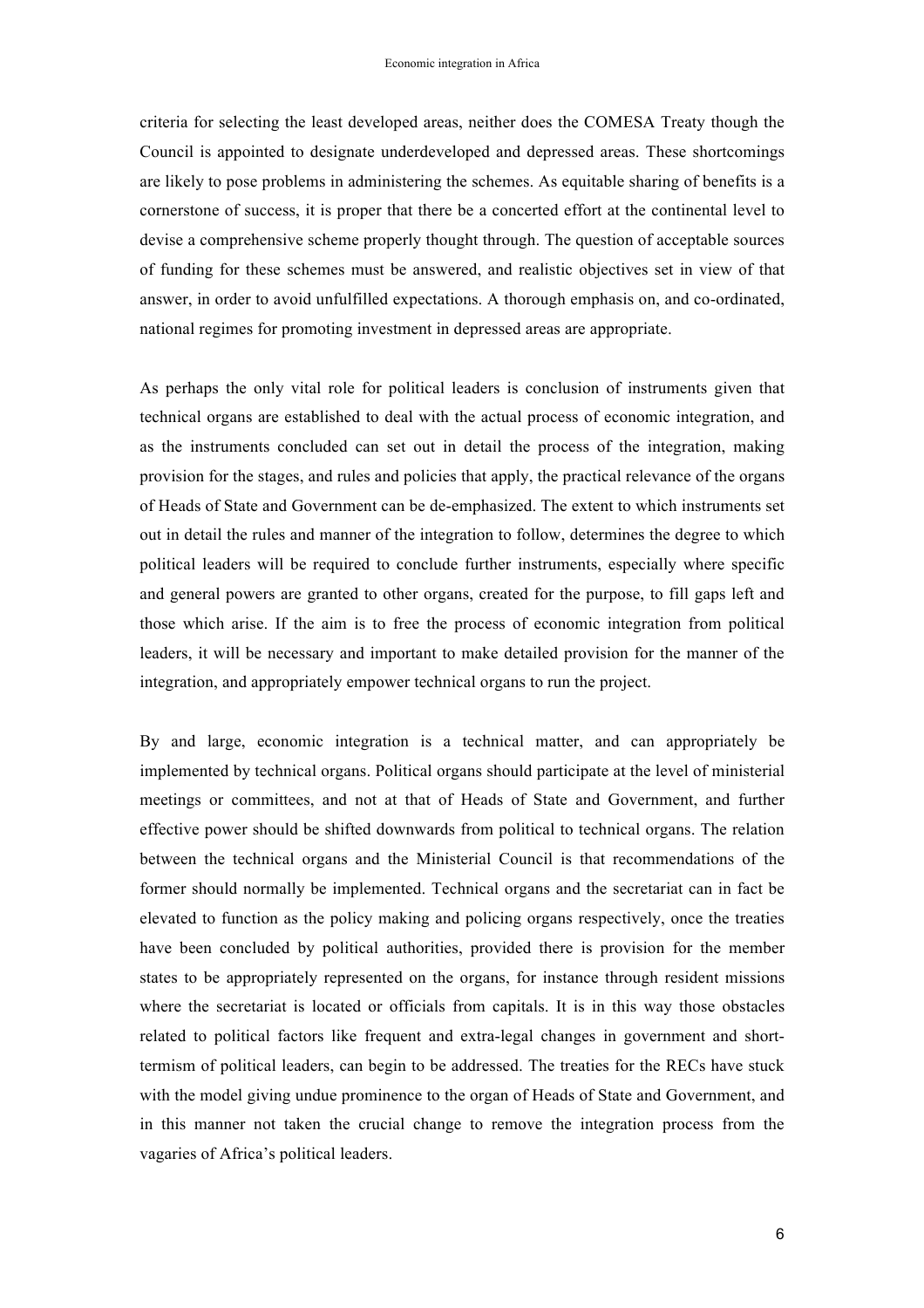criteria for selecting the least developed areas, neither does the COMESA Treaty though the Council is appointed to designate underdeveloped and depressed areas. These shortcomings are likely to pose problems in administering the schemes. As equitable sharing of benefits is a cornerstone of success, it is proper that there be a concerted effort at the continental level to devise a comprehensive scheme properly thought through. The question of acceptable sources of funding for these schemes must be answered, and realistic objectives set in view of that answer, in order to avoid unfulfilled expectations. A thorough emphasis on, and co-ordinated, national regimes for promoting investment in depressed areas are appropriate.

As perhaps the only vital role for political leaders is conclusion of instruments given that technical organs are established to deal with the actual process of economic integration, and as the instruments concluded can set out in detail the process of the integration, making provision for the stages, and rules and policies that apply, the practical relevance of the organs of Heads of State and Government can be de-emphasized. The extent to which instruments set out in detail the rules and manner of the integration to follow, determines the degree to which political leaders will be required to conclude further instruments, especially where specific and general powers are granted to other organs, created for the purpose, to fill gaps left and those which arise. If the aim is to free the process of economic integration from political leaders, it will be necessary and important to make detailed provision for the manner of the integration, and appropriately empower technical organs to run the project.

By and large, economic integration is a technical matter, and can appropriately be implemented by technical organs. Political organs should participate at the level of ministerial meetings or committees, and not at that of Heads of State and Government, and further effective power should be shifted downwards from political to technical organs. The relation between the technical organs and the Ministerial Council is that recommendations of the former should normally be implemented. Technical organs and the secretariat can in fact be elevated to function as the policy making and policing organs respectively, once the treaties have been concluded by political authorities, provided there is provision for the member states to be appropriately represented on the organs, for instance through resident missions where the secretariat is located or officials from capitals. It is in this way those obstacles related to political factors like frequent and extra-legal changes in government and shorttermism of political leaders, can begin to be addressed. The treaties for the RECs have stuck with the model giving undue prominence to the organ of Heads of State and Government, and in this manner not taken the crucial change to remove the integration process from the vagaries of Africa's political leaders.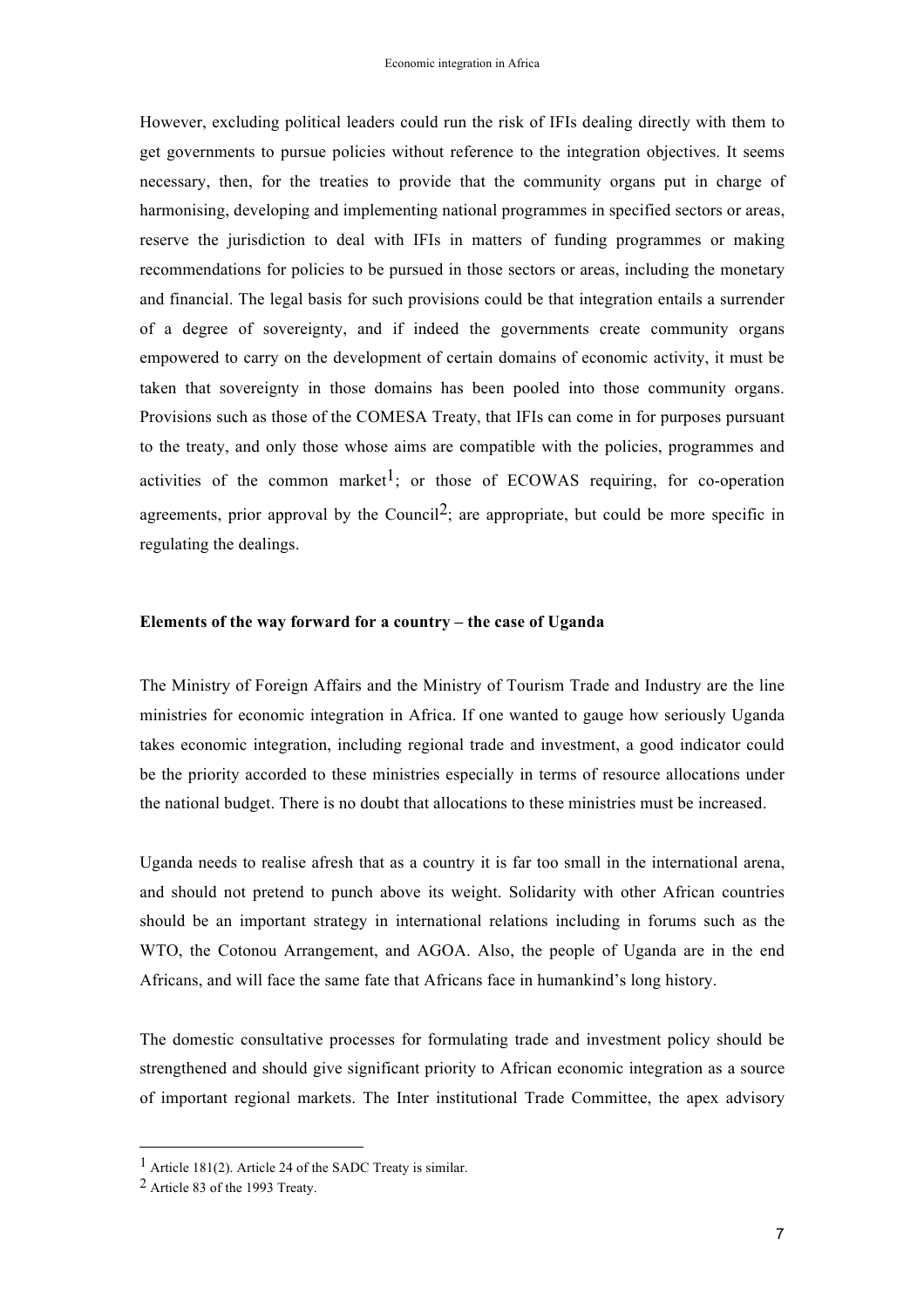However, excluding political leaders could run the risk of IFIs dealing directly with them to get governments to pursue policies without reference to the integration objectives. It seems necessary, then, for the treaties to provide that the community organs put in charge of harmonising, developing and implementing national programmes in specified sectors or areas, reserve the jurisdiction to deal with IFIs in matters of funding programmes or making recommendations for policies to be pursued in those sectors or areas, including the monetary and financial. The legal basis for such provisions could be that integration entails a surrender of a degree of sovereignty, and if indeed the governments create community organs empowered to carry on the development of certain domains of economic activity, it must be taken that sovereignty in those domains has been pooled into those community organs. Provisions such as those of the COMESA Treaty, that IFIs can come in for purposes pursuant to the treaty, and only those whose aims are compatible with the policies, programmes and activities of the common market<sup>1</sup>; or those of ECOWAS requiring, for co-operation agreements, prior approval by the Council<sup>2</sup>; are appropriate, but could be more specific in regulating the dealings.

### **Elements of the way forward for a country – the case of Uganda**

The Ministry of Foreign Affairs and the Ministry of Tourism Trade and Industry are the line ministries for economic integration in Africa. If one wanted to gauge how seriously Uganda takes economic integration, including regional trade and investment, a good indicator could be the priority accorded to these ministries especially in terms of resource allocations under the national budget. There is no doubt that allocations to these ministries must be increased.

Uganda needs to realise afresh that as a country it is far too small in the international arena, and should not pretend to punch above its weight. Solidarity with other African countries should be an important strategy in international relations including in forums such as the WTO, the Cotonou Arrangement, and AGOA. Also, the people of Uganda are in the end Africans, and will face the same fate that Africans face in humankind's long history.

The domestic consultative processes for formulating trade and investment policy should be strengthened and should give significant priority to African economic integration as a source of important regional markets. The Inter institutional Trade Committee, the apex advisory

 $<sup>1</sup>$  Article 181(2). Article 24 of the SADC Treaty is similar.</sup>

<sup>2</sup> Article 83 of the 1993 Treaty.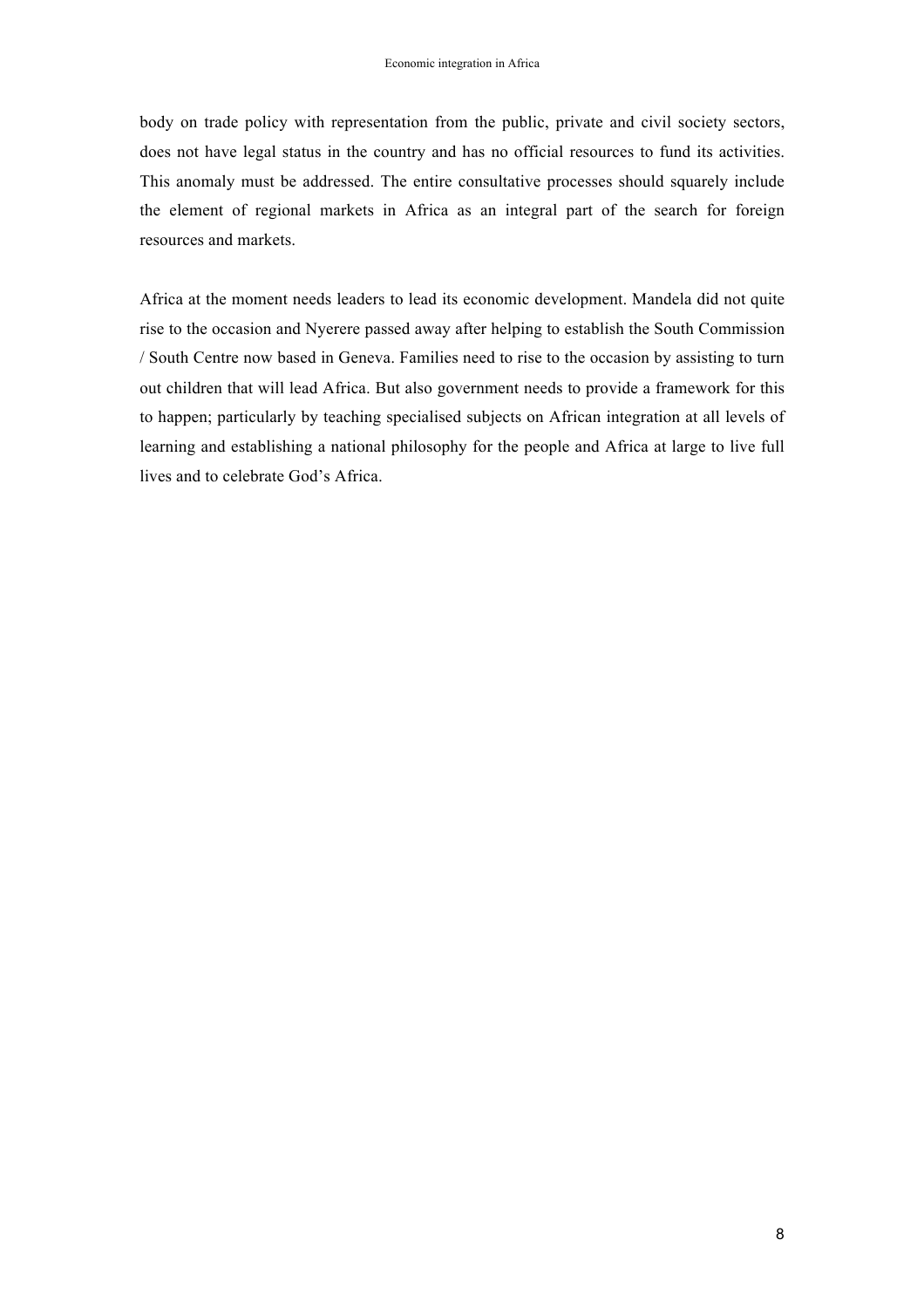body on trade policy with representation from the public, private and civil society sectors, does not have legal status in the country and has no official resources to fund its activities. This anomaly must be addressed. The entire consultative processes should squarely include the element of regional markets in Africa as an integral part of the search for foreign resources and markets.

Africa at the moment needs leaders to lead its economic development. Mandela did not quite rise to the occasion and Nyerere passed away after helping to establish the South Commission / South Centre now based in Geneva. Families need to rise to the occasion by assisting to turn out children that will lead Africa. But also government needs to provide a framework for this to happen; particularly by teaching specialised subjects on African integration at all levels of learning and establishing a national philosophy for the people and Africa at large to live full lives and to celebrate God's Africa.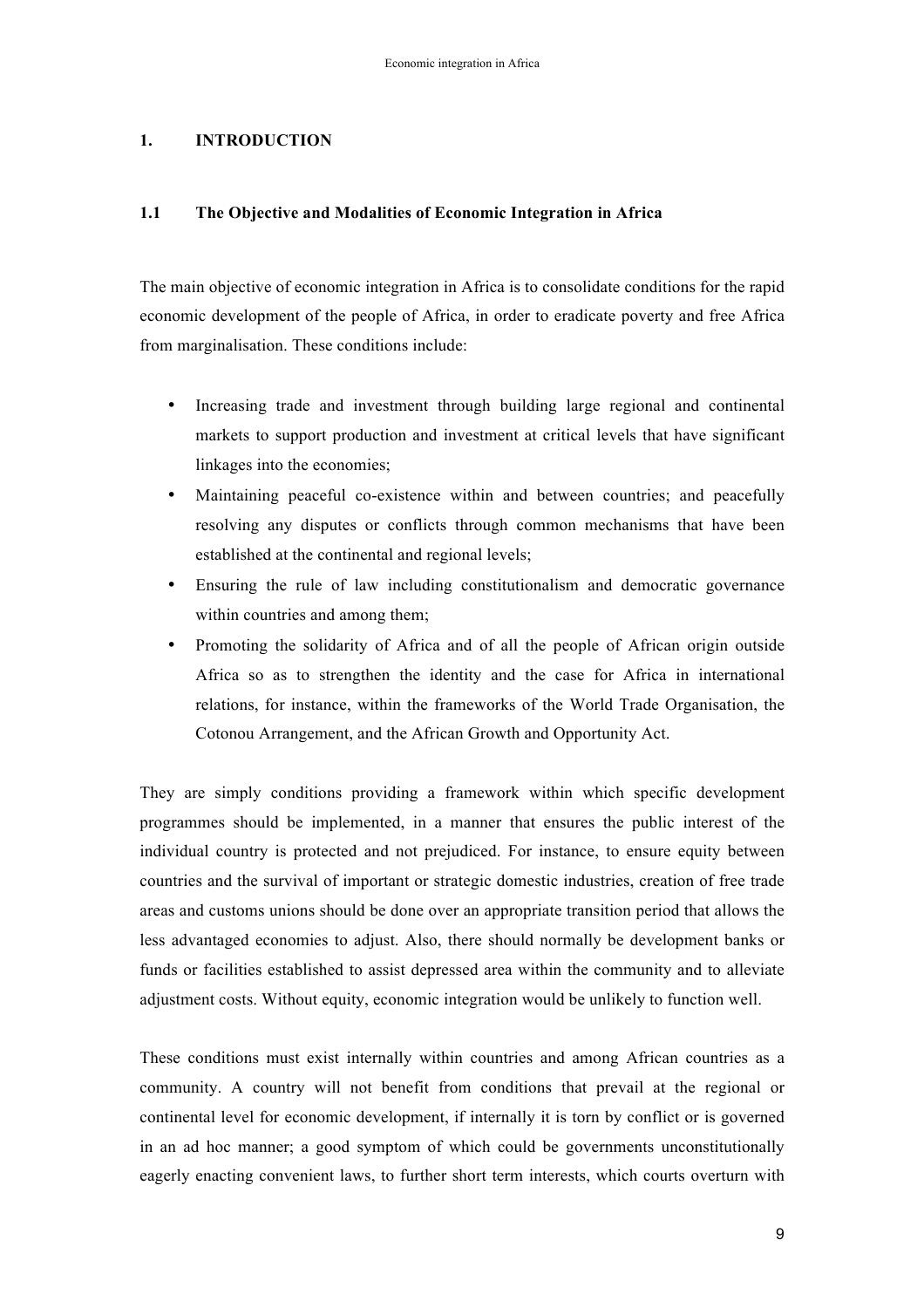# **1. INTRODUCTION**

# **1.1 The Objective and Modalities of Economic Integration in Africa**

The main objective of economic integration in Africa is to consolidate conditions for the rapid economic development of the people of Africa, in order to eradicate poverty and free Africa from marginalisation. These conditions include:

- Increasing trade and investment through building large regional and continental markets to support production and investment at critical levels that have significant linkages into the economies;
- Maintaining peaceful co-existence within and between countries; and peacefully resolving any disputes or conflicts through common mechanisms that have been established at the continental and regional levels;
- Ensuring the rule of law including constitutionalism and democratic governance within countries and among them;
- Promoting the solidarity of Africa and of all the people of African origin outside Africa so as to strengthen the identity and the case for Africa in international relations, for instance, within the frameworks of the World Trade Organisation, the Cotonou Arrangement, and the African Growth and Opportunity Act.

They are simply conditions providing a framework within which specific development programmes should be implemented, in a manner that ensures the public interest of the individual country is protected and not prejudiced. For instance, to ensure equity between countries and the survival of important or strategic domestic industries, creation of free trade areas and customs unions should be done over an appropriate transition period that allows the less advantaged economies to adjust. Also, there should normally be development banks or funds or facilities established to assist depressed area within the community and to alleviate adjustment costs. Without equity, economic integration would be unlikely to function well.

These conditions must exist internally within countries and among African countries as a community. A country will not benefit from conditions that prevail at the regional or continental level for economic development, if internally it is torn by conflict or is governed in an ad hoc manner; a good symptom of which could be governments unconstitutionally eagerly enacting convenient laws, to further short term interests, which courts overturn with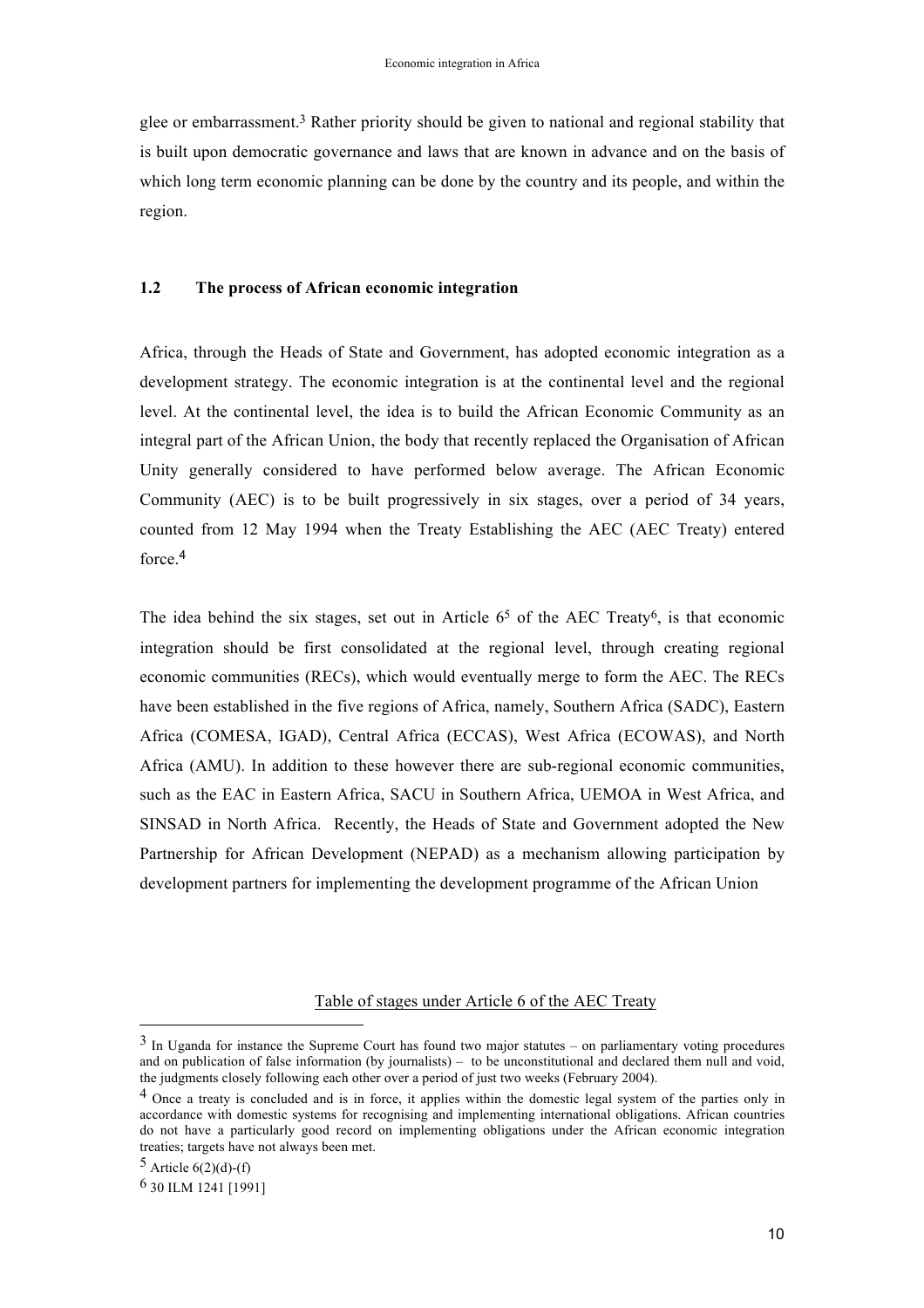glee or embarrassment.<sup>3</sup> Rather priority should be given to national and regional stability that is built upon democratic governance and laws that are known in advance and on the basis of which long term economic planning can be done by the country and its people, and within the region.

# **1.2 The process of African economic integration**

Africa, through the Heads of State and Government, has adopted economic integration as a development strategy. The economic integration is at the continental level and the regional level. At the continental level, the idea is to build the African Economic Community as an integral part of the African Union, the body that recently replaced the Organisation of African Unity generally considered to have performed below average. The African Economic Community (AEC) is to be built progressively in six stages, over a period of 34 years, counted from 12 May 1994 when the Treaty Establishing the AEC (AEC Treaty) entered force 4

The idea behind the six stages, set out in Article  $6<sup>5</sup>$  of the AEC Treaty<sup>6</sup>, is that economic integration should be first consolidated at the regional level, through creating regional economic communities (RECs), which would eventually merge to form the AEC. The RECs have been established in the five regions of Africa, namely, Southern Africa (SADC), Eastern Africa (COMESA, IGAD), Central Africa (ECCAS), West Africa (ECOWAS), and North Africa (AMU). In addition to these however there are sub-regional economic communities, such as the EAC in Eastern Africa, SACU in Southern Africa, UEMOA in West Africa, and SINSAD in North Africa. Recently, the Heads of State and Government adopted the New Partnership for African Development (NEPAD) as a mechanism allowing participation by development partners for implementing the development programme of the African Union

# Table of stages under Article 6 of the AEC Treaty

<sup>3</sup> In Uganda for instance the Supreme Court has found two major statutes – on parliamentary voting procedures and on publication of false information (by journalists) – to be unconstitutional and declared them null and void, the judgments closely following each other over a period of just two weeks (February 2004).

<sup>&</sup>lt;sup>4</sup> Once a treaty is concluded and is in force, it applies within the domestic legal system of the parties only in accordance with domestic systems for recognising and implementing international obligations. African countries do not have a particularly good record on implementing obligations under the African economic integration treaties; targets have not always been met.

 $5$  Article 6(2)(d)-(f)

<sup>6</sup> 30 ILM 1241 [1991]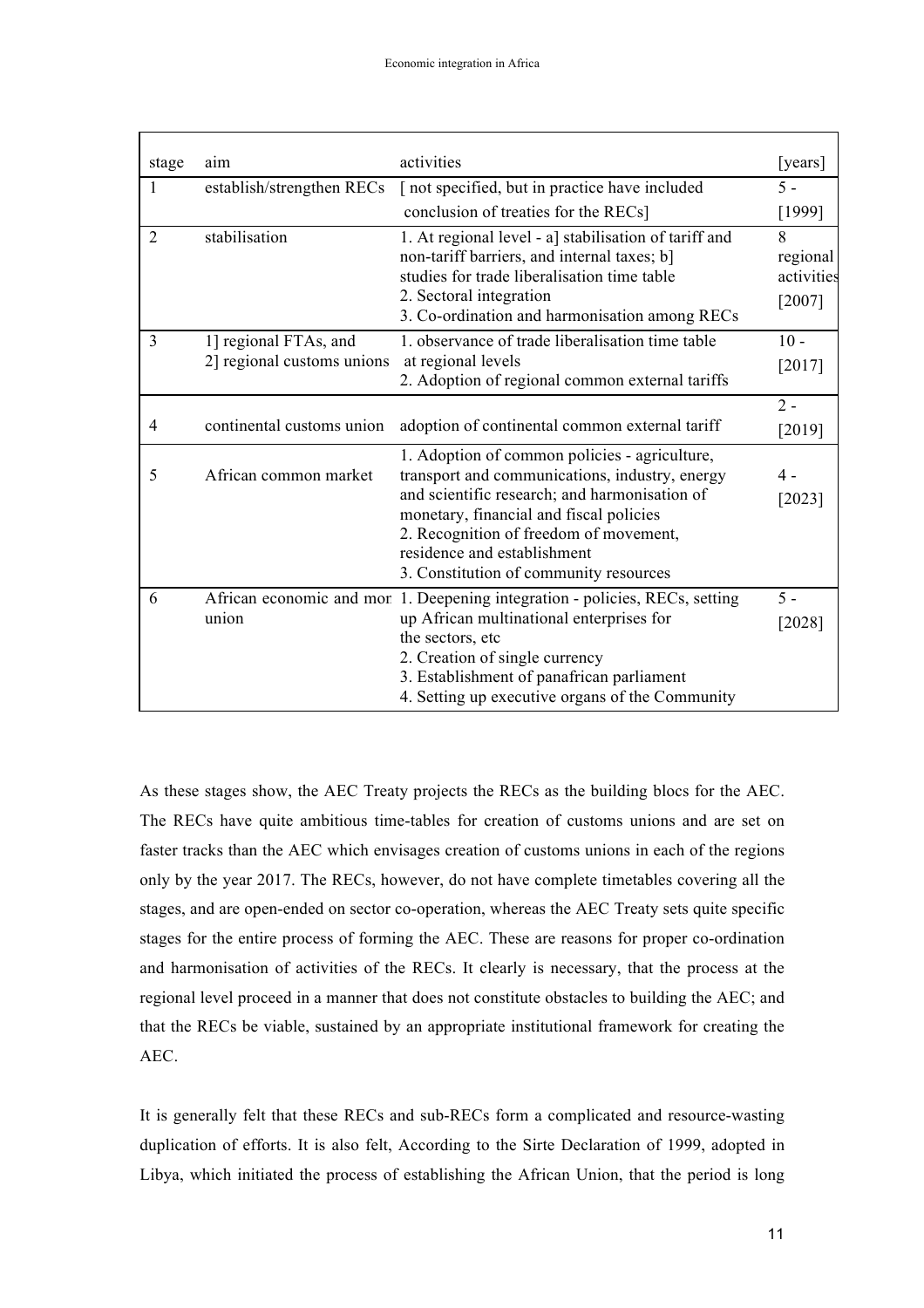| stage | aim                        | activities                                                                               | [years]    |
|-------|----------------------------|------------------------------------------------------------------------------------------|------------|
| 1     | establish/strengthen RECs  | I not specified, but in practice have included                                           | $5 -$      |
|       |                            | conclusion of treaties for the RECs]                                                     | [1999]     |
| 2     | stabilisation              | 1. At regional level - a] stabilisation of tariff and                                    | 8          |
|       |                            | non-tariff barriers, and internal taxes; b]                                              | regional   |
|       |                            | studies for trade liberalisation time table                                              | activities |
|       |                            | 2. Sectoral integration<br>3. Co-ordination and harmonisation among RECs                 | $[2007]$   |
| 3     | 1] regional FTAs, and      | 1. observance of trade liberalisation time table                                         | $10 -$     |
|       | 2] regional customs unions | at regional levels<br>2. Adoption of regional common external tariffs                    | $[2017]$   |
|       |                            |                                                                                          | $2 -$      |
| 4     | continental customs union  | adoption of continental common external tariff                                           | [2019]     |
|       |                            | 1. Adoption of common policies - agriculture,                                            |            |
| 5     | African common market      | transport and communications, industry, energy                                           | $4 -$      |
|       |                            | and scientific research; and harmonisation of<br>monetary, financial and fiscal policies | $[2023]$   |
|       |                            | 2. Recognition of freedom of movement,                                                   |            |
|       |                            | residence and establishment                                                              |            |
|       |                            | 3. Constitution of community resources                                                   |            |
| 6     |                            | African economic and mor 1. Deepening integration - policies, RECs, setting              | $5 -$      |
|       | union                      | up African multinational enterprises for                                                 | $[2028]$   |
|       |                            | the sectors, etc                                                                         |            |
|       |                            | 2. Creation of single currency                                                           |            |
|       |                            | 3. Establishment of panafrican parliament                                                |            |
|       |                            | 4. Setting up executive organs of the Community                                          |            |

As these stages show, the AEC Treaty projects the RECs as the building blocs for the AEC. The RECs have quite ambitious time-tables for creation of customs unions and are set on faster tracks than the AEC which envisages creation of customs unions in each of the regions only by the year 2017. The RECs, however, do not have complete timetables covering all the stages, and are open-ended on sector co-operation, whereas the AEC Treaty sets quite specific stages for the entire process of forming the AEC. These are reasons for proper co-ordination and harmonisation of activities of the RECs. It clearly is necessary, that the process at the regional level proceed in a manner that does not constitute obstacles to building the AEC; and that the RECs be viable, sustained by an appropriate institutional framework for creating the AEC.

It is generally felt that these RECs and sub-RECs form a complicated and resource-wasting duplication of efforts. It is also felt, According to the Sirte Declaration of 1999, adopted in Libya, which initiated the process of establishing the African Union, that the period is long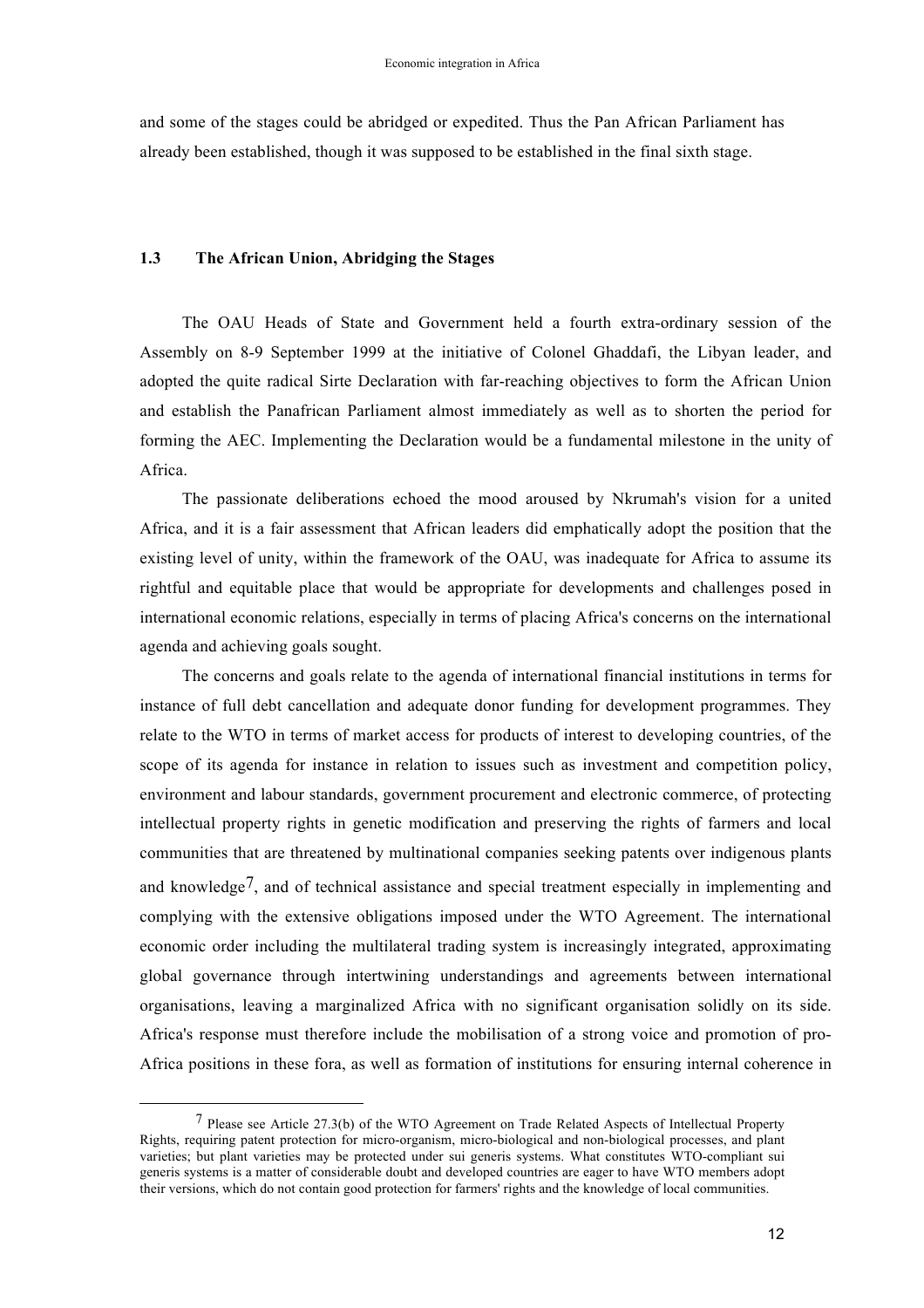and some of the stages could be abridged or expedited. Thus the Pan African Parliament has already been established, though it was supposed to be established in the final sixth stage.

### **1.3 The African Union, Abridging the Stages**

The OAU Heads of State and Government held a fourth extra-ordinary session of the Assembly on 8-9 September 1999 at the initiative of Colonel Ghaddafi, the Libyan leader, and adopted the quite radical Sirte Declaration with far-reaching objectives to form the African Union and establish the Panafrican Parliament almost immediately as well as to shorten the period for forming the AEC. Implementing the Declaration would be a fundamental milestone in the unity of Africa.

The passionate deliberations echoed the mood aroused by Nkrumah's vision for a united Africa, and it is a fair assessment that African leaders did emphatically adopt the position that the existing level of unity, within the framework of the OAU, was inadequate for Africa to assume its rightful and equitable place that would be appropriate for developments and challenges posed in international economic relations, especially in terms of placing Africa's concerns on the international agenda and achieving goals sought.

The concerns and goals relate to the agenda of international financial institutions in terms for instance of full debt cancellation and adequate donor funding for development programmes. They relate to the WTO in terms of market access for products of interest to developing countries, of the scope of its agenda for instance in relation to issues such as investment and competition policy, environment and labour standards, government procurement and electronic commerce, of protecting intellectual property rights in genetic modification and preserving the rights of farmers and local communities that are threatened by multinational companies seeking patents over indigenous plants and knowledge<sup>7</sup>, and of technical assistance and special treatment especially in implementing and complying with the extensive obligations imposed under the WTO Agreement. The international economic order including the multilateral trading system is increasingly integrated, approximating global governance through intertwining understandings and agreements between international organisations, leaving a marginalized Africa with no significant organisation solidly on its side. Africa's response must therefore include the mobilisation of a strong voice and promotion of pro-Africa positions in these fora, as well as formation of institutions for ensuring internal coherence in

<sup>7</sup> Please see Article 27.3(b) of the WTO Agreement on Trade Related Aspects of Intellectual Property Rights, requiring patent protection for micro-organism, micro-biological and non-biological processes, and plant varieties; but plant varieties may be protected under sui generis systems. What constitutes WTO-compliant sui generis systems is a matter of considerable doubt and developed countries are eager to have WTO members adopt their versions, which do not contain good protection for farmers' rights and the knowledge of local communities.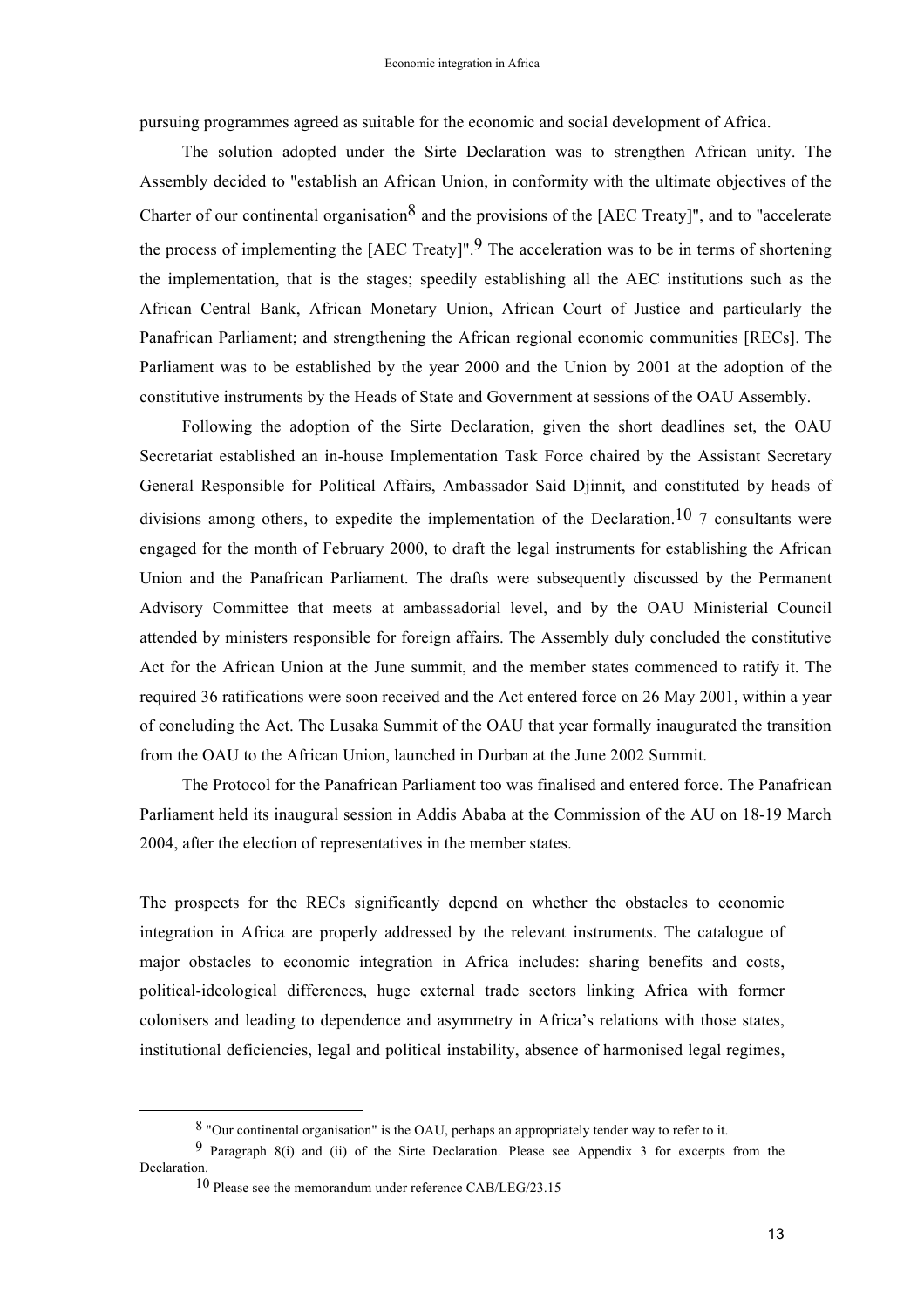pursuing programmes agreed as suitable for the economic and social development of Africa.

The solution adopted under the Sirte Declaration was to strengthen African unity. The Assembly decided to "establish an African Union, in conformity with the ultimate objectives of the Charter of our continental organisation<sup>8</sup> and the provisions of the [AEC Treaty]", and to "accelerate the process of implementing the  $[AEC~Teaty]$ ".<sup>9</sup> The acceleration was to be in terms of shortening the implementation, that is the stages; speedily establishing all the AEC institutions such as the African Central Bank, African Monetary Union, African Court of Justice and particularly the Panafrican Parliament; and strengthening the African regional economic communities [RECs]. The Parliament was to be established by the year 2000 and the Union by 2001 at the adoption of the constitutive instruments by the Heads of State and Government at sessions of the OAU Assembly.

Following the adoption of the Sirte Declaration, given the short deadlines set, the OAU Secretariat established an in-house Implementation Task Force chaired by the Assistant Secretary General Responsible for Political Affairs, Ambassador Said Djinnit, and constituted by heads of divisions among others, to expedite the implementation of the Declaration.<sup>10</sup> 7 consultants were engaged for the month of February 2000, to draft the legal instruments for establishing the African Union and the Panafrican Parliament. The drafts were subsequently discussed by the Permanent Advisory Committee that meets at ambassadorial level, and by the OAU Ministerial Council attended by ministers responsible for foreign affairs. The Assembly duly concluded the constitutive Act for the African Union at the June summit, and the member states commenced to ratify it. The required 36 ratifications were soon received and the Act entered force on 26 May 2001, within a year of concluding the Act. The Lusaka Summit of the OAU that year formally inaugurated the transition from the OAU to the African Union, launched in Durban at the June 2002 Summit.

The Protocol for the Panafrican Parliament too was finalised and entered force. The Panafrican Parliament held its inaugural session in Addis Ababa at the Commission of the AU on 18-19 March 2004, after the election of representatives in the member states.

The prospects for the RECs significantly depend on whether the obstacles to economic integration in Africa are properly addressed by the relevant instruments. The catalogue of major obstacles to economic integration in Africa includes: sharing benefits and costs, political-ideological differences, huge external trade sectors linking Africa with former colonisers and leading to dependence and asymmetry in Africa's relations with those states, institutional deficiencies, legal and political instability, absence of harmonised legal regimes,

<sup>8</sup> "Our continental organisation" is the OAU, perhaps an appropriately tender way to refer to it.

<sup>9</sup> Paragraph 8(i) and (ii) of the Sirte Declaration. Please see Appendix 3 for excerpts from the Declaration.

<sup>10</sup> Please see the memorandum under reference CAB/LEG/23.15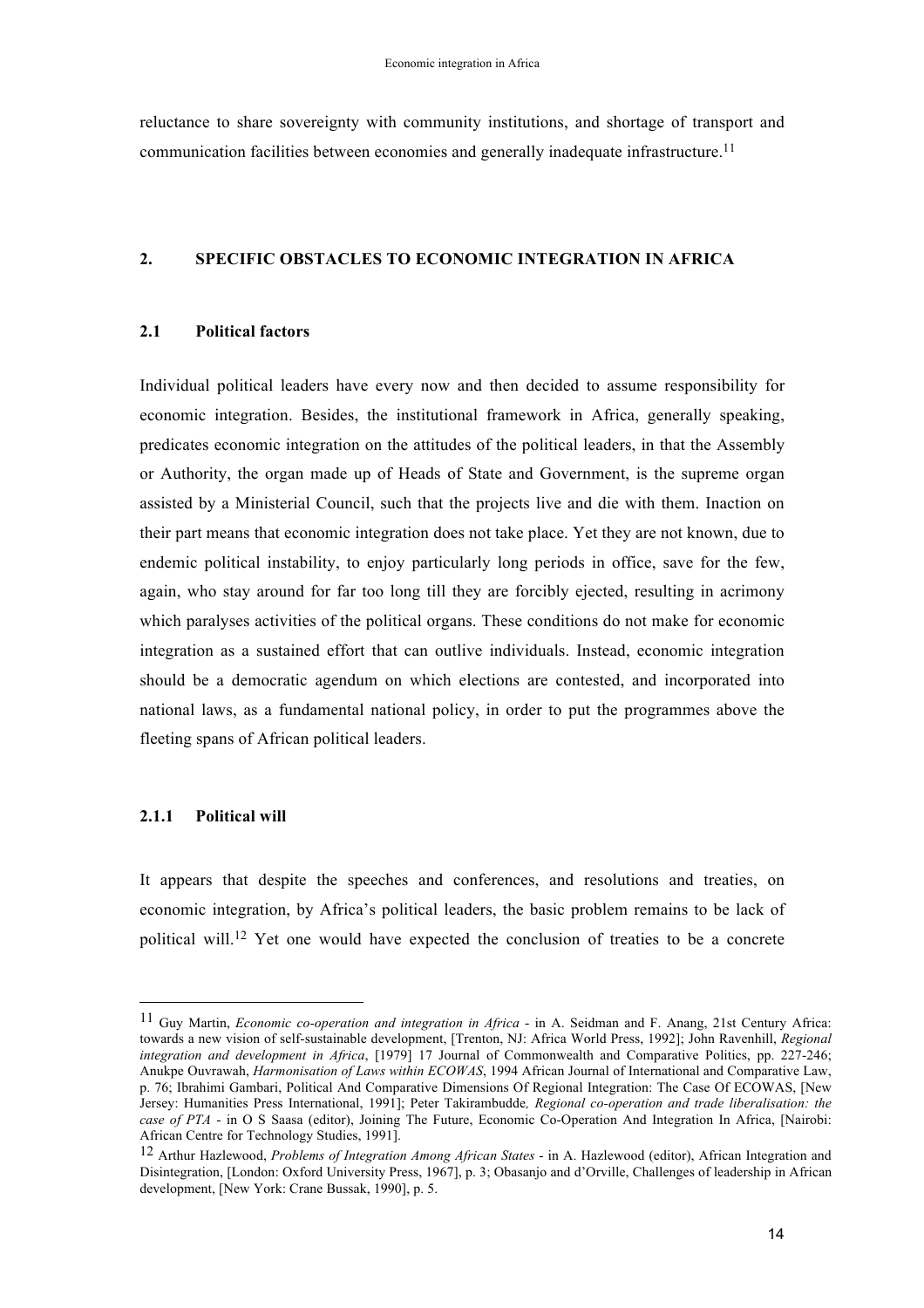reluctance to share sovereignty with community institutions, and shortage of transport and communication facilities between economies and generally inadequate infrastructure.11

### **2. SPECIFIC OBSTACLES TO ECONOMIC INTEGRATION IN AFRICA**

# **2.1 Political factors**

Individual political leaders have every now and then decided to assume responsibility for economic integration. Besides, the institutional framework in Africa, generally speaking, predicates economic integration on the attitudes of the political leaders, in that the Assembly or Authority, the organ made up of Heads of State and Government, is the supreme organ assisted by a Ministerial Council, such that the projects live and die with them. Inaction on their part means that economic integration does not take place. Yet they are not known, due to endemic political instability, to enjoy particularly long periods in office, save for the few, again, who stay around for far too long till they are forcibly ejected, resulting in acrimony which paralyses activities of the political organs. These conditions do not make for economic integration as a sustained effort that can outlive individuals. Instead, economic integration should be a democratic agendum on which elections are contested, and incorporated into national laws, as a fundamental national policy, in order to put the programmes above the fleeting spans of African political leaders.

### **2.1.1 Political will**

l

It appears that despite the speeches and conferences, and resolutions and treaties, on economic integration, by Africa's political leaders, the basic problem remains to be lack of political will. <sup>12</sup> Yet one would have expected the conclusion of treaties to be a concrete

<sup>11</sup> Guy Martin, *Economic co-operation and integration in Africa* - in A. Seidman and F. Anang, 21st Century Africa: towards a new vision of self-sustainable development, [Trenton, NJ: Africa World Press, 1992]; John Ravenhill, *Regional integration and development in Africa*, [1979] 17 Journal of Commonwealth and Comparative Politics, pp. 227-246; Anukpe Ouvrawah, *Harmonisation of Laws within ECOWAS*, 1994 African Journal of International and Comparative Law, p. 76; Ibrahimi Gambari, Political And Comparative Dimensions Of Regional Integration: The Case Of ECOWAS, [New Jersey: Humanities Press International, 1991]; Peter Takirambudde*, Regional co-operation and trade liberalisation: the case of PTA* - in O S Saasa (editor), Joining The Future, Economic Co-Operation And Integration In Africa, [Nairobi: African Centre for Technology Studies, 1991].

<sup>12</sup> Arthur Hazlewood, *Problems of Integration Among African States* - in A. Hazlewood (editor), African Integration and Disintegration, [London: Oxford University Press, 1967], p. 3; Obasanjo and d'Orville, Challenges of leadership in African development, [New York: Crane Bussak, 1990], p. 5.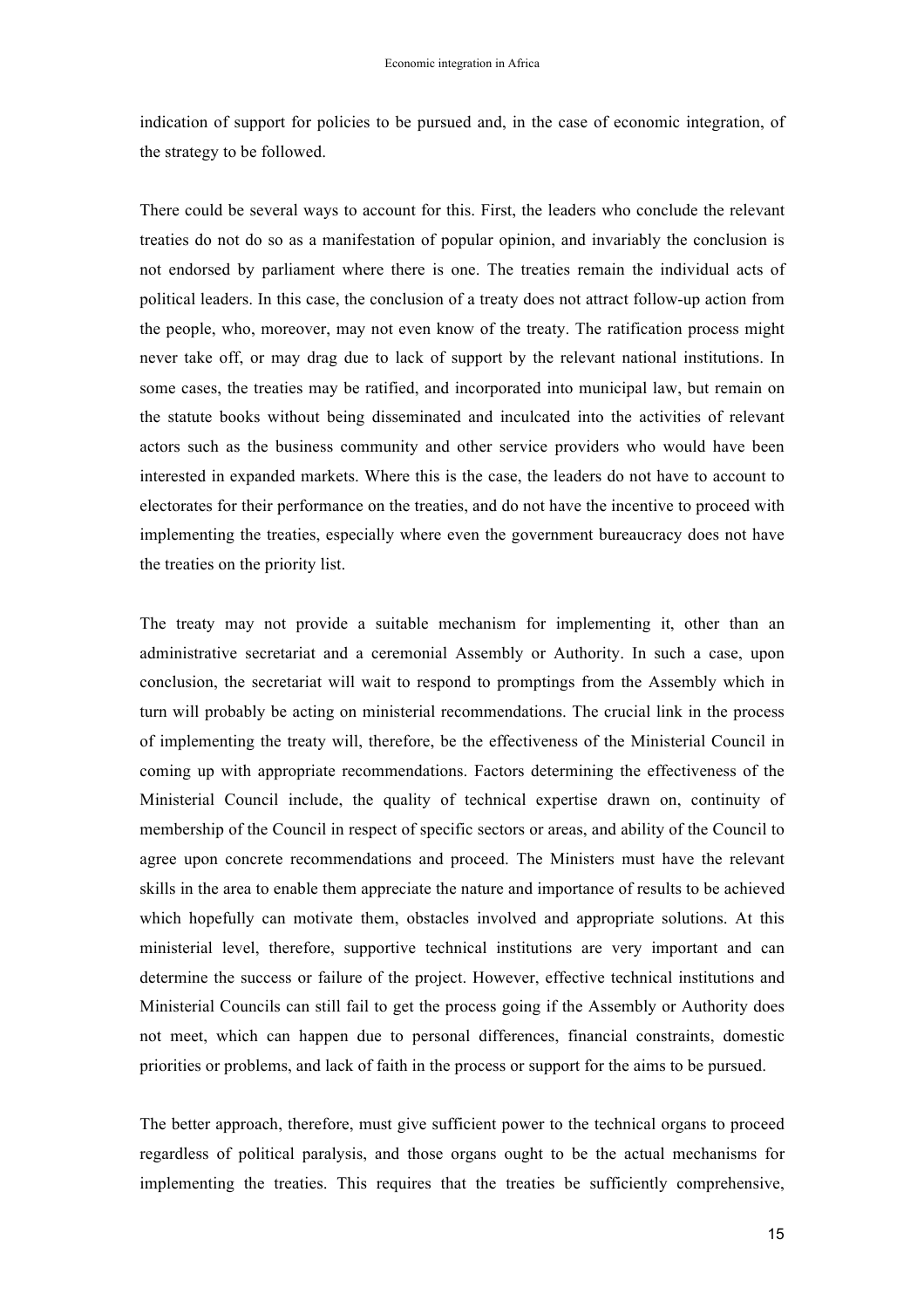indication of support for policies to be pursued and, in the case of economic integration, of the strategy to be followed.

There could be several ways to account for this. First, the leaders who conclude the relevant treaties do not do so as a manifestation of popular opinion, and invariably the conclusion is not endorsed by parliament where there is one. The treaties remain the individual acts of political leaders. In this case, the conclusion of a treaty does not attract follow-up action from the people, who, moreover, may not even know of the treaty. The ratification process might never take off, or may drag due to lack of support by the relevant national institutions. In some cases, the treaties may be ratified, and incorporated into municipal law, but remain on the statute books without being disseminated and inculcated into the activities of relevant actors such as the business community and other service providers who would have been interested in expanded markets. Where this is the case, the leaders do not have to account to electorates for their performance on the treaties, and do not have the incentive to proceed with implementing the treaties, especially where even the government bureaucracy does not have the treaties on the priority list.

The treaty may not provide a suitable mechanism for implementing it, other than an administrative secretariat and a ceremonial Assembly or Authority. In such a case, upon conclusion, the secretariat will wait to respond to promptings from the Assembly which in turn will probably be acting on ministerial recommendations. The crucial link in the process of implementing the treaty will, therefore, be the effectiveness of the Ministerial Council in coming up with appropriate recommendations. Factors determining the effectiveness of the Ministerial Council include, the quality of technical expertise drawn on, continuity of membership of the Council in respect of specific sectors or areas, and ability of the Council to agree upon concrete recommendations and proceed. The Ministers must have the relevant skills in the area to enable them appreciate the nature and importance of results to be achieved which hopefully can motivate them, obstacles involved and appropriate solutions. At this ministerial level, therefore, supportive technical institutions are very important and can determine the success or failure of the project. However, effective technical institutions and Ministerial Councils can still fail to get the process going if the Assembly or Authority does not meet, which can happen due to personal differences, financial constraints, domestic priorities or problems, and lack of faith in the process or support for the aims to be pursued.

The better approach, therefore, must give sufficient power to the technical organs to proceed regardless of political paralysis, and those organs ought to be the actual mechanisms for implementing the treaties. This requires that the treaties be sufficiently comprehensive,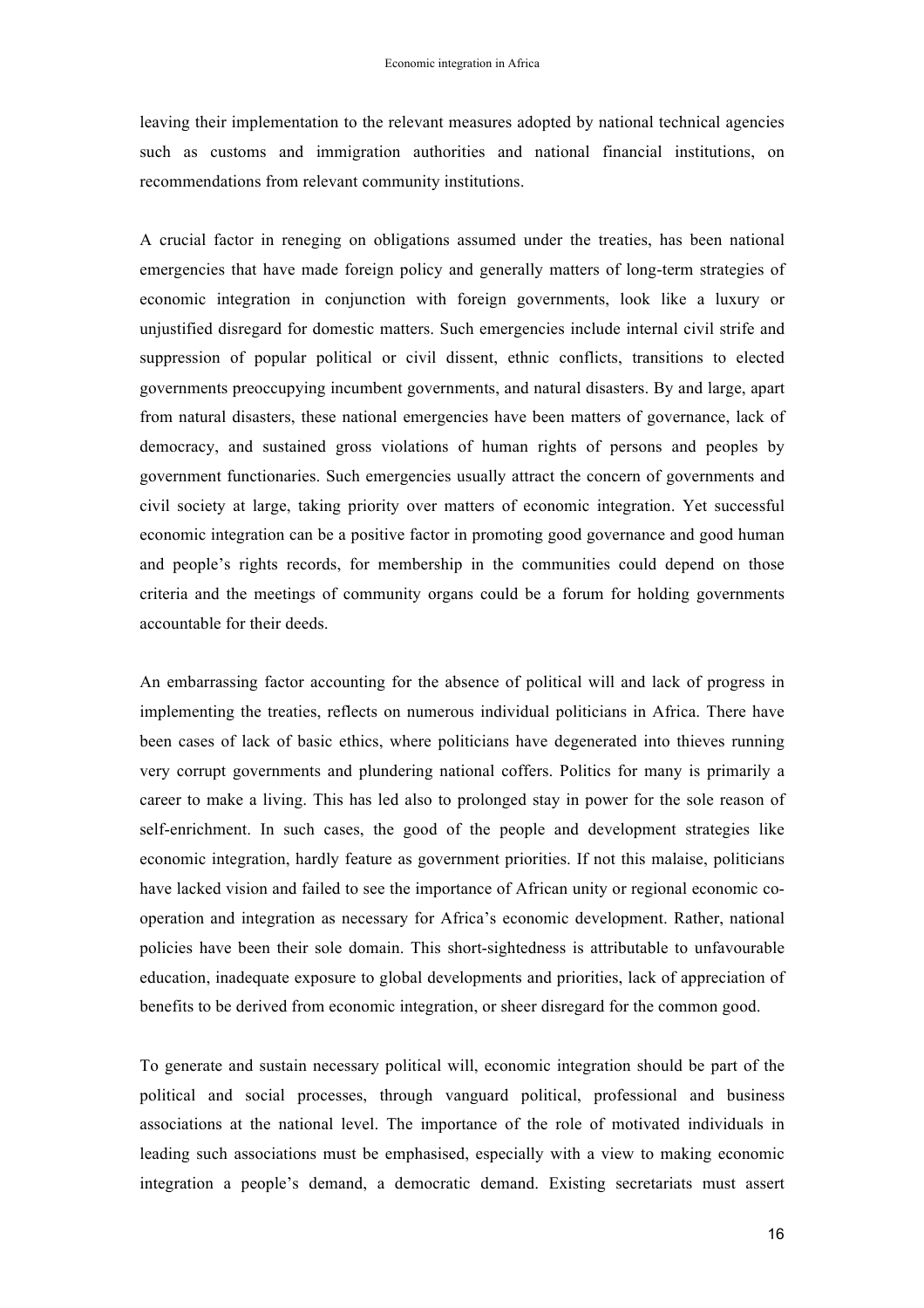leaving their implementation to the relevant measures adopted by national technical agencies such as customs and immigration authorities and national financial institutions, on recommendations from relevant community institutions.

A crucial factor in reneging on obligations assumed under the treaties, has been national emergencies that have made foreign policy and generally matters of long-term strategies of economic integration in conjunction with foreign governments, look like a luxury or unjustified disregard for domestic matters. Such emergencies include internal civil strife and suppression of popular political or civil dissent, ethnic conflicts, transitions to elected governments preoccupying incumbent governments, and natural disasters. By and large, apart from natural disasters, these national emergencies have been matters of governance, lack of democracy, and sustained gross violations of human rights of persons and peoples by government functionaries. Such emergencies usually attract the concern of governments and civil society at large, taking priority over matters of economic integration. Yet successful economic integration can be a positive factor in promoting good governance and good human and people's rights records, for membership in the communities could depend on those criteria and the meetings of community organs could be a forum for holding governments accountable for their deeds.

An embarrassing factor accounting for the absence of political will and lack of progress in implementing the treaties, reflects on numerous individual politicians in Africa. There have been cases of lack of basic ethics, where politicians have degenerated into thieves running very corrupt governments and plundering national coffers. Politics for many is primarily a career to make a living. This has led also to prolonged stay in power for the sole reason of self-enrichment. In such cases, the good of the people and development strategies like economic integration, hardly feature as government priorities. If not this malaise, politicians have lacked vision and failed to see the importance of African unity or regional economic cooperation and integration as necessary for Africa's economic development. Rather, national policies have been their sole domain. This short-sightedness is attributable to unfavourable education, inadequate exposure to global developments and priorities, lack of appreciation of benefits to be derived from economic integration, or sheer disregard for the common good.

To generate and sustain necessary political will, economic integration should be part of the political and social processes, through vanguard political, professional and business associations at the national level. The importance of the role of motivated individuals in leading such associations must be emphasised, especially with a view to making economic integration a people's demand, a democratic demand. Existing secretariats must assert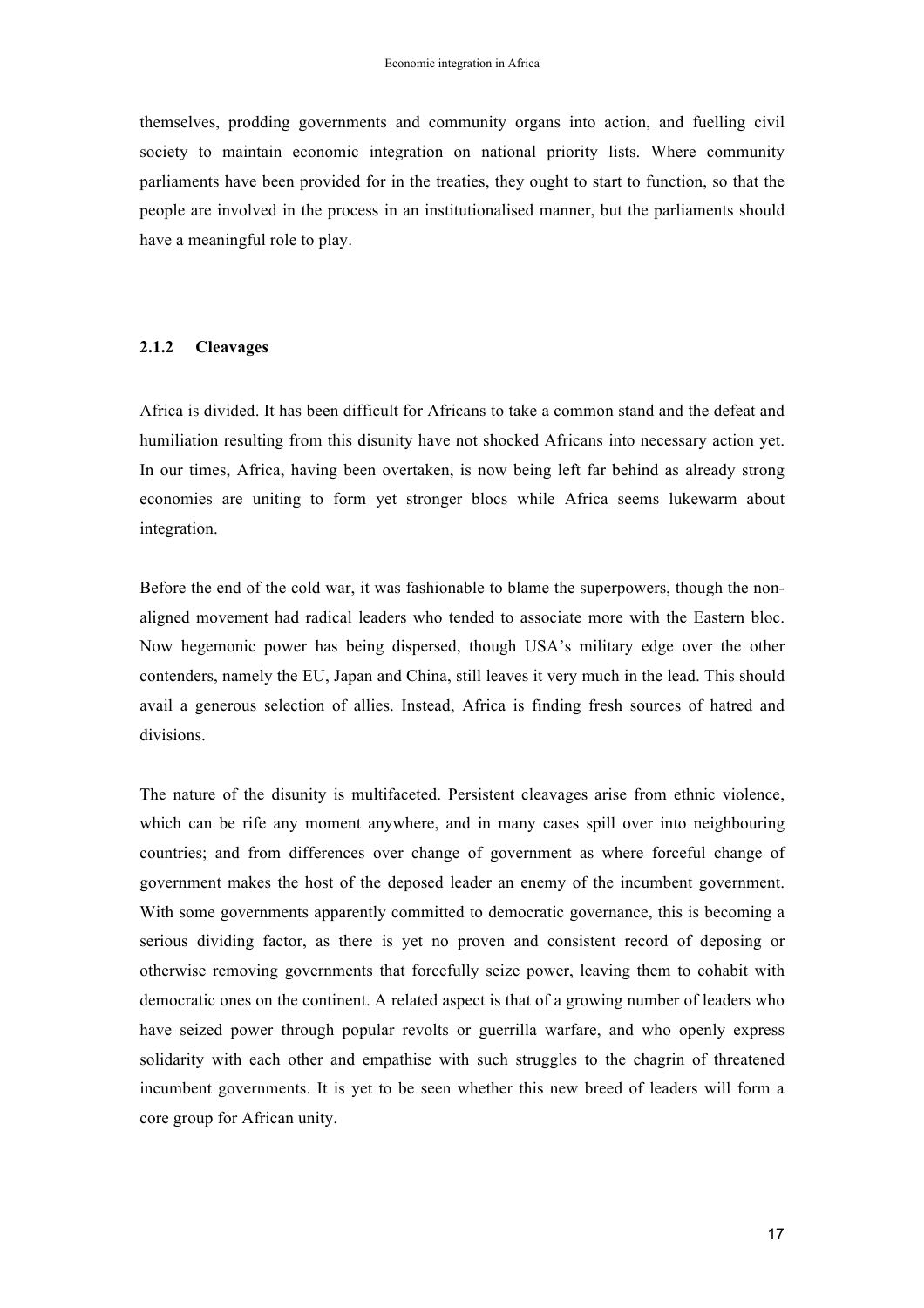themselves, prodding governments and community organs into action, and fuelling civil society to maintain economic integration on national priority lists. Where community parliaments have been provided for in the treaties, they ought to start to function, so that the people are involved in the process in an institutionalised manner, but the parliaments should have a meaningful role to play.

### **2.1.2 Cleavages**

Africa is divided. It has been difficult for Africans to take a common stand and the defeat and humiliation resulting from this disunity have not shocked Africans into necessary action yet. In our times, Africa, having been overtaken, is now being left far behind as already strong economies are uniting to form yet stronger blocs while Africa seems lukewarm about integration.

Before the end of the cold war, it was fashionable to blame the superpowers, though the nonaligned movement had radical leaders who tended to associate more with the Eastern bloc. Now hegemonic power has being dispersed, though USA's military edge over the other contenders, namely the EU, Japan and China, still leaves it very much in the lead. This should avail a generous selection of allies. Instead, Africa is finding fresh sources of hatred and divisions.

The nature of the disunity is multifaceted. Persistent cleavages arise from ethnic violence, which can be rife any moment anywhere, and in many cases spill over into neighbouring countries; and from differences over change of government as where forceful change of government makes the host of the deposed leader an enemy of the incumbent government. With some governments apparently committed to democratic governance, this is becoming a serious dividing factor, as there is yet no proven and consistent record of deposing or otherwise removing governments that forcefully seize power, leaving them to cohabit with democratic ones on the continent. A related aspect is that of a growing number of leaders who have seized power through popular revolts or guerrilla warfare, and who openly express solidarity with each other and empathise with such struggles to the chagrin of threatened incumbent governments. It is yet to be seen whether this new breed of leaders will form a core group for African unity.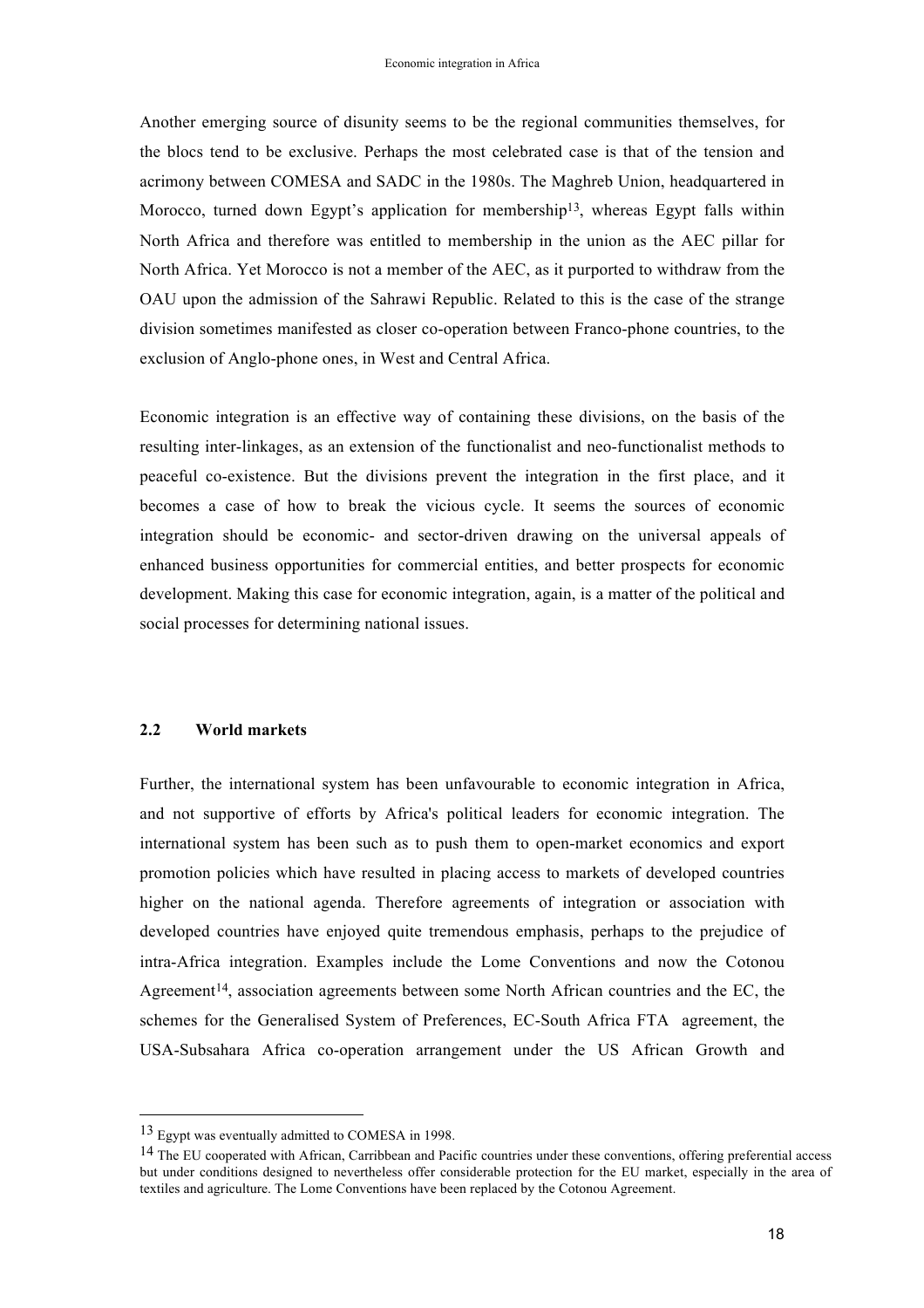Another emerging source of disunity seems to be the regional communities themselves, for the blocs tend to be exclusive. Perhaps the most celebrated case is that of the tension and acrimony between COMESA and SADC in the 1980s. The Maghreb Union, headquartered in Morocco, turned down Egypt's application for membership<sup>13</sup>, whereas Egypt falls within North Africa and therefore was entitled to membership in the union as the AEC pillar for North Africa. Yet Morocco is not a member of the AEC, as it purported to withdraw from the OAU upon the admission of the Sahrawi Republic. Related to this is the case of the strange division sometimes manifested as closer co-operation between Franco-phone countries, to the exclusion of Anglo-phone ones, in West and Central Africa.

Economic integration is an effective way of containing these divisions, on the basis of the resulting inter-linkages, as an extension of the functionalist and neo-functionalist methods to peaceful co-existence. But the divisions prevent the integration in the first place, and it becomes a case of how to break the vicious cycle. It seems the sources of economic integration should be economic- and sector-driven drawing on the universal appeals of enhanced business opportunities for commercial entities, and better prospects for economic development. Making this case for economic integration, again, is a matter of the political and social processes for determining national issues.

## **2.2 World markets**

l

Further, the international system has been unfavourable to economic integration in Africa, and not supportive of efforts by Africa's political leaders for economic integration. The international system has been such as to push them to open-market economics and export promotion policies which have resulted in placing access to markets of developed countries higher on the national agenda. Therefore agreements of integration or association with developed countries have enjoyed quite tremendous emphasis, perhaps to the prejudice of intra-Africa integration. Examples include the Lome Conventions and now the Cotonou Agreement<sup>14</sup>, association agreements between some North African countries and the EC, the schemes for the Generalised System of Preferences, EC-South Africa FTA agreement, the USA-Subsahara Africa co-operation arrangement under the US African Growth and

<sup>13</sup> Egypt was eventually admitted to COMESA in 1998.

<sup>&</sup>lt;sup>14</sup> The EU cooperated with African, Carribbean and Pacific countries under these conventions, offering preferential access but under conditions designed to nevertheless offer considerable protection for the EU market, especially in the area of textiles and agriculture. The Lome Conventions have been replaced by the Cotonou Agreement.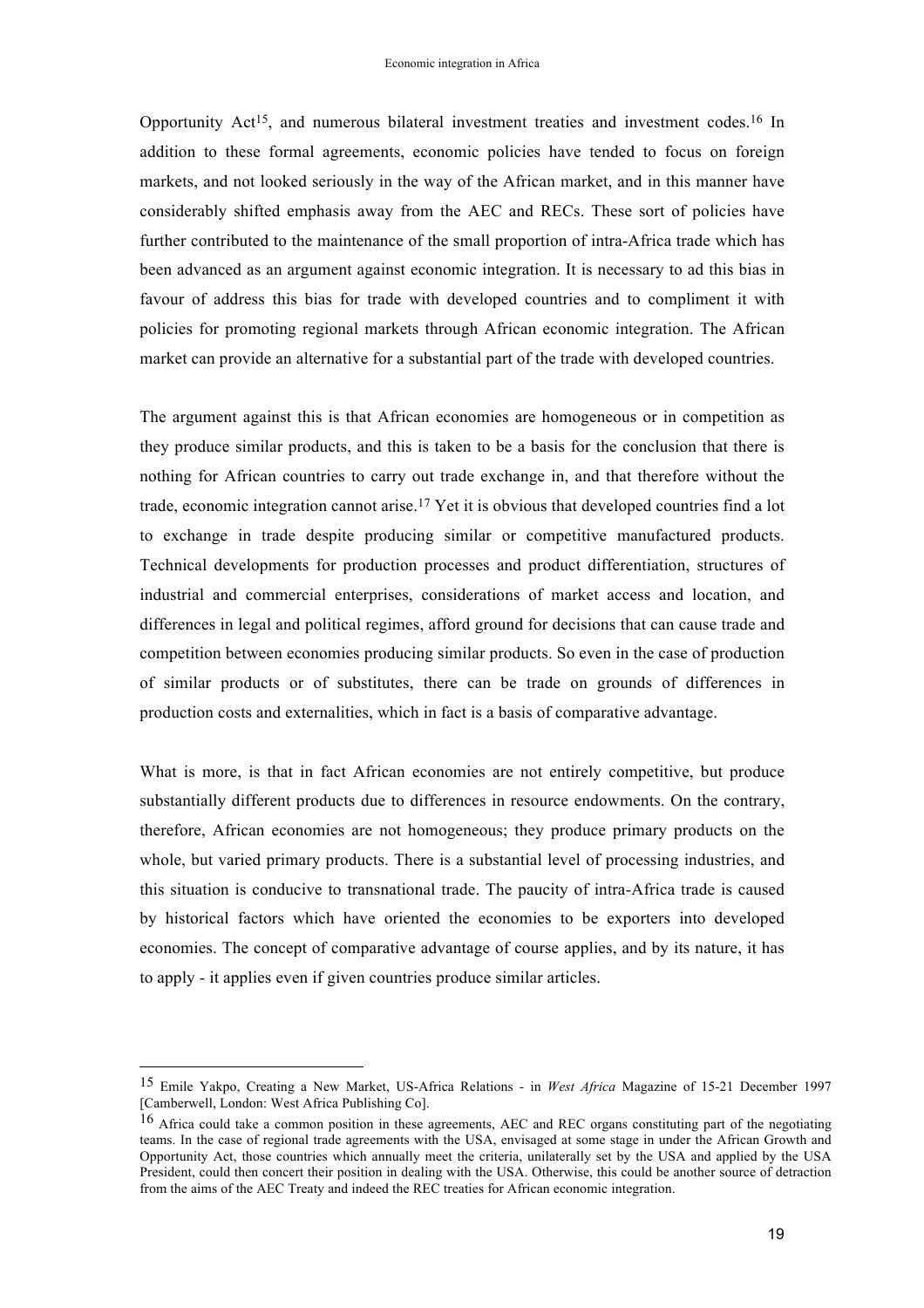Opportunity  $Act^{15}$ , and numerous bilateral investment treaties and investment codes.<sup>16</sup> In addition to these formal agreements, economic policies have tended to focus on foreign markets, and not looked seriously in the way of the African market, and in this manner have considerably shifted emphasis away from the AEC and RECs. These sort of policies have further contributed to the maintenance of the small proportion of intra-Africa trade which has been advanced as an argument against economic integration. It is necessary to ad this bias in favour of address this bias for trade with developed countries and to compliment it with policies for promoting regional markets through African economic integration. The African market can provide an alternative for a substantial part of the trade with developed countries.

The argument against this is that African economies are homogeneous or in competition as they produce similar products, and this is taken to be a basis for the conclusion that there is nothing for African countries to carry out trade exchange in, and that therefore without the trade, economic integration cannot arise.17 Yet it is obvious that developed countries find a lot to exchange in trade despite producing similar or competitive manufactured products. Technical developments for production processes and product differentiation, structures of industrial and commercial enterprises, considerations of market access and location, and differences in legal and political regimes, afford ground for decisions that can cause trade and competition between economies producing similar products. So even in the case of production of similar products or of substitutes, there can be trade on grounds of differences in production costs and externalities, which in fact is a basis of comparative advantage.

What is more, is that in fact African economies are not entirely competitive, but produce substantially different products due to differences in resource endowments. On the contrary, therefore, African economies are not homogeneous; they produce primary products on the whole, but varied primary products. There is a substantial level of processing industries, and this situation is conducive to transnational trade. The paucity of intra-Africa trade is caused by historical factors which have oriented the economies to be exporters into developed economies. The concept of comparative advantage of course applies, and by its nature, it has to apply - it applies even if given countries produce similar articles.

<sup>15</sup> Emile Yakpo, Creating a New Market, US-Africa Relations - in *West Africa* Magazine of 15-21 December 1997 [Camberwell, London: West Africa Publishing Co].

<sup>16</sup> Africa could take a common position in these agreements, AEC and REC organs constituting part of the negotiating teams. In the case of regional trade agreements with the USA, envisaged at some stage in under the African Growth and Opportunity Act, those countries which annually meet the criteria, unilaterally set by the USA and applied by the USA President, could then concert their position in dealing with the USA. Otherwise, this could be another source of detraction from the aims of the AEC Treaty and indeed the REC treaties for African economic integration.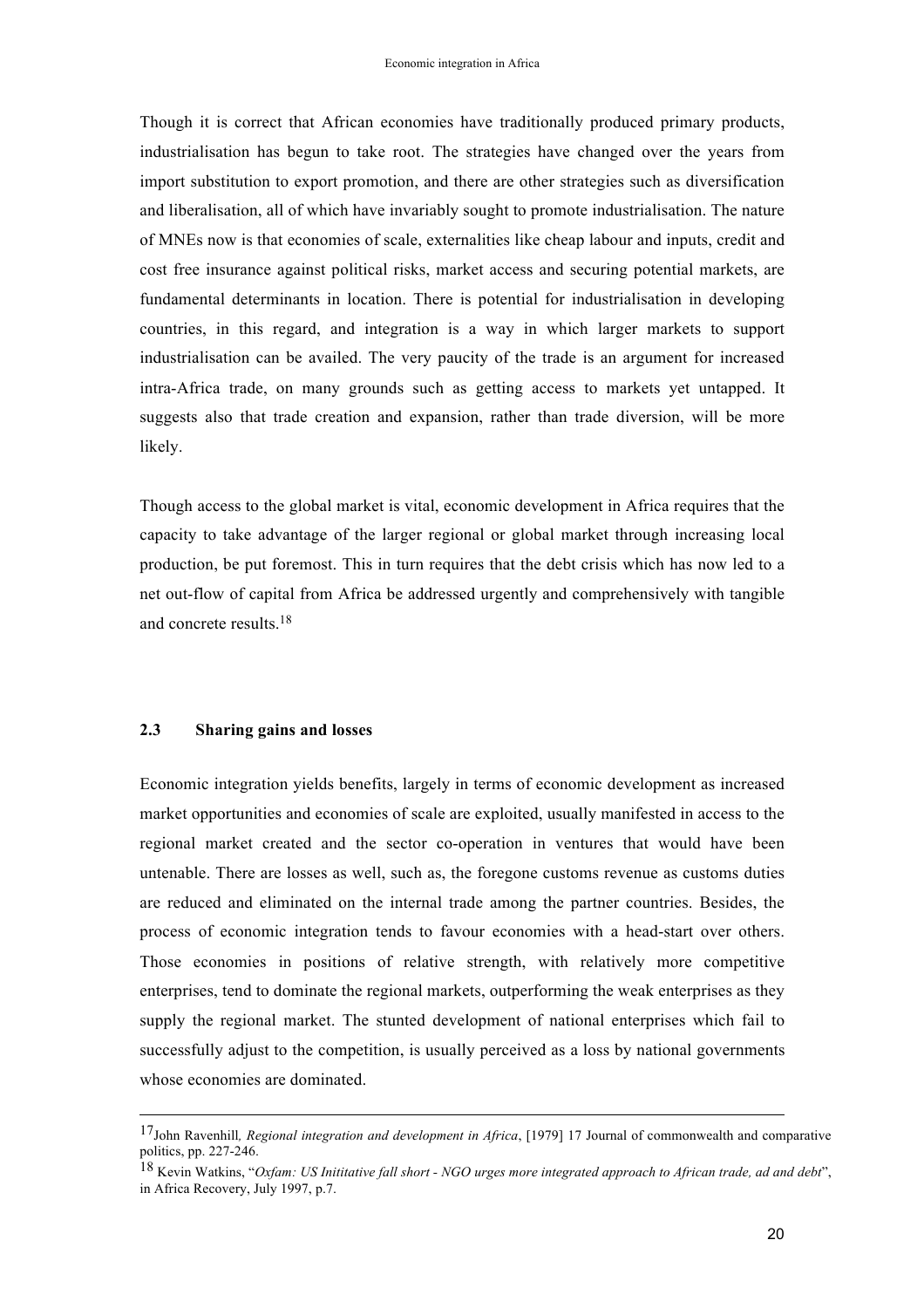Though it is correct that African economies have traditionally produced primary products, industrialisation has begun to take root. The strategies have changed over the years from import substitution to export promotion, and there are other strategies such as diversification and liberalisation, all of which have invariably sought to promote industrialisation. The nature of MNEs now is that economies of scale, externalities like cheap labour and inputs, credit and cost free insurance against political risks, market access and securing potential markets, are fundamental determinants in location. There is potential for industrialisation in developing countries, in this regard, and integration is a way in which larger markets to support industrialisation can be availed. The very paucity of the trade is an argument for increased intra-Africa trade, on many grounds such as getting access to markets yet untapped. It suggests also that trade creation and expansion, rather than trade diversion, will be more likely.

Though access to the global market is vital, economic development in Africa requires that the capacity to take advantage of the larger regional or global market through increasing local production, be put foremost. This in turn requires that the debt crisis which has now led to a net out-flow of capital from Africa be addressed urgently and comprehensively with tangible and concrete results.18

# **2.3 Sharing gains and losses**

l

Economic integration yields benefits, largely in terms of economic development as increased market opportunities and economies of scale are exploited, usually manifested in access to the regional market created and the sector co-operation in ventures that would have been untenable. There are losses as well, such as, the foregone customs revenue as customs duties are reduced and eliminated on the internal trade among the partner countries. Besides, the process of economic integration tends to favour economies with a head-start over others. Those economies in positions of relative strength, with relatively more competitive enterprises, tend to dominate the regional markets, outperforming the weak enterprises as they supply the regional market. The stunted development of national enterprises which fail to successfully adjust to the competition, is usually perceived as a loss by national governments whose economies are dominated.

<sup>17</sup>John Ravenhill*, Regional integration and development in Africa*, [1979] 17 Journal of commonwealth and comparative politics, pp. 227-246.

<sup>18</sup> Kevin Watkins, "*Oxfam: US Inititative fall short - NGO urges more integrated approach to African trade, ad and debt*", in Africa Recovery, July 1997, p.7.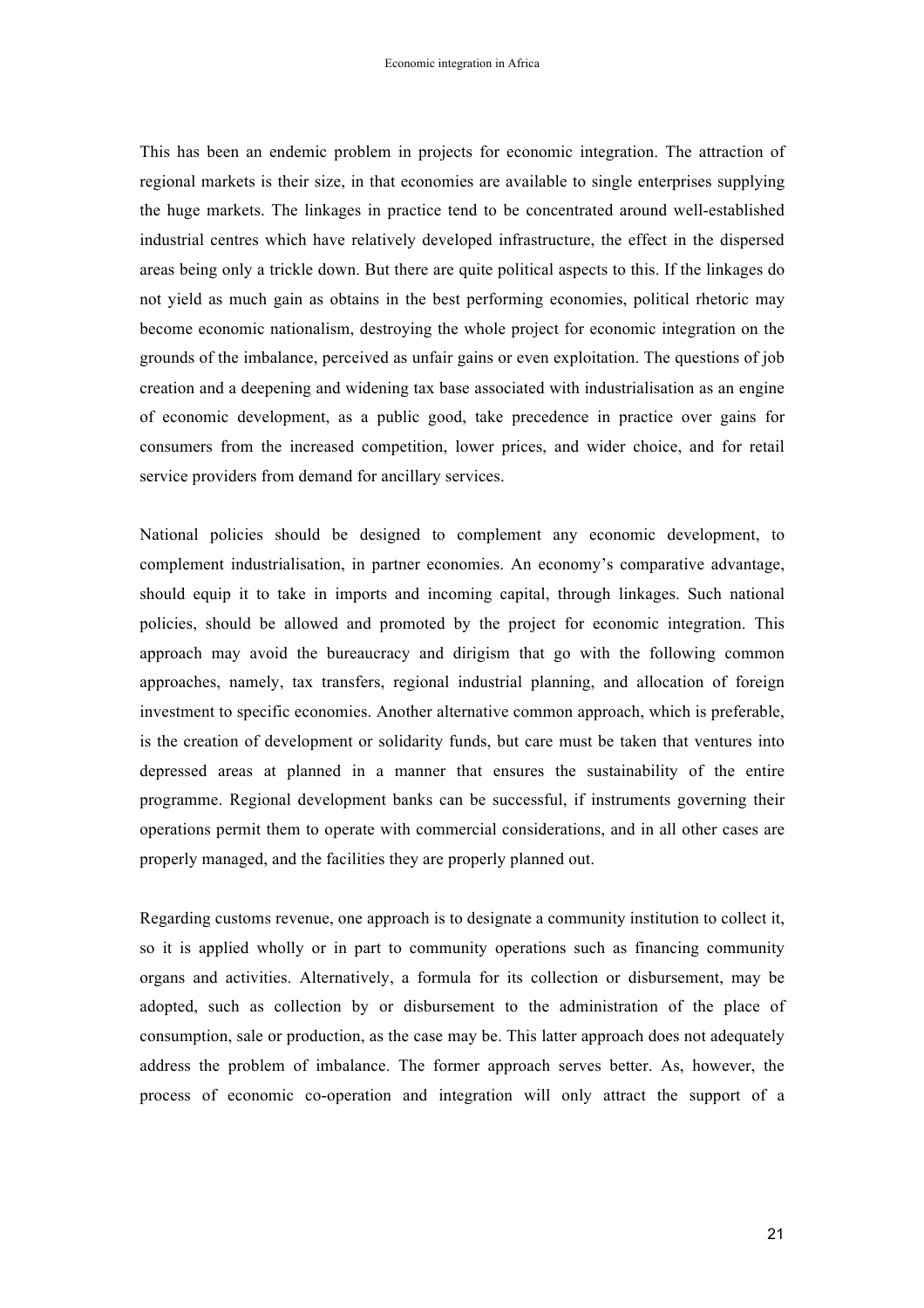This has been an endemic problem in projects for economic integration. The attraction of regional markets is their size, in that economies are available to single enterprises supplying the huge markets. The linkages in practice tend to be concentrated around well-established industrial centres which have relatively developed infrastructure, the effect in the dispersed areas being only a trickle down. But there are quite political aspects to this. If the linkages do not yield as much gain as obtains in the best performing economies, political rhetoric may become economic nationalism, destroying the whole project for economic integration on the grounds of the imbalance, perceived as unfair gains or even exploitation. The questions of job creation and a deepening and widening tax base associated with industrialisation as an engine of economic development, as a public good, take precedence in practice over gains for consumers from the increased competition, lower prices, and wider choice, and for retail service providers from demand for ancillary services.

National policies should be designed to complement any economic development, to complement industrialisation, in partner economies. An economy's comparative advantage, should equip it to take in imports and incoming capital, through linkages. Such national policies, should be allowed and promoted by the project for economic integration. This approach may avoid the bureaucracy and dirigism that go with the following common approaches, namely, tax transfers, regional industrial planning, and allocation of foreign investment to specific economies. Another alternative common approach, which is preferable, is the creation of development or solidarity funds, but care must be taken that ventures into depressed areas at planned in a manner that ensures the sustainability of the entire programme. Regional development banks can be successful, if instruments governing their operations permit them to operate with commercial considerations, and in all other cases are properly managed, and the facilities they are properly planned out.

Regarding customs revenue, one approach is to designate a community institution to collect it, so it is applied wholly or in part to community operations such as financing community organs and activities. Alternatively, a formula for its collection or disbursement, may be adopted, such as collection by or disbursement to the administration of the place of consumption, sale or production, as the case may be. This latter approach does not adequately address the problem of imbalance. The former approach serves better. As, however, the process of economic co-operation and integration will only attract the support of a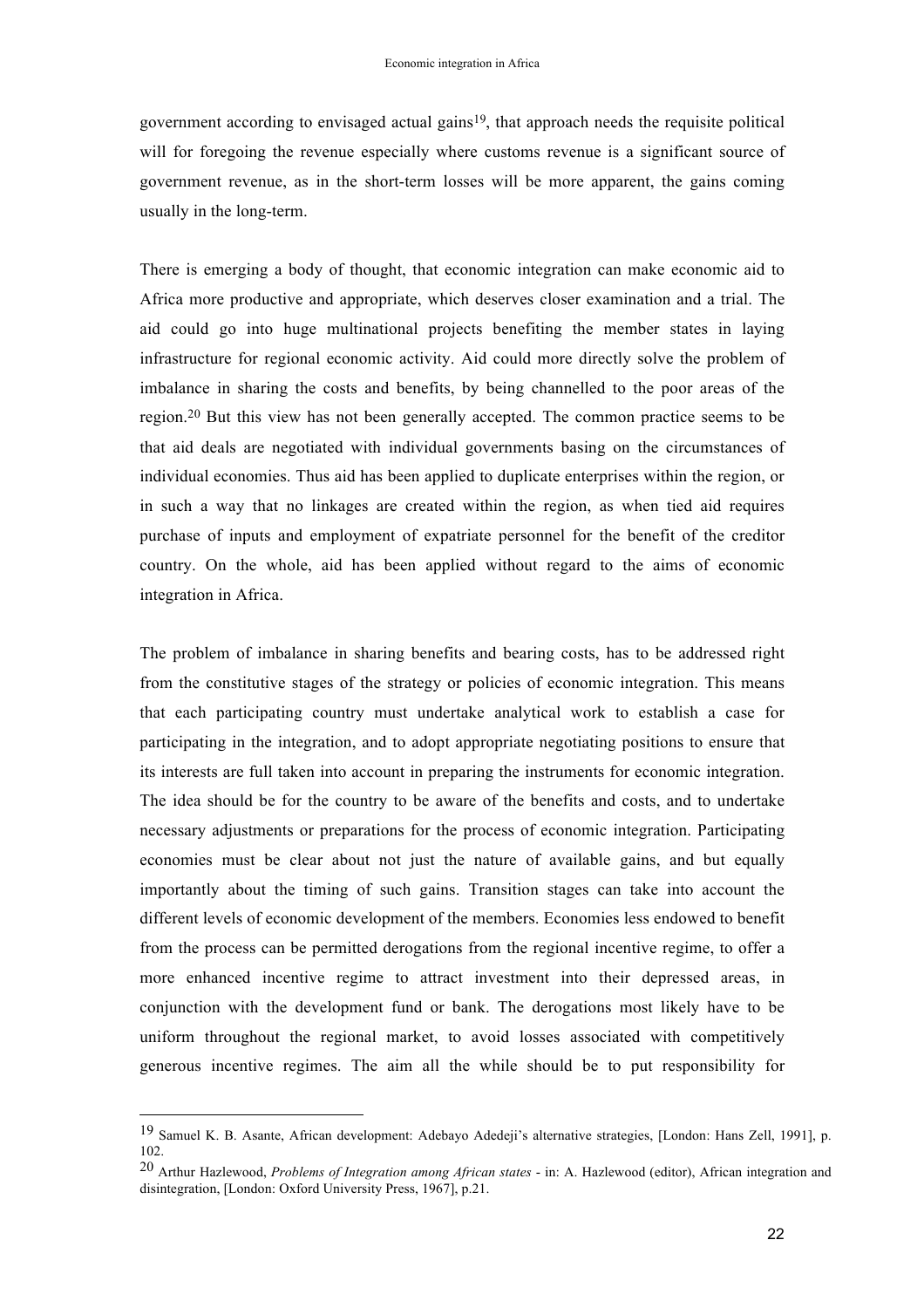government according to envisaged actual gains<sup>19</sup>, that approach needs the requisite political will for foregoing the revenue especially where customs revenue is a significant source of government revenue, as in the short-term losses will be more apparent, the gains coming usually in the long-term.

There is emerging a body of thought, that economic integration can make economic aid to Africa more productive and appropriate, which deserves closer examination and a trial. The aid could go into huge multinational projects benefiting the member states in laying infrastructure for regional economic activity. Aid could more directly solve the problem of imbalance in sharing the costs and benefits, by being channelled to the poor areas of the region.20 But this view has not been generally accepted. The common practice seems to be that aid deals are negotiated with individual governments basing on the circumstances of individual economies. Thus aid has been applied to duplicate enterprises within the region, or in such a way that no linkages are created within the region, as when tied aid requires purchase of inputs and employment of expatriate personnel for the benefit of the creditor country. On the whole, aid has been applied without regard to the aims of economic integration in Africa.

The problem of imbalance in sharing benefits and bearing costs, has to be addressed right from the constitutive stages of the strategy or policies of economic integration. This means that each participating country must undertake analytical work to establish a case for participating in the integration, and to adopt appropriate negotiating positions to ensure that its interests are full taken into account in preparing the instruments for economic integration. The idea should be for the country to be aware of the benefits and costs, and to undertake necessary adjustments or preparations for the process of economic integration. Participating economies must be clear about not just the nature of available gains, and but equally importantly about the timing of such gains. Transition stages can take into account the different levels of economic development of the members. Economies less endowed to benefit from the process can be permitted derogations from the regional incentive regime, to offer a more enhanced incentive regime to attract investment into their depressed areas, in conjunction with the development fund or bank. The derogations most likely have to be uniform throughout the regional market, to avoid losses associated with competitively generous incentive regimes. The aim all the while should be to put responsibility for

<sup>19</sup> Samuel K. B. Asante, African development: Adebayo Adedeji's alternative strategies, [London: Hans Zell, 1991], p. 102.

<sup>20</sup> Arthur Hazlewood, *Problems of Integration among African states* - in: A. Hazlewood (editor), African integration and disintegration, [London: Oxford University Press, 1967], p.21.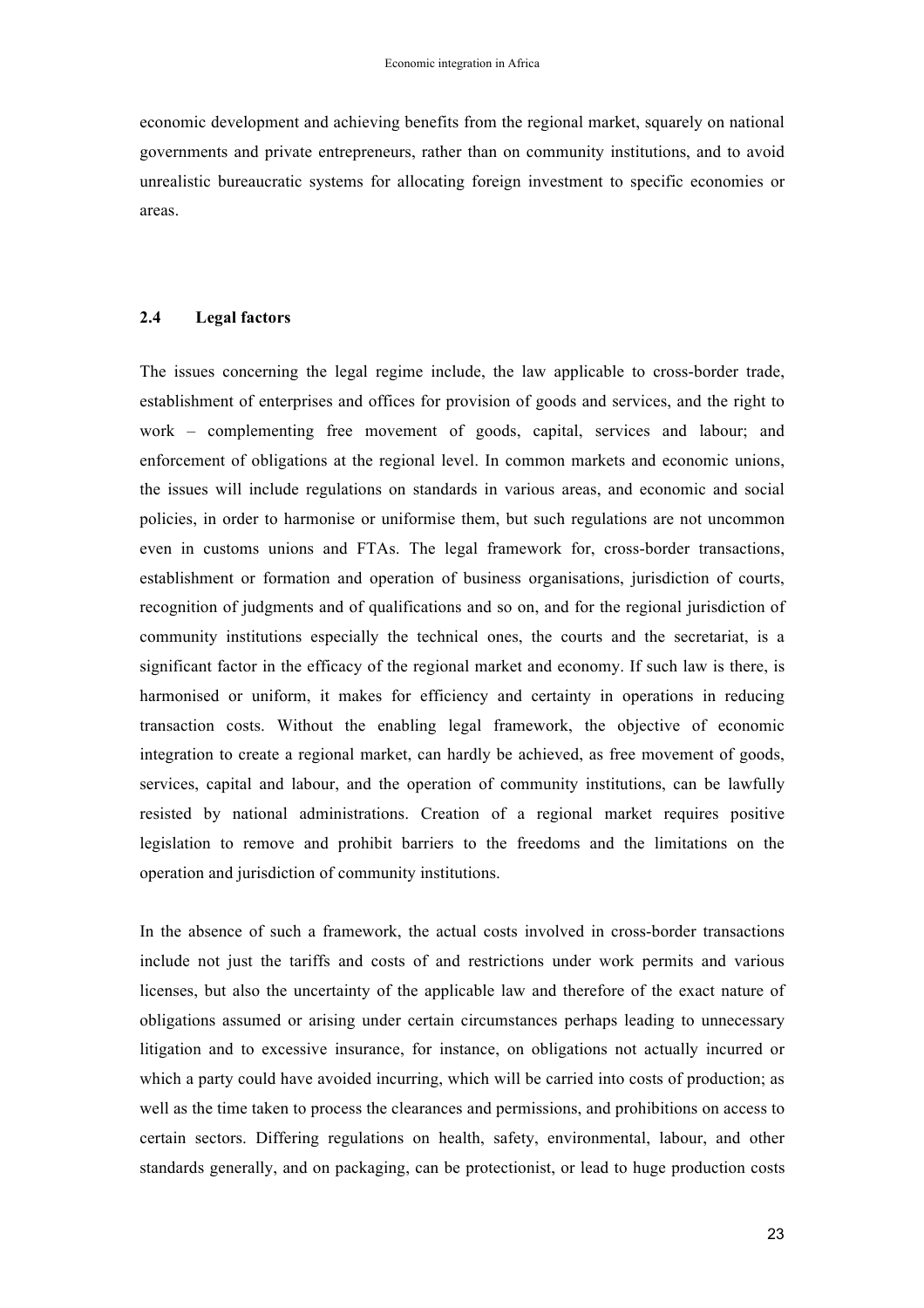economic development and achieving benefits from the regional market, squarely on national governments and private entrepreneurs, rather than on community institutions, and to avoid unrealistic bureaucratic systems for allocating foreign investment to specific economies or areas.

# **2.4 Legal factors**

The issues concerning the legal regime include, the law applicable to cross-border trade, establishment of enterprises and offices for provision of goods and services, and the right to work – complementing free movement of goods, capital, services and labour; and enforcement of obligations at the regional level. In common markets and economic unions, the issues will include regulations on standards in various areas, and economic and social policies, in order to harmonise or uniformise them, but such regulations are not uncommon even in customs unions and FTAs. The legal framework for, cross-border transactions, establishment or formation and operation of business organisations, jurisdiction of courts, recognition of judgments and of qualifications and so on, and for the regional jurisdiction of community institutions especially the technical ones, the courts and the secretariat, is a significant factor in the efficacy of the regional market and economy. If such law is there, is harmonised or uniform, it makes for efficiency and certainty in operations in reducing transaction costs. Without the enabling legal framework, the objective of economic integration to create a regional market, can hardly be achieved, as free movement of goods, services, capital and labour, and the operation of community institutions, can be lawfully resisted by national administrations. Creation of a regional market requires positive legislation to remove and prohibit barriers to the freedoms and the limitations on the operation and jurisdiction of community institutions.

In the absence of such a framework, the actual costs involved in cross-border transactions include not just the tariffs and costs of and restrictions under work permits and various licenses, but also the uncertainty of the applicable law and therefore of the exact nature of obligations assumed or arising under certain circumstances perhaps leading to unnecessary litigation and to excessive insurance, for instance, on obligations not actually incurred or which a party could have avoided incurring, which will be carried into costs of production; as well as the time taken to process the clearances and permissions, and prohibitions on access to certain sectors. Differing regulations on health, safety, environmental, labour, and other standards generally, and on packaging, can be protectionist, or lead to huge production costs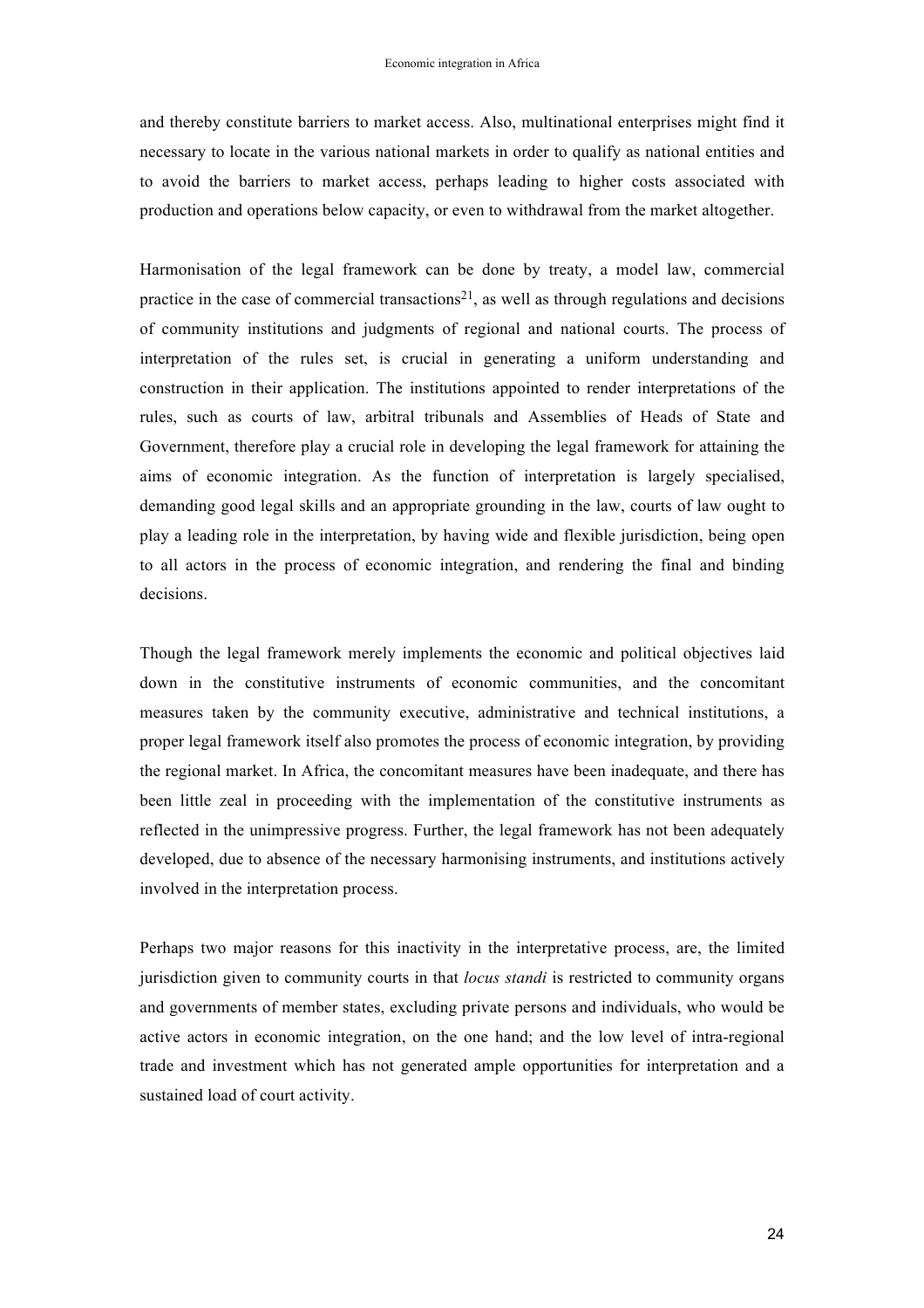and thereby constitute barriers to market access. Also, multinational enterprises might find it necessary to locate in the various national markets in order to qualify as national entities and to avoid the barriers to market access, perhaps leading to higher costs associated with production and operations below capacity, or even to withdrawal from the market altogether.

Harmonisation of the legal framework can be done by treaty, a model law, commercial practice in the case of commercial transactions<sup>21</sup>, as well as through regulations and decisions of community institutions and judgments of regional and national courts. The process of interpretation of the rules set, is crucial in generating a uniform understanding and construction in their application. The institutions appointed to render interpretations of the rules, such as courts of law, arbitral tribunals and Assemblies of Heads of State and Government, therefore play a crucial role in developing the legal framework for attaining the aims of economic integration. As the function of interpretation is largely specialised, demanding good legal skills and an appropriate grounding in the law, courts of law ought to play a leading role in the interpretation, by having wide and flexible jurisdiction, being open to all actors in the process of economic integration, and rendering the final and binding decisions.

Though the legal framework merely implements the economic and political objectives laid down in the constitutive instruments of economic communities, and the concomitant measures taken by the community executive, administrative and technical institutions, a proper legal framework itself also promotes the process of economic integration, by providing the regional market. In Africa, the concomitant measures have been inadequate, and there has been little zeal in proceeding with the implementation of the constitutive instruments as reflected in the unimpressive progress. Further, the legal framework has not been adequately developed, due to absence of the necessary harmonising instruments, and institutions actively involved in the interpretation process.

Perhaps two major reasons for this inactivity in the interpretative process, are, the limited jurisdiction given to community courts in that *locus standi* is restricted to community organs and governments of member states, excluding private persons and individuals, who would be active actors in economic integration, on the one hand; and the low level of intra-regional trade and investment which has not generated ample opportunities for interpretation and a sustained load of court activity.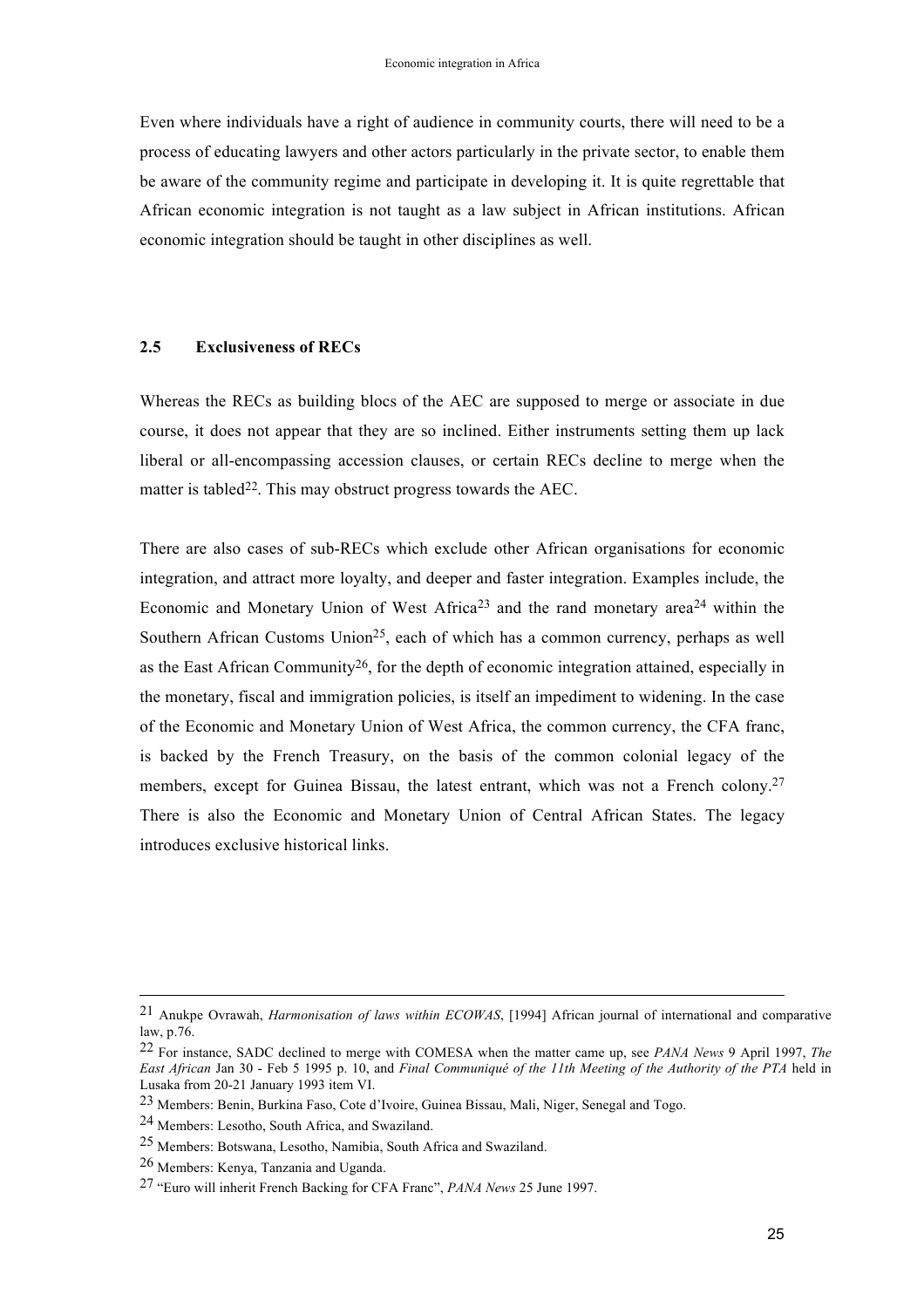Even where individuals have a right of audience in community courts, there will need to be a process of educating lawyers and other actors particularly in the private sector, to enable them be aware of the community regime and participate in developing it. It is quite regrettable that African economic integration is not taught as a law subject in African institutions. African economic integration should be taught in other disciplines as well.

### **2.5 Exclusiveness of RECs**

Whereas the RECs as building blocs of the AEC are supposed to merge or associate in due course, it does not appear that they are so inclined. Either instruments setting them up lack liberal or all-encompassing accession clauses, or certain RECs decline to merge when the matter is tabled<sup>22</sup>. This may obstruct progress towards the AEC.

There are also cases of sub-RECs which exclude other African organisations for economic integration, and attract more loyalty, and deeper and faster integration. Examples include, the Economic and Monetary Union of West Africa<sup>23</sup> and the rand monetary area<sup>24</sup> within the Southern African Customs Union<sup>25</sup>, each of which has a common currency, perhaps as well as the East African Community<sup>26</sup>, for the depth of economic integration attained, especially in the monetary, fiscal and immigration policies, is itself an impediment to widening. In the case of the Economic and Monetary Union of West Africa, the common currency, the CFA franc, is backed by the French Treasury, on the basis of the common colonial legacy of the members, except for Guinea Bissau, the latest entrant, which was not a French colony.<sup>27</sup> There is also the Economic and Monetary Union of Central African States. The legacy introduces exclusive historical links.

<sup>21</sup> Anukpe Ovrawah, *Harmonisation of laws within ECOWAS*, [1994] African journal of international and comparative law, p.76.

<sup>22</sup> For instance, SADC declined to merge with COMESA when the matter came up, see *PANA News* 9 April 1997, *The East African* Jan 30 - Feb 5 1995 p. 10, and *Final Communiqué of the 11th Meeting of the Authority of the PTA* held in Lusaka from 20-21 January 1993 item VI.

<sup>23</sup> Members: Benin, Burkina Faso, Cote d'Ivoire, Guinea Bissau, Mali, Niger, Senegal and Togo.

<sup>24</sup> Members: Lesotho, South Africa, and Swaziland.

<sup>25</sup> Members: Botswana, Lesotho, Namibia, South Africa and Swaziland.

<sup>26</sup> Members: Kenya, Tanzania and Uganda.

<sup>27</sup> "Euro will inherit French Backing for CFA Franc", *PANA News* 25 June 1997.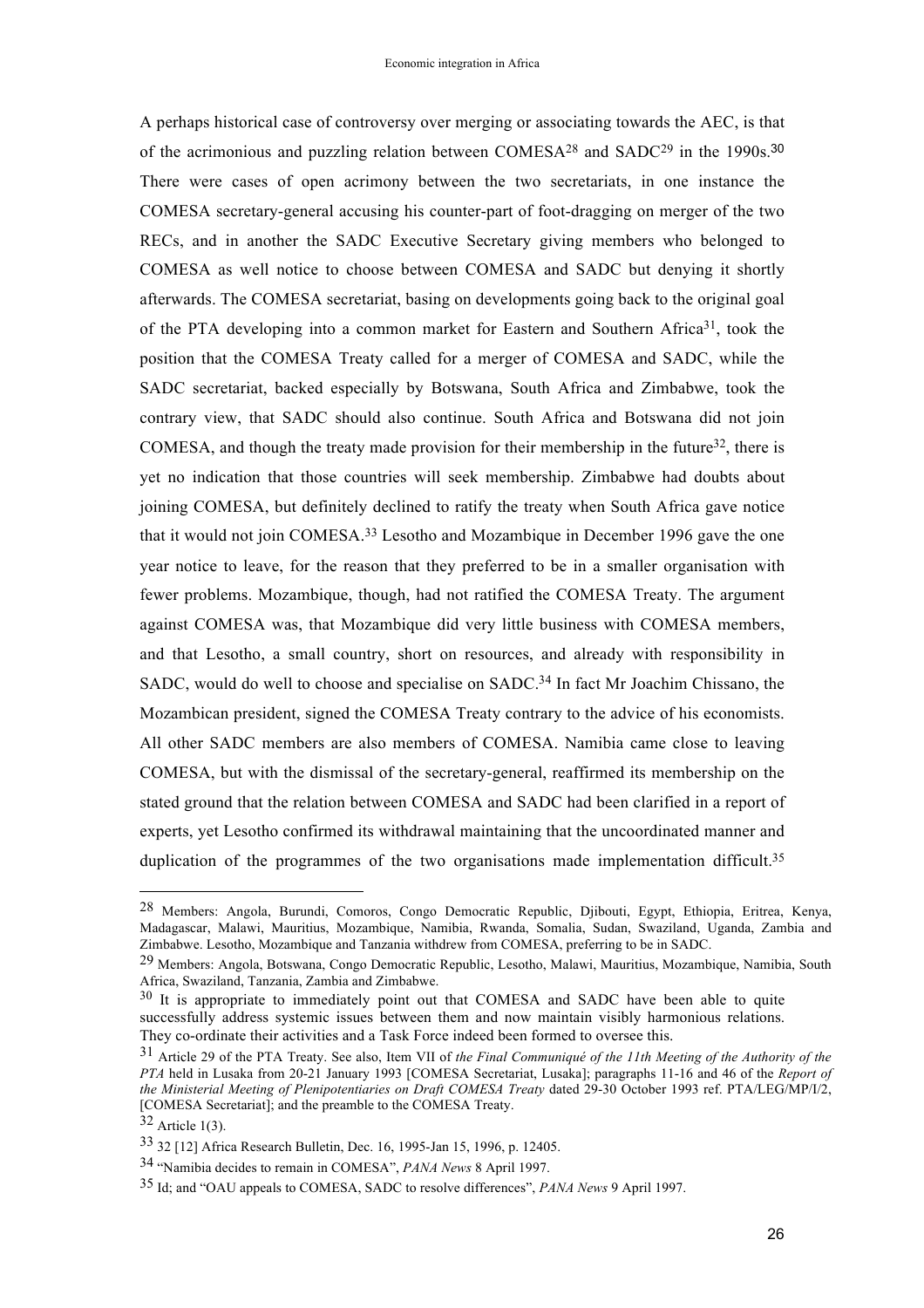A perhaps historical case of controversy over merging or associating towards the AEC, is that of the acrimonious and puzzling relation between  $COMESA^{28}$  and  $SADC^{29}$  in the 1990s.<sup>30</sup> There were cases of open acrimony between the two secretariats, in one instance the COMESA secretary-general accusing his counter-part of foot-dragging on merger of the two RECs, and in another the SADC Executive Secretary giving members who belonged to COMESA as well notice to choose between COMESA and SADC but denying it shortly afterwards. The COMESA secretariat, basing on developments going back to the original goal of the PTA developing into a common market for Eastern and Southern Africa<sup>31</sup>, took the position that the COMESA Treaty called for a merger of COMESA and SADC, while the SADC secretariat, backed especially by Botswana, South Africa and Zimbabwe, took the contrary view, that SADC should also continue. South Africa and Botswana did not join COMESA, and though the treaty made provision for their membership in the future<sup>32</sup>, there is yet no indication that those countries will seek membership. Zimbabwe had doubts about joining COMESA, but definitely declined to ratify the treaty when South Africa gave notice that it would not join COMESA.33 Lesotho and Mozambique in December 1996 gave the one year notice to leave, for the reason that they preferred to be in a smaller organisation with fewer problems. Mozambique, though, had not ratified the COMESA Treaty. The argument against COMESA was, that Mozambique did very little business with COMESA members, and that Lesotho, a small country, short on resources, and already with responsibility in SADC, would do well to choose and specialise on SADC.34 In fact Mr Joachim Chissano, the Mozambican president, signed the COMESA Treaty contrary to the advice of his economists. All other SADC members are also members of COMESA. Namibia came close to leaving COMESA, but with the dismissal of the secretary-general, reaffirmed its membership on the stated ground that the relation between COMESA and SADC had been clarified in a report of experts, yet Lesotho confirmed its withdrawal maintaining that the uncoordinated manner and duplication of the programmes of the two organisations made implementation difficult.<sup>35</sup>

<sup>28</sup> Members: Angola, Burundi, Comoros, Congo Democratic Republic, Djibouti, Egypt, Ethiopia, Eritrea, Kenya, Madagascar, Malawi, Mauritius, Mozambique, Namibia, Rwanda, Somalia, Sudan, Swaziland, Uganda, Zambia and Zimbabwe. Lesotho, Mozambique and Tanzania withdrew from COMESA, preferring to be in SADC.

<sup>29</sup> Members: Angola, Botswana, Congo Democratic Republic, Lesotho, Malawi, Mauritius, Mozambique, Namibia, South Africa, Swaziland, Tanzania, Zambia and Zimbabwe.

<sup>&</sup>lt;sup>30</sup> It is appropriate to immediately point out that COMESA and SADC have been able to quite successfully address systemic issues between them and now maintain visibly harmonious relations. They co-ordinate their activities and a Task Force indeed been formed to oversee this.

<sup>31</sup> Article 29 of the PTA Treaty. See also, Item VII of *the Final Communiqué of the 11th Meeting of the Authority of the PTA* held in Lusaka from 20-21 January 1993 [COMESA Secretariat, Lusaka]; paragraphs 11-16 and 46 of the *Report of the Ministerial Meeting of Plenipotentiaries on Draft COMESA Treaty* dated 29-30 October 1993 ref. PTA/LEG/MP/I/2, [COMESA Secretariat]; and the preamble to the COMESA Treaty.

 $32$  Article 1(3).

<sup>33</sup> 32 [12] Africa Research Bulletin, Dec. 16, 1995-Jan 15, 1996, p. 12405.

<sup>34</sup> "Namibia decides to remain in COMESA", *PANA News* 8 April 1997.

<sup>35</sup> Id; and "OAU appeals to COMESA, SADC to resolve differences", *PANA News* 9 April 1997.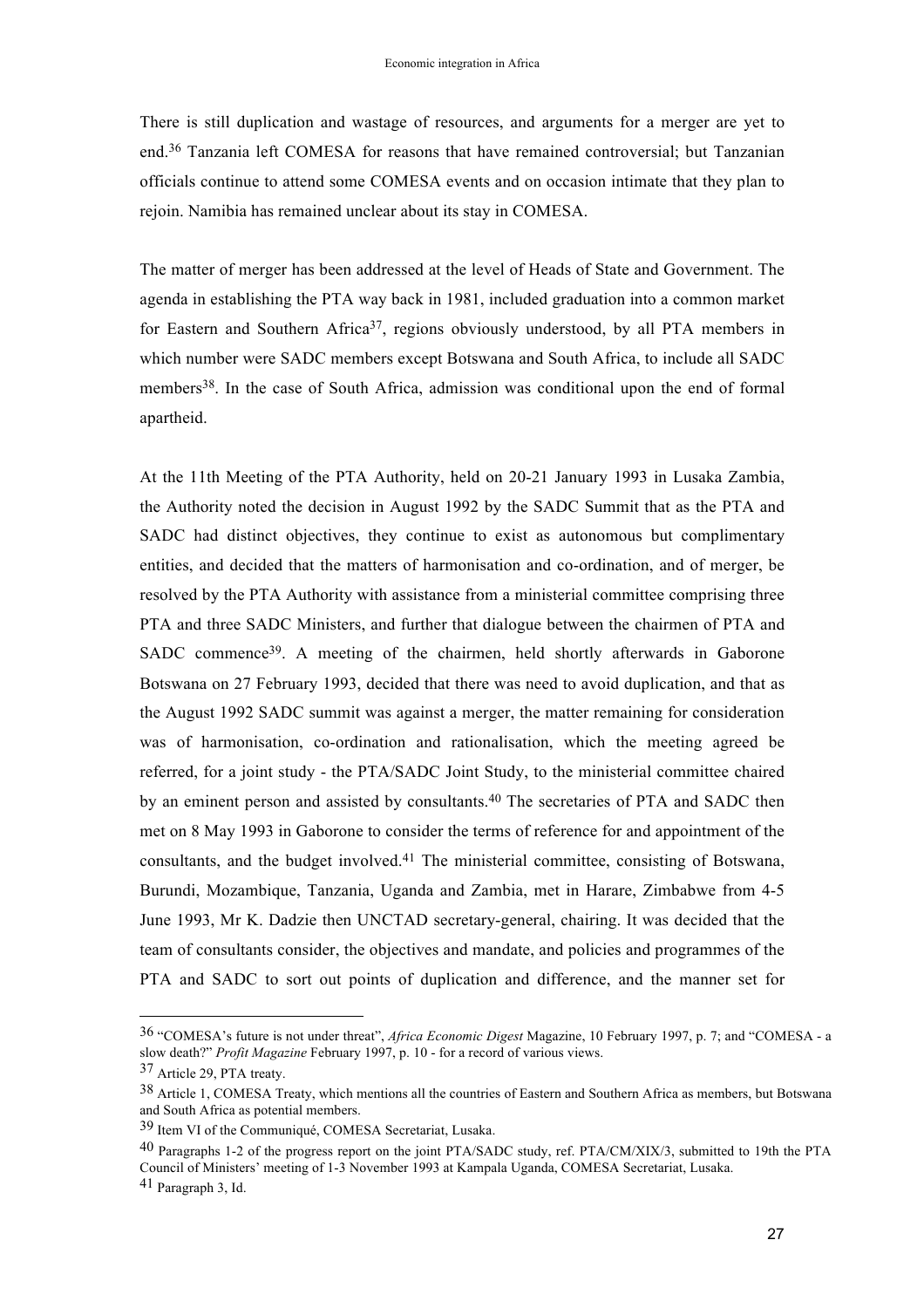There is still duplication and wastage of resources, and arguments for a merger are yet to end.36 Tanzania left COMESA for reasons that have remained controversial; but Tanzanian officials continue to attend some COMESA events and on occasion intimate that they plan to rejoin. Namibia has remained unclear about its stay in COMESA.

The matter of merger has been addressed at the level of Heads of State and Government. The agenda in establishing the PTA way back in 1981, included graduation into a common market for Eastern and Southern Africa<sup>37</sup>, regions obviously understood, by all PTA members in which number were SADC members except Botswana and South Africa, to include all SADC members<sup>38</sup>. In the case of South Africa, admission was conditional upon the end of formal apartheid.

At the 11th Meeting of the PTA Authority, held on 20-21 January 1993 in Lusaka Zambia, the Authority noted the decision in August 1992 by the SADC Summit that as the PTA and SADC had distinct objectives, they continue to exist as autonomous but complimentary entities, and decided that the matters of harmonisation and co-ordination, and of merger, be resolved by the PTA Authority with assistance from a ministerial committee comprising three PTA and three SADC Ministers, and further that dialogue between the chairmen of PTA and SADC commence<sup>39</sup>. A meeting of the chairmen, held shortly afterwards in Gaborone Botswana on 27 February 1993, decided that there was need to avoid duplication, and that as the August 1992 SADC summit was against a merger, the matter remaining for consideration was of harmonisation, co-ordination and rationalisation, which the meeting agreed be referred, for a joint study - the PTA/SADC Joint Study, to the ministerial committee chaired by an eminent person and assisted by consultants.40 The secretaries of PTA and SADC then met on 8 May 1993 in Gaborone to consider the terms of reference for and appointment of the consultants, and the budget involved.41 The ministerial committee, consisting of Botswana, Burundi, Mozambique, Tanzania, Uganda and Zambia, met in Harare, Zimbabwe from 4-5 June 1993, Mr K. Dadzie then UNCTAD secretary-general, chairing. It was decided that the team of consultants consider, the objectives and mandate, and policies and programmes of the PTA and SADC to sort out points of duplication and difference, and the manner set for

<sup>36</sup> "COMESA's future is not under threat", *Africa Economic Digest* Magazine, 10 February 1997, p. 7; and "COMESA - a slow death?" *Profit Magazine* February 1997, p. 10 - for a record of various views.

<sup>37</sup> Article 29, PTA treaty.

<sup>38</sup> Article 1, COMESA Treaty, which mentions all the countries of Eastern and Southern Africa as members, but Botswana and South Africa as potential members.

<sup>39</sup> Item VI of the Communiqué, COMESA Secretariat, Lusaka.

<sup>40</sup> Paragraphs 1-2 of the progress report on the joint PTA/SADC study, ref. PTA/CM/XIX/3, submitted to 19th the PTA Council of Ministers' meeting of 1-3 November 1993 at Kampala Uganda, COMESA Secretariat, Lusaka.

<sup>41</sup> Paragraph 3, Id.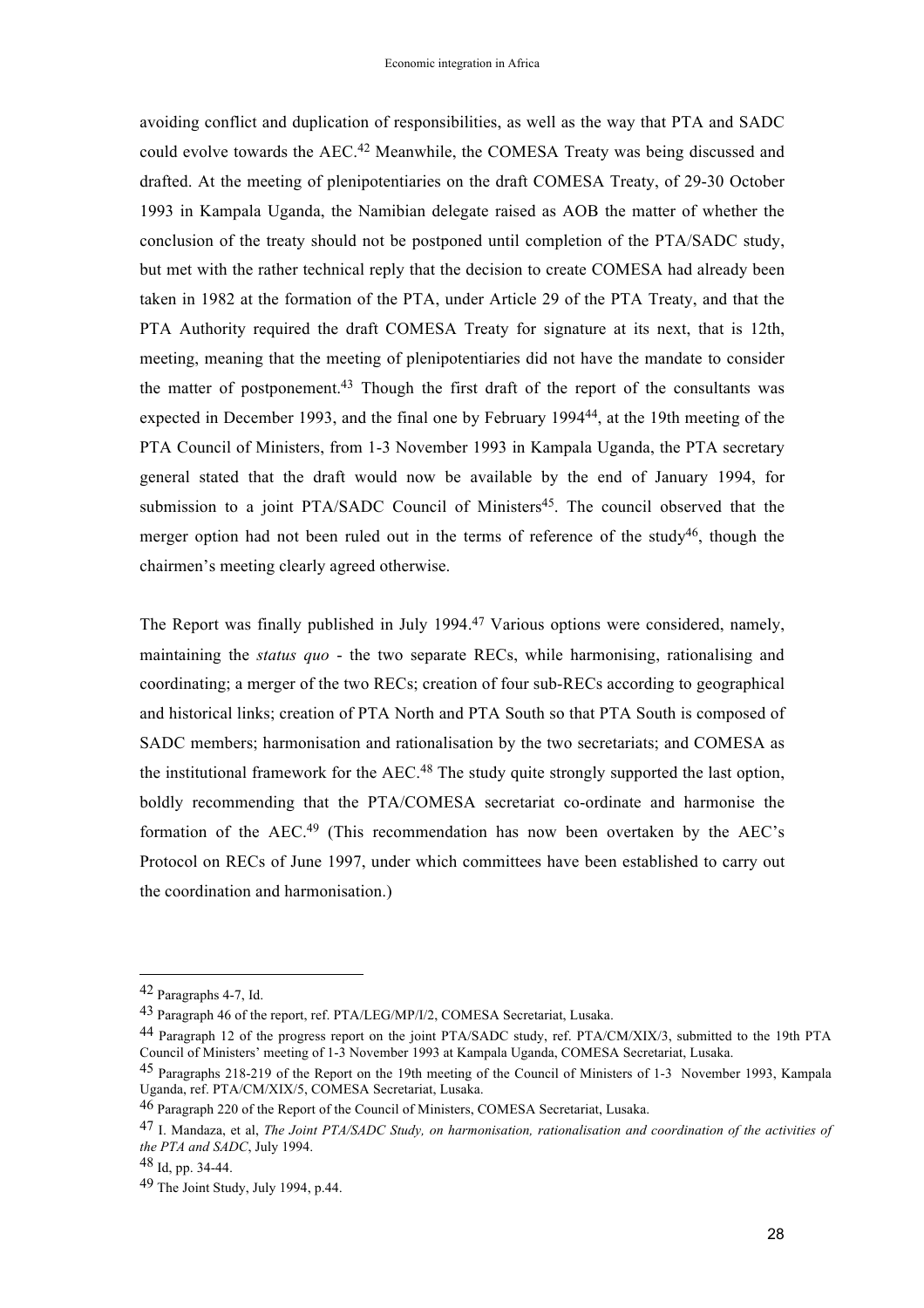avoiding conflict and duplication of responsibilities, as well as the way that PTA and SADC could evolve towards the AEC.42 Meanwhile, the COMESA Treaty was being discussed and drafted. At the meeting of plenipotentiaries on the draft COMESA Treaty, of 29-30 October 1993 in Kampala Uganda, the Namibian delegate raised as AOB the matter of whether the conclusion of the treaty should not be postponed until completion of the PTA/SADC study, but met with the rather technical reply that the decision to create COMESA had already been taken in 1982 at the formation of the PTA, under Article 29 of the PTA Treaty, and that the PTA Authority required the draft COMESA Treaty for signature at its next, that is 12th, meeting, meaning that the meeting of plenipotentiaries did not have the mandate to consider the matter of postponement.43 Though the first draft of the report of the consultants was expected in December 1993, and the final one by February 1994<sup>44</sup>, at the 19th meeting of the PTA Council of Ministers, from 1-3 November 1993 in Kampala Uganda, the PTA secretary general stated that the draft would now be available by the end of January 1994, for submission to a joint PTA/SADC Council of Ministers<sup>45</sup>. The council observed that the merger option had not been ruled out in the terms of reference of the study<sup>46</sup>, though the chairmen's meeting clearly agreed otherwise.

The Report was finally published in July  $1994<sup>47</sup>$  Various options were considered, namely, maintaining the *status quo* - the two separate RECs, while harmonising, rationalising and coordinating; a merger of the two RECs; creation of four sub-RECs according to geographical and historical links; creation of PTA North and PTA South so that PTA South is composed of SADC members; harmonisation and rationalisation by the two secretariats; and COMESA as the institutional framework for the AEC.48 The study quite strongly supported the last option, boldly recommending that the PTA/COMESA secretariat co-ordinate and harmonise the formation of the AEC.49 (This recommendation has now been overtaken by the AEC's Protocol on RECs of June 1997, under which committees have been established to carry out the coordination and harmonisation.)

<sup>42</sup> Paragraphs 4-7, Id.

<sup>43</sup> Paragraph 46 of the report, ref. PTA/LEG/MP/I/2, COMESA Secretariat, Lusaka.

<sup>44</sup> Paragraph 12 of the progress report on the joint PTA/SADC study, ref. PTA/CM/XIX/3, submitted to the 19th PTA Council of Ministers' meeting of 1-3 November 1993 at Kampala Uganda, COMESA Secretariat, Lusaka.

<sup>45</sup> Paragraphs 218-219 of the Report on the 19th meeting of the Council of Ministers of 1-3 November 1993, Kampala Uganda, ref. PTA/CM/XIX/5, COMESA Secretariat, Lusaka.

<sup>46</sup> Paragraph 220 of the Report of the Council of Ministers, COMESA Secretariat, Lusaka.

<sup>47</sup> I. Mandaza, et al, *The Joint PTA/SADC Study, on harmonisation, rationalisation and coordination of the activities of the PTA and SADC*, July 1994.

<sup>48</sup> Id, pp. 34-44.

<sup>49</sup> The Joint Study, July 1994, p.44.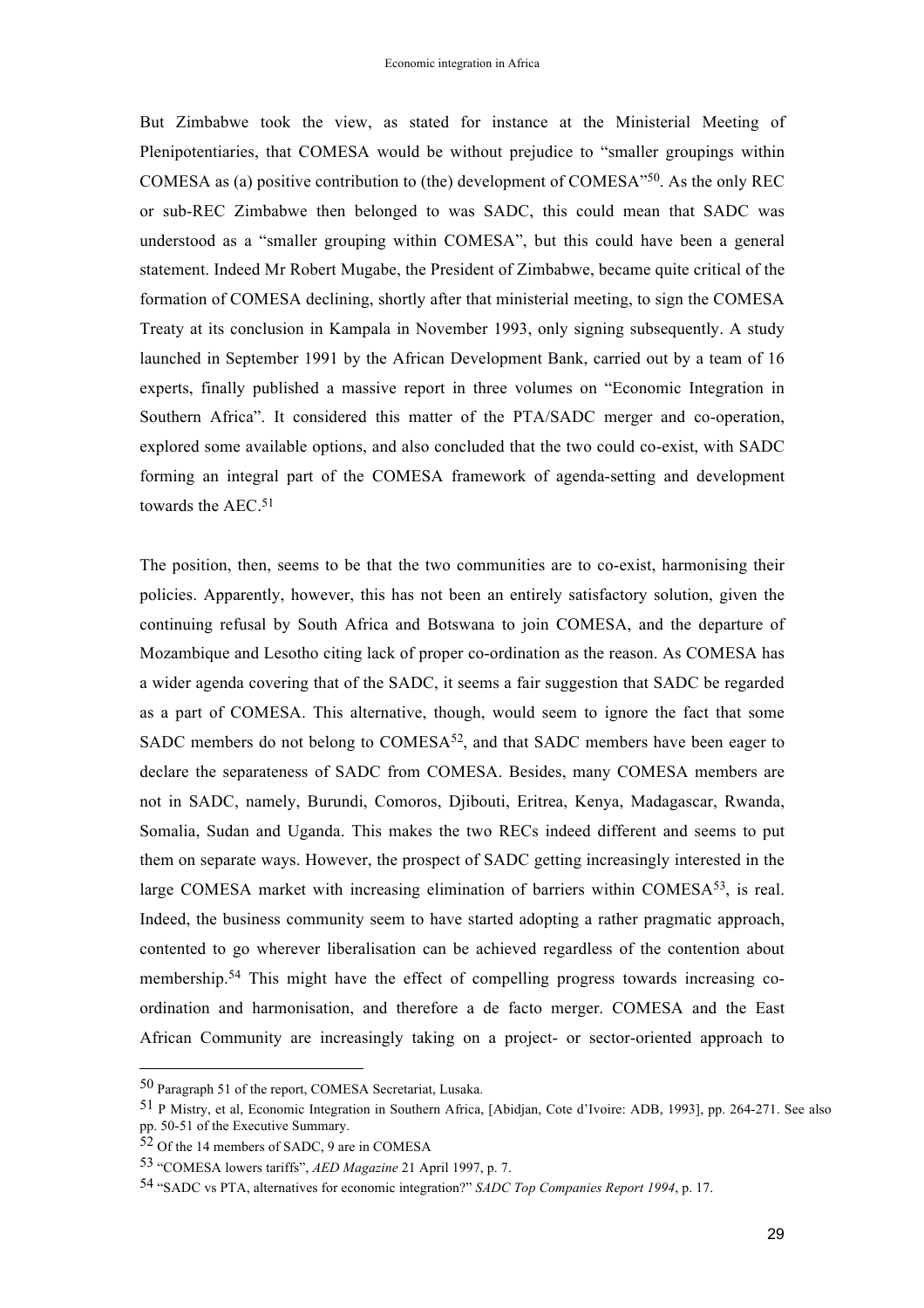But Zimbabwe took the view, as stated for instance at the Ministerial Meeting of Plenipotentiaries, that COMESA would be without prejudice to "smaller groupings within COMESA as (a) positive contribution to (the) development of COMESA"50. As the only REC or sub-REC Zimbabwe then belonged to was SADC, this could mean that SADC was understood as a "smaller grouping within COMESA", but this could have been a general statement. Indeed Mr Robert Mugabe, the President of Zimbabwe, became quite critical of the formation of COMESA declining, shortly after that ministerial meeting, to sign the COMESA Treaty at its conclusion in Kampala in November 1993, only signing subsequently. A study launched in September 1991 by the African Development Bank, carried out by a team of 16 experts, finally published a massive report in three volumes on "Economic Integration in Southern Africa". It considered this matter of the PTA/SADC merger and co-operation, explored some available options, and also concluded that the two could co-exist, with SADC forming an integral part of the COMESA framework of agenda-setting and development towards the AEC.<sup>51</sup>

The position, then, seems to be that the two communities are to co-exist, harmonising their policies. Apparently, however, this has not been an entirely satisfactory solution, given the continuing refusal by South Africa and Botswana to join COMESA, and the departure of Mozambique and Lesotho citing lack of proper co-ordination as the reason. As COMESA has a wider agenda covering that of the SADC, it seems a fair suggestion that SADC be regarded as a part of COMESA. This alternative, though, would seem to ignore the fact that some SADC members do not belong to COMESA<sup>52</sup>, and that SADC members have been eager to declare the separateness of SADC from COMESA. Besides, many COMESA members are not in SADC, namely, Burundi, Comoros, Djibouti, Eritrea, Kenya, Madagascar, Rwanda, Somalia, Sudan and Uganda. This makes the two RECs indeed different and seems to put them on separate ways. However, the prospect of SADC getting increasingly interested in the large COMESA market with increasing elimination of barriers within COMESA<sup>53</sup>, is real. Indeed, the business community seem to have started adopting a rather pragmatic approach, contented to go wherever liberalisation can be achieved regardless of the contention about membership.54 This might have the effect of compelling progress towards increasing coordination and harmonisation, and therefore a de facto merger. COMESA and the East African Community are increasingly taking on a project- or sector-oriented approach to

<sup>50</sup> Paragraph 51 of the report, COMESA Secretariat, Lusaka.

<sup>51</sup> P Mistry, et al, Economic Integration in Southern Africa, [Abidjan, Cote d'Ivoire: ADB, 1993], pp. 264-271. See also pp. 50-51 of the Executive Summary.

<sup>52</sup> Of the 14 members of SADC, 9 are in COMESA

<sup>53</sup> "COMESA lowers tariffs", *AED Magazine* 21 April 1997, p. 7.

<sup>54</sup> "SADC vs PTA, alternatives for economic integration?" *SADC Top Companies Report 1994*, p. 17.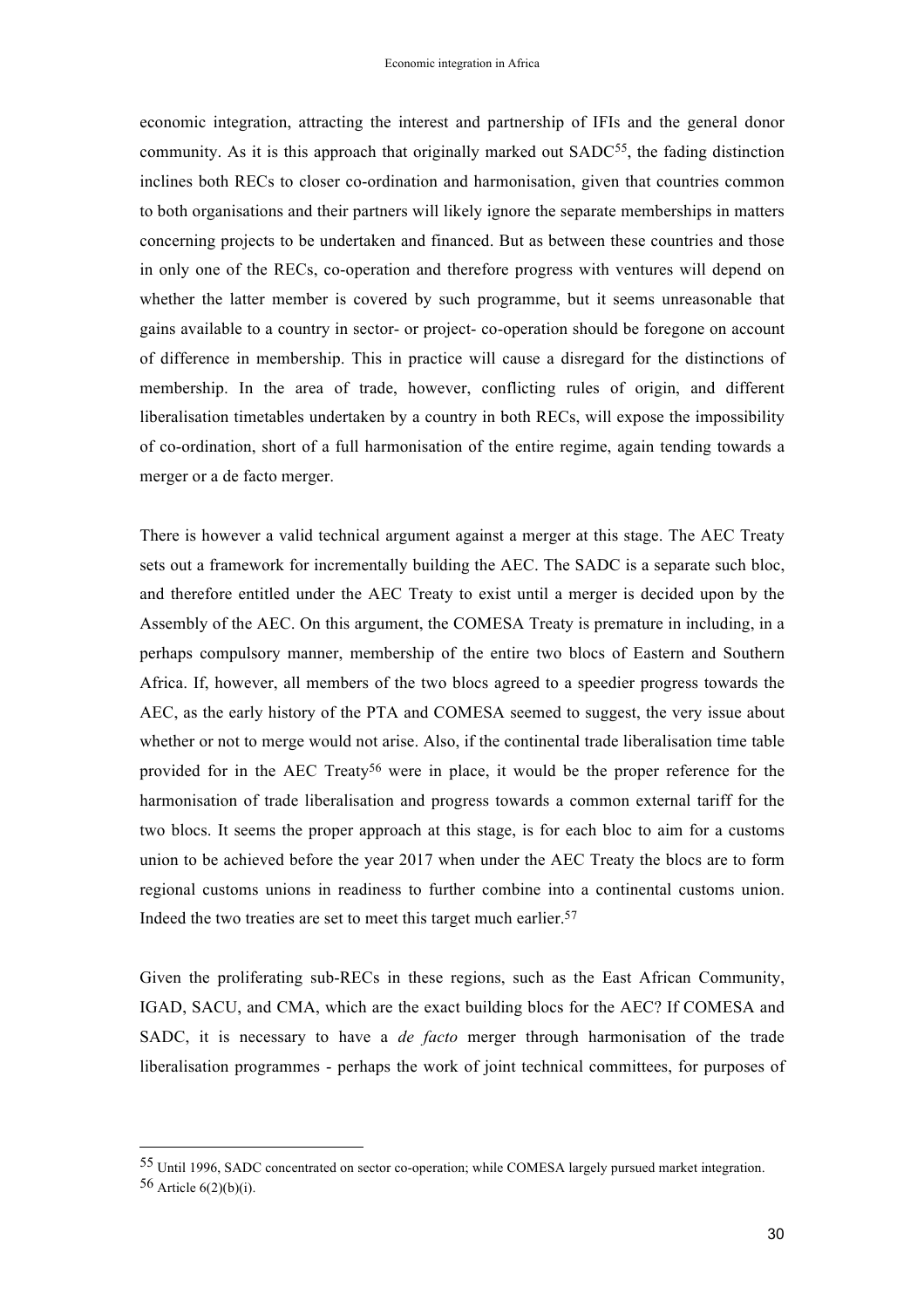economic integration, attracting the interest and partnership of IFIs and the general donor community. As it is this approach that originally marked out SADC<sup>55</sup>, the fading distinction inclines both RECs to closer co-ordination and harmonisation, given that countries common to both organisations and their partners will likely ignore the separate memberships in matters concerning projects to be undertaken and financed. But as between these countries and those in only one of the RECs, co-operation and therefore progress with ventures will depend on whether the latter member is covered by such programme, but it seems unreasonable that gains available to a country in sector- or project- co-operation should be foregone on account of difference in membership. This in practice will cause a disregard for the distinctions of membership. In the area of trade, however, conflicting rules of origin, and different liberalisation timetables undertaken by a country in both RECs, will expose the impossibility of co-ordination, short of a full harmonisation of the entire regime, again tending towards a merger or a de facto merger.

There is however a valid technical argument against a merger at this stage. The AEC Treaty sets out a framework for incrementally building the AEC. The SADC is a separate such bloc, and therefore entitled under the AEC Treaty to exist until a merger is decided upon by the Assembly of the AEC. On this argument, the COMESA Treaty is premature in including, in a perhaps compulsory manner, membership of the entire two blocs of Eastern and Southern Africa. If, however, all members of the two blocs agreed to a speedier progress towards the AEC, as the early history of the PTA and COMESA seemed to suggest, the very issue about whether or not to merge would not arise. Also, if the continental trade liberalisation time table provided for in the AEC Treaty<sup>56</sup> were in place, it would be the proper reference for the harmonisation of trade liberalisation and progress towards a common external tariff for the two blocs. It seems the proper approach at this stage, is for each bloc to aim for a customs union to be achieved before the year 2017 when under the AEC Treaty the blocs are to form regional customs unions in readiness to further combine into a continental customs union. Indeed the two treaties are set to meet this target much earlier.57

Given the proliferating sub-RECs in these regions, such as the East African Community, IGAD, SACU, and CMA, which are the exact building blocs for the AEC? If COMESA and SADC, it is necessary to have a *de facto* merger through harmonisation of the trade liberalisation programmes - perhaps the work of joint technical committees, for purposes of

<sup>55</sup> Until 1996, SADC concentrated on sector co-operation; while COMESA largely pursued market integration.  $56$  Article  $6(2)(b)(i)$ .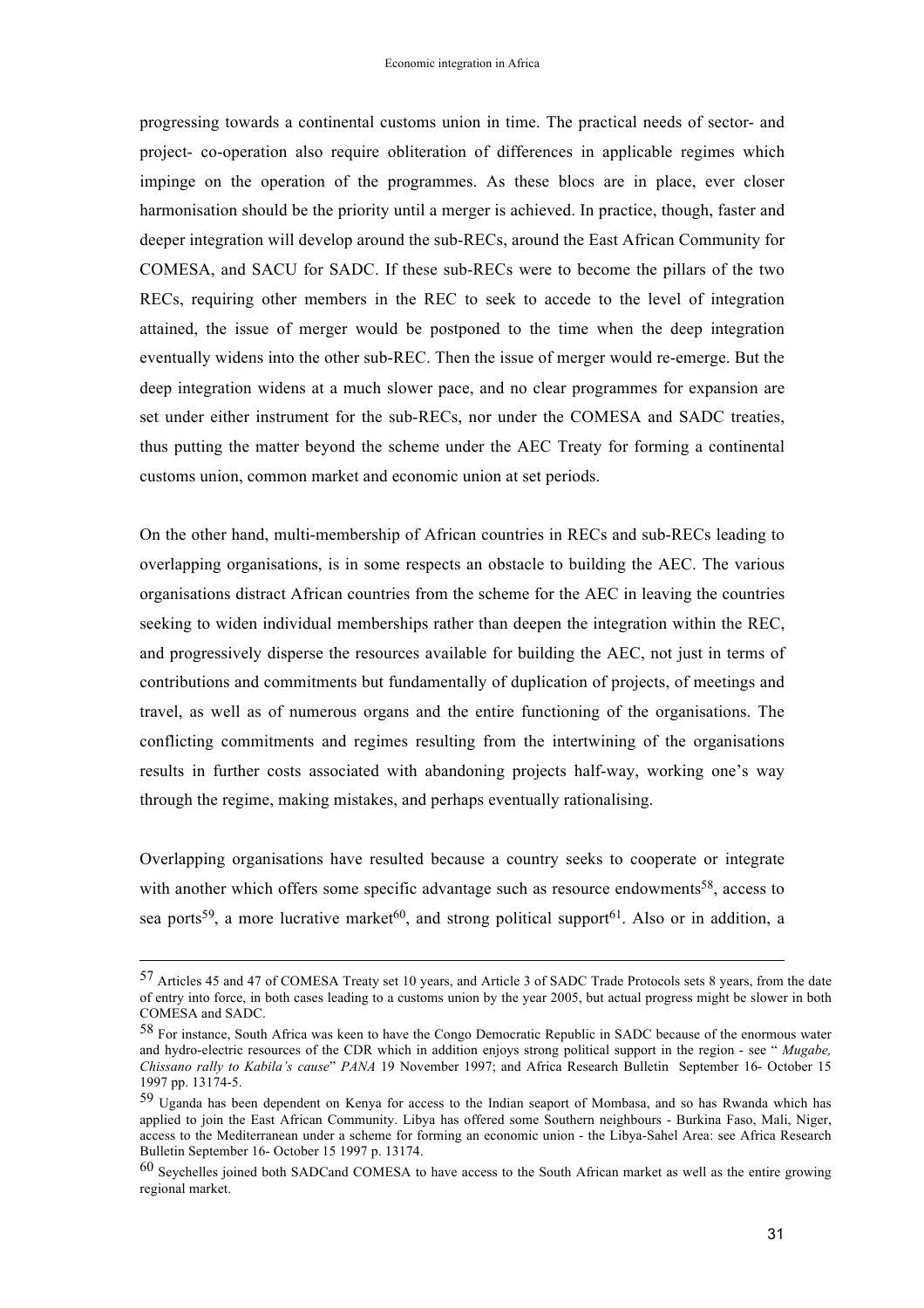progressing towards a continental customs union in time. The practical needs of sector- and project- co-operation also require obliteration of differences in applicable regimes which impinge on the operation of the programmes. As these blocs are in place, ever closer harmonisation should be the priority until a merger is achieved. In practice, though, faster and deeper integration will develop around the sub-RECs, around the East African Community for COMESA, and SACU for SADC. If these sub-RECs were to become the pillars of the two RECs, requiring other members in the REC to seek to accede to the level of integration attained, the issue of merger would be postponed to the time when the deep integration eventually widens into the other sub-REC. Then the issue of merger would re-emerge. But the deep integration widens at a much slower pace, and no clear programmes for expansion are set under either instrument for the sub-RECs, nor under the COMESA and SADC treaties, thus putting the matter beyond the scheme under the AEC Treaty for forming a continental customs union, common market and economic union at set periods.

On the other hand, multi-membership of African countries in RECs and sub-RECs leading to overlapping organisations, is in some respects an obstacle to building the AEC. The various organisations distract African countries from the scheme for the AEC in leaving the countries seeking to widen individual memberships rather than deepen the integration within the REC, and progressively disperse the resources available for building the AEC, not just in terms of contributions and commitments but fundamentally of duplication of projects, of meetings and travel, as well as of numerous organs and the entire functioning of the organisations. The conflicting commitments and regimes resulting from the intertwining of the organisations results in further costs associated with abandoning projects half-way, working one's way through the regime, making mistakes, and perhaps eventually rationalising.

Overlapping organisations have resulted because a country seeks to cooperate or integrate with another which offers some specific advantage such as resource endowments<sup>58</sup>, access to sea ports<sup>59</sup>, a more lucrative market<sup>60</sup>, and strong political support<sup>61</sup>. Also or in addition, a

<sup>57</sup> Articles 45 and 47 of COMESA Treaty set 10 years, and Article 3 of SADC Trade Protocols sets 8 years, from the date of entry into force, in both cases leading to a customs union by the year 2005, but actual progress might be slower in both COMESA and SADC.

<sup>58</sup> For instance, South Africa was keen to have the Congo Democratic Republic in SADC because of the enormous water and hydro-electric resources of the CDR which in addition enjoys strong political support in the region - see " *Mugabe, Chissano rally to Kabila's cause*" *PANA* 19 November 1997; and Africa Research Bulletin September 16- October 15 1997 pp. 13174-5.

<sup>59</sup> Uganda has been dependent on Kenya for access to the Indian seaport of Mombasa, and so has Rwanda which has applied to join the East African Community. Libya has offered some Southern neighbours - Burkina Faso, Mali, Niger, access to the Mediterranean under a scheme for forming an economic union - the Libya-Sahel Area: see Africa Research Bulletin September 16- October 15 1997 p. 13174.

<sup>60</sup> Seychelles joined both SADCand COMESA to have access to the South African market as well as the entire growing regional market.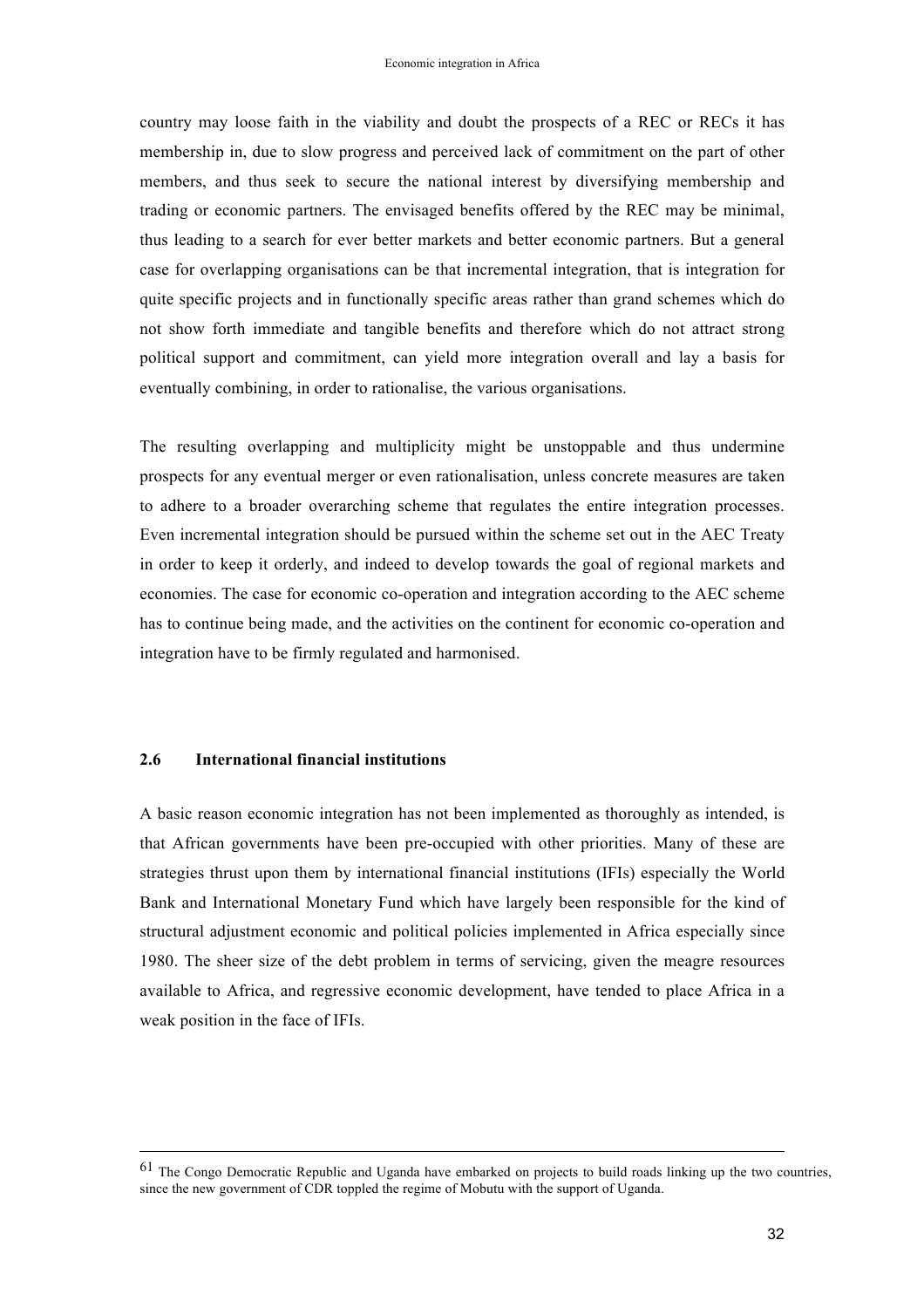country may loose faith in the viability and doubt the prospects of a REC or RECs it has membership in, due to slow progress and perceived lack of commitment on the part of other members, and thus seek to secure the national interest by diversifying membership and trading or economic partners. The envisaged benefits offered by the REC may be minimal, thus leading to a search for ever better markets and better economic partners. But a general case for overlapping organisations can be that incremental integration, that is integration for quite specific projects and in functionally specific areas rather than grand schemes which do not show forth immediate and tangible benefits and therefore which do not attract strong political support and commitment, can yield more integration overall and lay a basis for eventually combining, in order to rationalise, the various organisations.

The resulting overlapping and multiplicity might be unstoppable and thus undermine prospects for any eventual merger or even rationalisation, unless concrete measures are taken to adhere to a broader overarching scheme that regulates the entire integration processes. Even incremental integration should be pursued within the scheme set out in the AEC Treaty in order to keep it orderly, and indeed to develop towards the goal of regional markets and economies. The case for economic co-operation and integration according to the AEC scheme has to continue being made, and the activities on the continent for economic co-operation and integration have to be firmly regulated and harmonised.

# **2.6 International financial institutions**

l

A basic reason economic integration has not been implemented as thoroughly as intended, is that African governments have been pre-occupied with other priorities. Many of these are strategies thrust upon them by international financial institutions (IFIs) especially the World Bank and International Monetary Fund which have largely been responsible for the kind of structural adjustment economic and political policies implemented in Africa especially since 1980. The sheer size of the debt problem in terms of servicing, given the meagre resources available to Africa, and regressive economic development, have tended to place Africa in a weak position in the face of IFIs.

 $61$  The Congo Democratic Republic and Uganda have embarked on projects to build roads linking up the two countries, since the new government of CDR toppled the regime of Mobutu with the support of Uganda.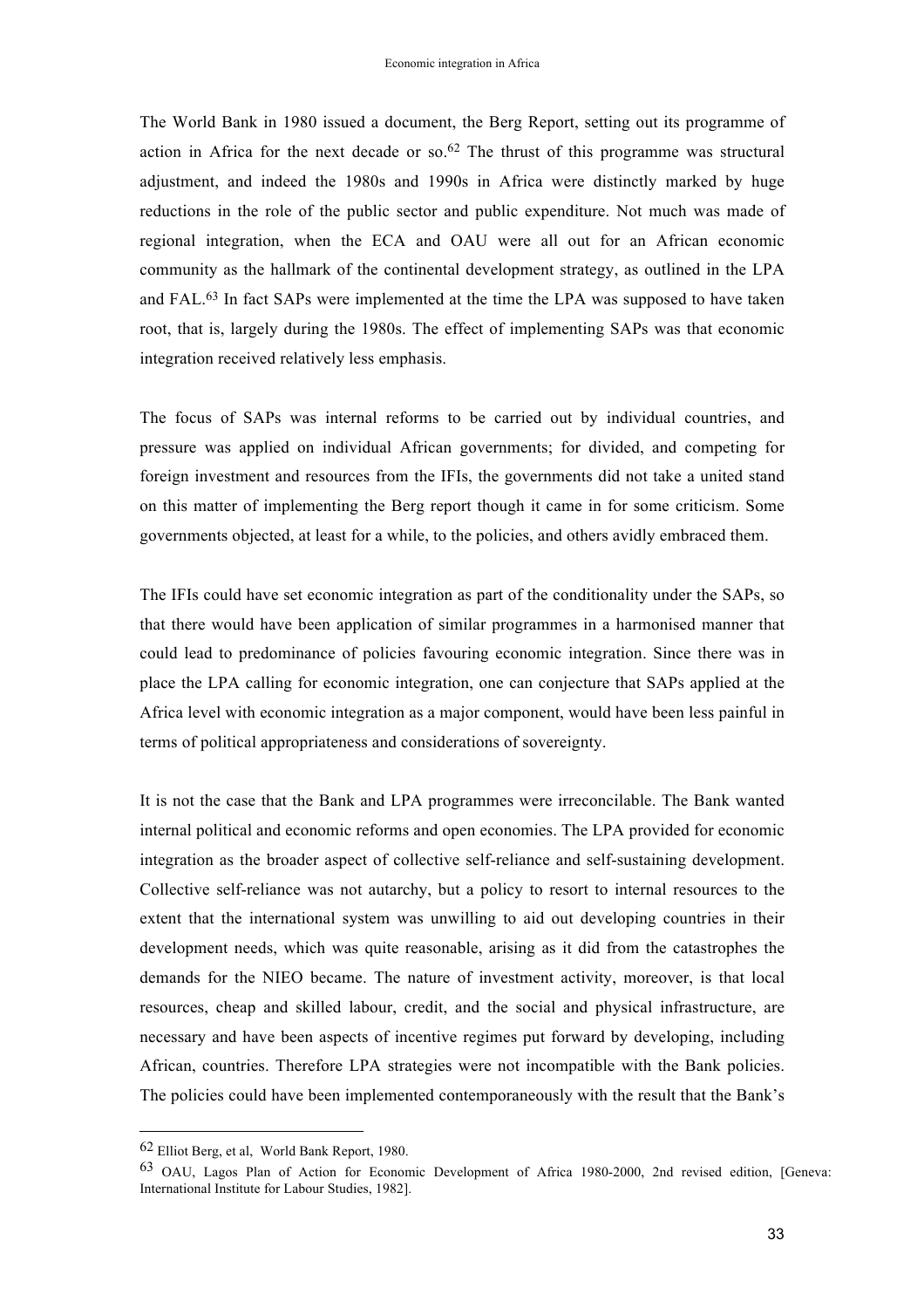The World Bank in 1980 issued a document, the Berg Report, setting out its programme of action in Africa for the next decade or so.<sup>62</sup> The thrust of this programme was structural adjustment, and indeed the 1980s and 1990s in Africa were distinctly marked by huge reductions in the role of the public sector and public expenditure. Not much was made of regional integration, when the ECA and OAU were all out for an African economic community as the hallmark of the continental development strategy, as outlined in the LPA and FAL.63 In fact SAPs were implemented at the time the LPA was supposed to have taken root, that is, largely during the 1980s. The effect of implementing SAPs was that economic integration received relatively less emphasis.

The focus of SAPs was internal reforms to be carried out by individual countries, and pressure was applied on individual African governments; for divided, and competing for foreign investment and resources from the IFIs, the governments did not take a united stand on this matter of implementing the Berg report though it came in for some criticism. Some governments objected, at least for a while, to the policies, and others avidly embraced them.

The IFIs could have set economic integration as part of the conditionality under the SAPs, so that there would have been application of similar programmes in a harmonised manner that could lead to predominance of policies favouring economic integration. Since there was in place the LPA calling for economic integration, one can conjecture that SAPs applied at the Africa level with economic integration as a major component, would have been less painful in terms of political appropriateness and considerations of sovereignty.

It is not the case that the Bank and LPA programmes were irreconcilable. The Bank wanted internal political and economic reforms and open economies. The LPA provided for economic integration as the broader aspect of collective self-reliance and self-sustaining development. Collective self-reliance was not autarchy, but a policy to resort to internal resources to the extent that the international system was unwilling to aid out developing countries in their development needs, which was quite reasonable, arising as it did from the catastrophes the demands for the NIEO became. The nature of investment activity, moreover, is that local resources, cheap and skilled labour, credit, and the social and physical infrastructure, are necessary and have been aspects of incentive regimes put forward by developing, including African, countries. Therefore LPA strategies were not incompatible with the Bank policies. The policies could have been implemented contemporaneously with the result that the Bank's

<sup>62</sup> Elliot Berg, et al, World Bank Report, 1980.

<sup>63</sup> OAU, Lagos Plan of Action for Economic Development of Africa 1980-2000, 2nd revised edition, [Geneva: International Institute for Labour Studies, 1982].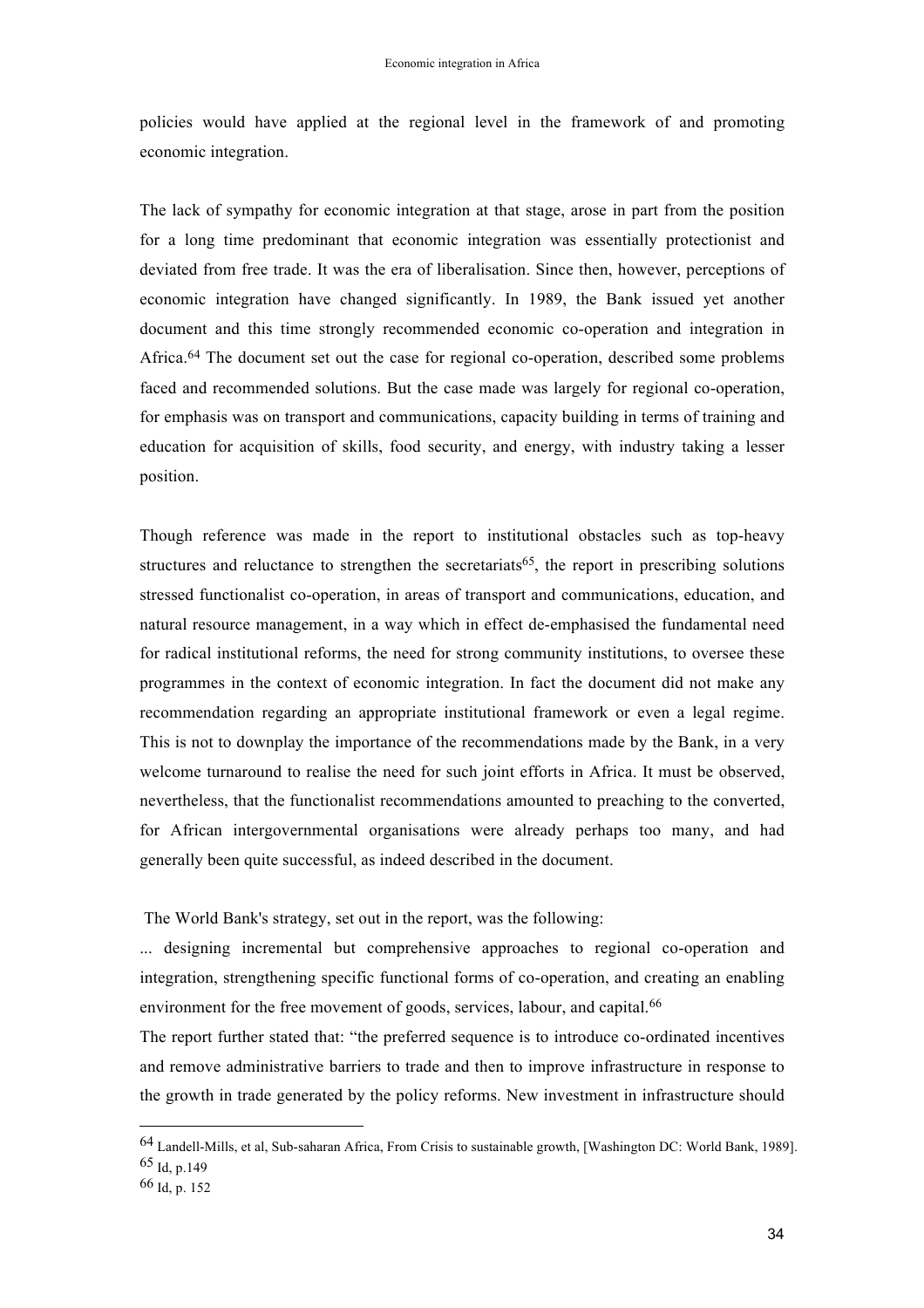policies would have applied at the regional level in the framework of and promoting economic integration.

The lack of sympathy for economic integration at that stage, arose in part from the position for a long time predominant that economic integration was essentially protectionist and deviated from free trade. It was the era of liberalisation. Since then, however, perceptions of economic integration have changed significantly. In 1989, the Bank issued yet another document and this time strongly recommended economic co-operation and integration in Africa.64 The document set out the case for regional co-operation, described some problems faced and recommended solutions. But the case made was largely for regional co-operation, for emphasis was on transport and communications, capacity building in terms of training and education for acquisition of skills, food security, and energy, with industry taking a lesser position.

Though reference was made in the report to institutional obstacles such as top-heavy structures and reluctance to strengthen the secretariats<sup>65</sup>, the report in prescribing solutions stressed functionalist co-operation, in areas of transport and communications, education, and natural resource management, in a way which in effect de-emphasised the fundamental need for radical institutional reforms, the need for strong community institutions, to oversee these programmes in the context of economic integration. In fact the document did not make any recommendation regarding an appropriate institutional framework or even a legal regime. This is not to downplay the importance of the recommendations made by the Bank, in a very welcome turnaround to realise the need for such joint efforts in Africa. It must be observed, nevertheless, that the functionalist recommendations amounted to preaching to the converted, for African intergovernmental organisations were already perhaps too many, and had generally been quite successful, as indeed described in the document.

The World Bank's strategy, set out in the report, was the following:

... designing incremental but comprehensive approaches to regional co-operation and integration, strengthening specific functional forms of co-operation, and creating an enabling environment for the free movement of goods, services, labour, and capital.<sup>66</sup>

The report further stated that: "the preferred sequence is to introduce co-ordinated incentives and remove administrative barriers to trade and then to improve infrastructure in response to the growth in trade generated by the policy reforms. New investment in infrastructure should

<sup>64</sup> Landell-Mills, et al, Sub-saharan Africa, From Crisis to sustainable growth, [Washington DC: World Bank, 1989]. 65 Id, p.149

<sup>66</sup> Id, p. 152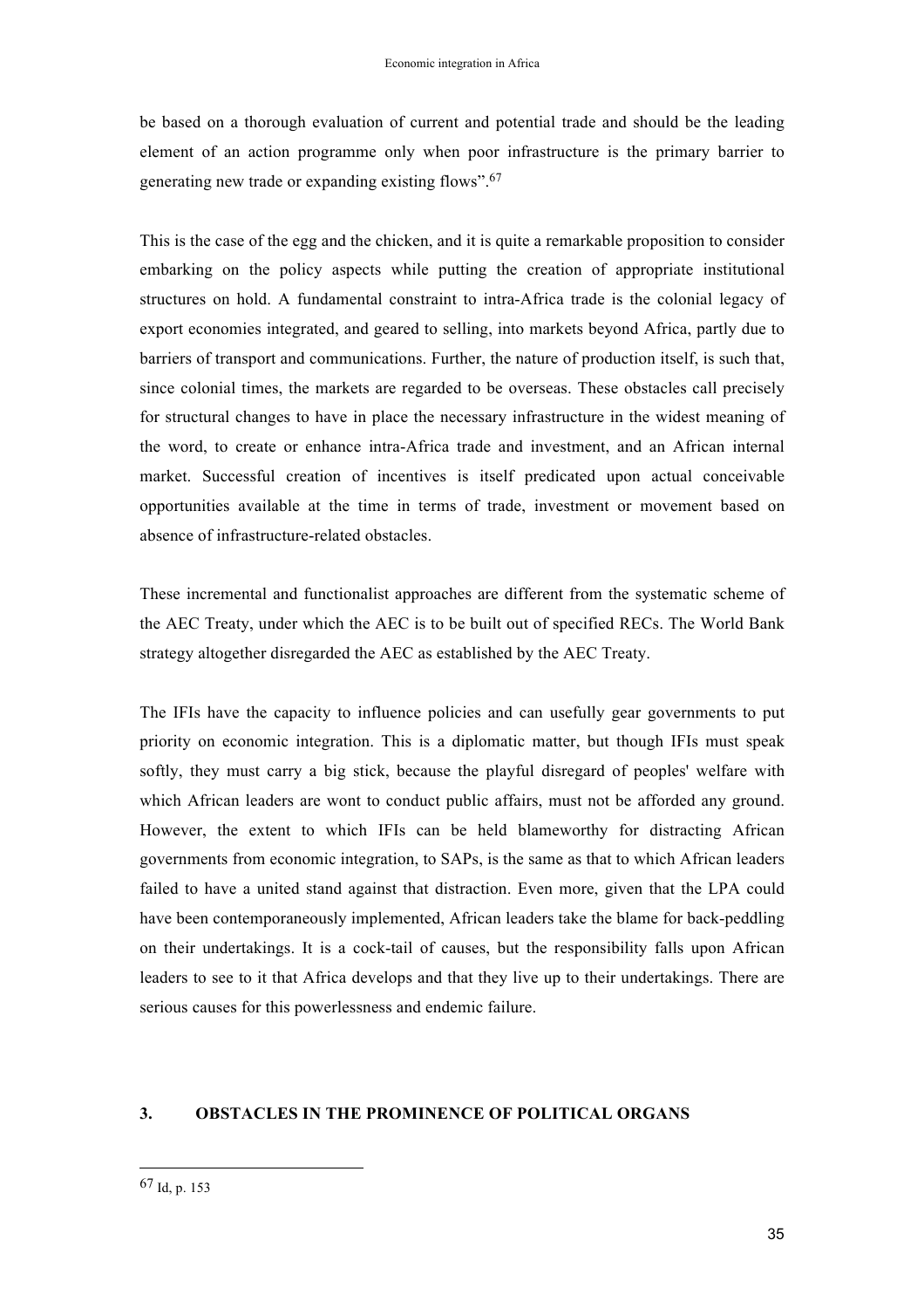be based on a thorough evaluation of current and potential trade and should be the leading element of an action programme only when poor infrastructure is the primary barrier to generating new trade or expanding existing flows".67

This is the case of the egg and the chicken, and it is quite a remarkable proposition to consider embarking on the policy aspects while putting the creation of appropriate institutional structures on hold. A fundamental constraint to intra-Africa trade is the colonial legacy of export economies integrated, and geared to selling, into markets beyond Africa, partly due to barriers of transport and communications. Further, the nature of production itself, is such that, since colonial times, the markets are regarded to be overseas. These obstacles call precisely for structural changes to have in place the necessary infrastructure in the widest meaning of the word, to create or enhance intra-Africa trade and investment, and an African internal market. Successful creation of incentives is itself predicated upon actual conceivable opportunities available at the time in terms of trade, investment or movement based on absence of infrastructure-related obstacles.

These incremental and functionalist approaches are different from the systematic scheme of the AEC Treaty, under which the AEC is to be built out of specified RECs. The World Bank strategy altogether disregarded the AEC as established by the AEC Treaty.

The IFIs have the capacity to influence policies and can usefully gear governments to put priority on economic integration. This is a diplomatic matter, but though IFIs must speak softly, they must carry a big stick, because the playful disregard of peoples' welfare with which African leaders are wont to conduct public affairs, must not be afforded any ground. However, the extent to which IFIs can be held blameworthy for distracting African governments from economic integration, to SAPs, is the same as that to which African leaders failed to have a united stand against that distraction. Even more, given that the LPA could have been contemporaneously implemented, African leaders take the blame for back-peddling on their undertakings. It is a cock-tail of causes, but the responsibility falls upon African leaders to see to it that Africa develops and that they live up to their undertakings. There are serious causes for this powerlessness and endemic failure.

# **3. OBSTACLES IN THE PROMINENCE OF POLITICAL ORGANS**

<sup>67</sup> Id, p. 153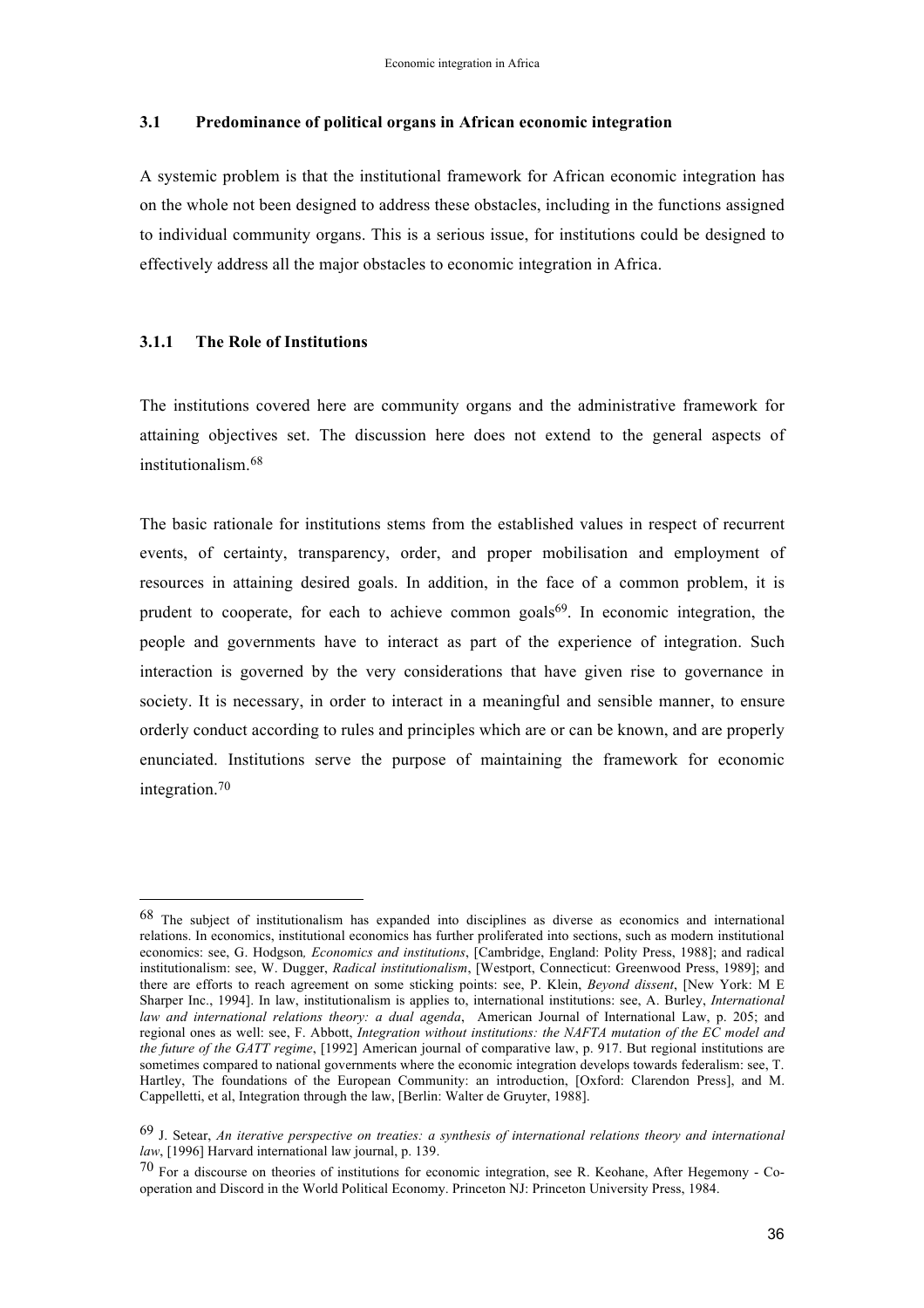### **3.1 Predominance of political organs in African economic integration**

A systemic problem is that the institutional framework for African economic integration has on the whole not been designed to address these obstacles, including in the functions assigned to individual community organs. This is a serious issue, for institutions could be designed to effectively address all the major obstacles to economic integration in Africa.

# **3.1.1 The Role of Institutions**

l

The institutions covered here are community organs and the administrative framework for attaining objectives set. The discussion here does not extend to the general aspects of institutionalism.68

The basic rationale for institutions stems from the established values in respect of recurrent events, of certainty, transparency, order, and proper mobilisation and employment of resources in attaining desired goals. In addition, in the face of a common problem, it is prudent to cooperate, for each to achieve common goals<sup>69</sup>. In economic integration, the people and governments have to interact as part of the experience of integration. Such interaction is governed by the very considerations that have given rise to governance in society. It is necessary, in order to interact in a meaningful and sensible manner, to ensure orderly conduct according to rules and principles which are or can be known, and are properly enunciated. Institutions serve the purpose of maintaining the framework for economic integration.70

<sup>68</sup> The subject of institutionalism has expanded into disciplines as diverse as economics and international relations. In economics, institutional economics has further proliferated into sections, such as modern institutional economics: see, G. Hodgson*, Economics and institutions*, [Cambridge, England: Polity Press, 1988]; and radical institutionalism: see, W. Dugger, *Radical institutionalism*, [Westport, Connecticut: Greenwood Press, 1989]; and there are efforts to reach agreement on some sticking points: see, P. Klein, *Beyond dissent*, [New York: M E Sharper Inc., 1994]. In law, institutionalism is applies to, international institutions: see, A. Burley, *International law and international relations theory: a dual agenda*, American Journal of International Law, p. 205; and regional ones as well: see, F. Abbott, *Integration without institutions: the NAFTA mutation of the EC model and the future of the GATT regime*, [1992] American journal of comparative law, p. 917. But regional institutions are sometimes compared to national governments where the economic integration develops towards federalism: see, T. Hartley, The foundations of the European Community: an introduction, [Oxford: Clarendon Press], and M. Cappelletti, et al, Integration through the law, [Berlin: Walter de Gruyter, 1988].

<sup>69</sup> J. Setear, *An iterative perspective on treaties: a synthesis of international relations theory and international law*, [1996] Harvard international law journal, p. 139.

 $70$  For a discourse on theories of institutions for economic integration, see R. Keohane, After Hegemony - Cooperation and Discord in the World Political Economy. Princeton NJ: Princeton University Press, 1984.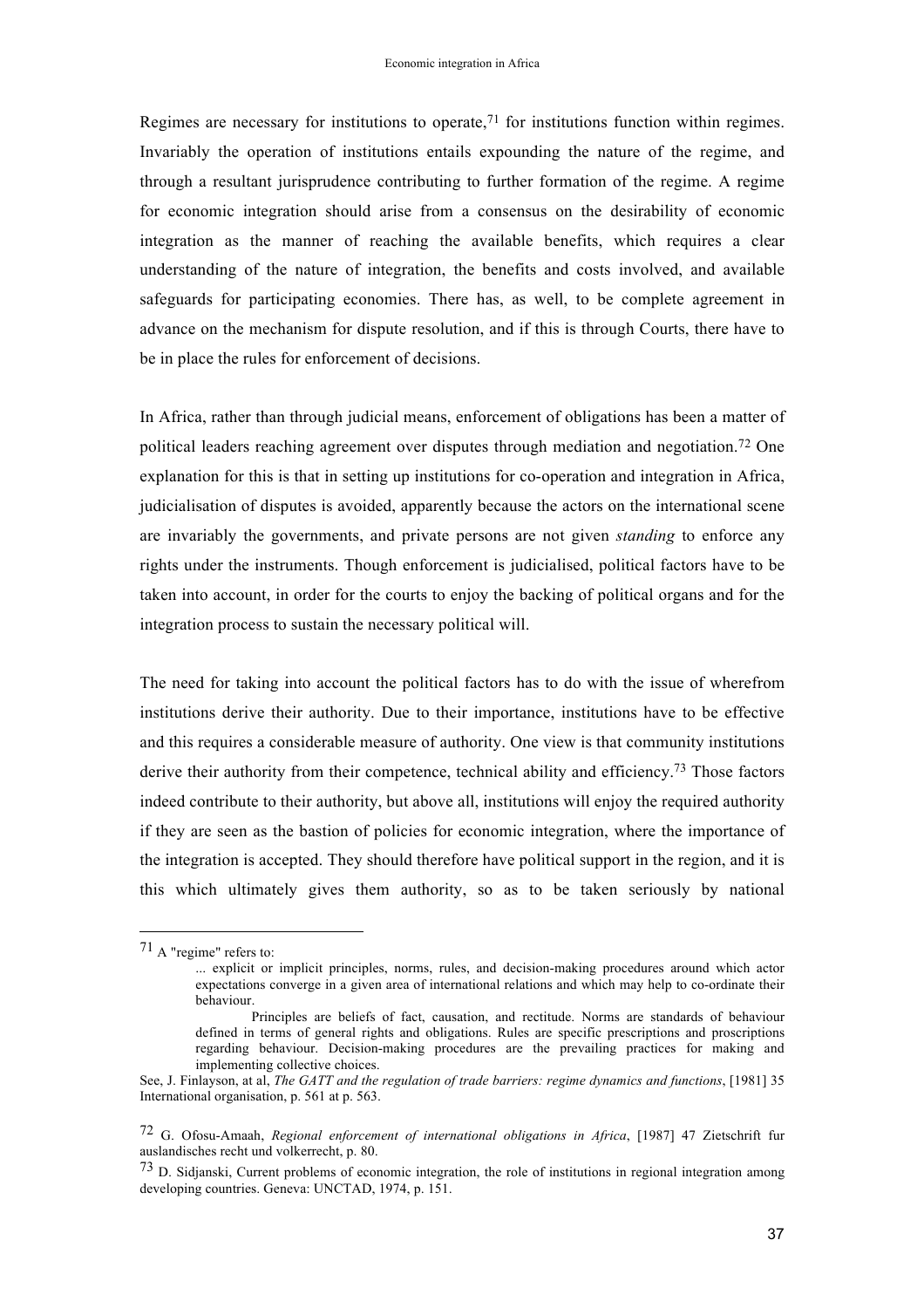Regimes are necessary for institutions to operate,<sup> $71$ </sup> for institutions function within regimes. Invariably the operation of institutions entails expounding the nature of the regime, and through a resultant jurisprudence contributing to further formation of the regime. A regime for economic integration should arise from a consensus on the desirability of economic integration as the manner of reaching the available benefits, which requires a clear understanding of the nature of integration, the benefits and costs involved, and available safeguards for participating economies. There has, as well, to be complete agreement in advance on the mechanism for dispute resolution, and if this is through Courts, there have to be in place the rules for enforcement of decisions.

In Africa, rather than through judicial means, enforcement of obligations has been a matter of political leaders reaching agreement over disputes through mediation and negotiation.72 One explanation for this is that in setting up institutions for co-operation and integration in Africa, judicialisation of disputes is avoided, apparently because the actors on the international scene are invariably the governments, and private persons are not given *standing* to enforce any rights under the instruments. Though enforcement is judicialised, political factors have to be taken into account, in order for the courts to enjoy the backing of political organs and for the integration process to sustain the necessary political will.

The need for taking into account the political factors has to do with the issue of wherefrom institutions derive their authority. Due to their importance, institutions have to be effective and this requires a considerable measure of authority. One view is that community institutions derive their authority from their competence, technical ability and efficiency.73 Those factors indeed contribute to their authority, but above all, institutions will enjoy the required authority if they are seen as the bastion of policies for economic integration, where the importance of the integration is accepted. They should therefore have political support in the region, and it is this which ultimately gives them authority, so as to be taken seriously by national

<sup>71</sup> A "regime" refers to:

<sup>...</sup> explicit or implicit principles, norms, rules, and decision-making procedures around which actor expectations converge in a given area of international relations and which may help to co-ordinate their behaviour.

Principles are beliefs of fact, causation, and rectitude. Norms are standards of behaviour defined in terms of general rights and obligations. Rules are specific prescriptions and proscriptions regarding behaviour. Decision-making procedures are the prevailing practices for making and implementing collective choices.

See, J. Finlayson, at al, *The GATT and the regulation of trade barriers: regime dynamics and functions*, [1981] 35 International organisation, p. 561 at p. 563.

<sup>72</sup> G. Ofosu-Amaah, *Regional enforcement of international obligations in Africa*, [1987] 47 Zietschrift fur auslandisches recht und volkerrecht, p. 80.

<sup>73</sup> D. Sidjanski, Current problems of economic integration, the role of institutions in regional integration among developing countries. Geneva: UNCTAD, 1974, p. 151.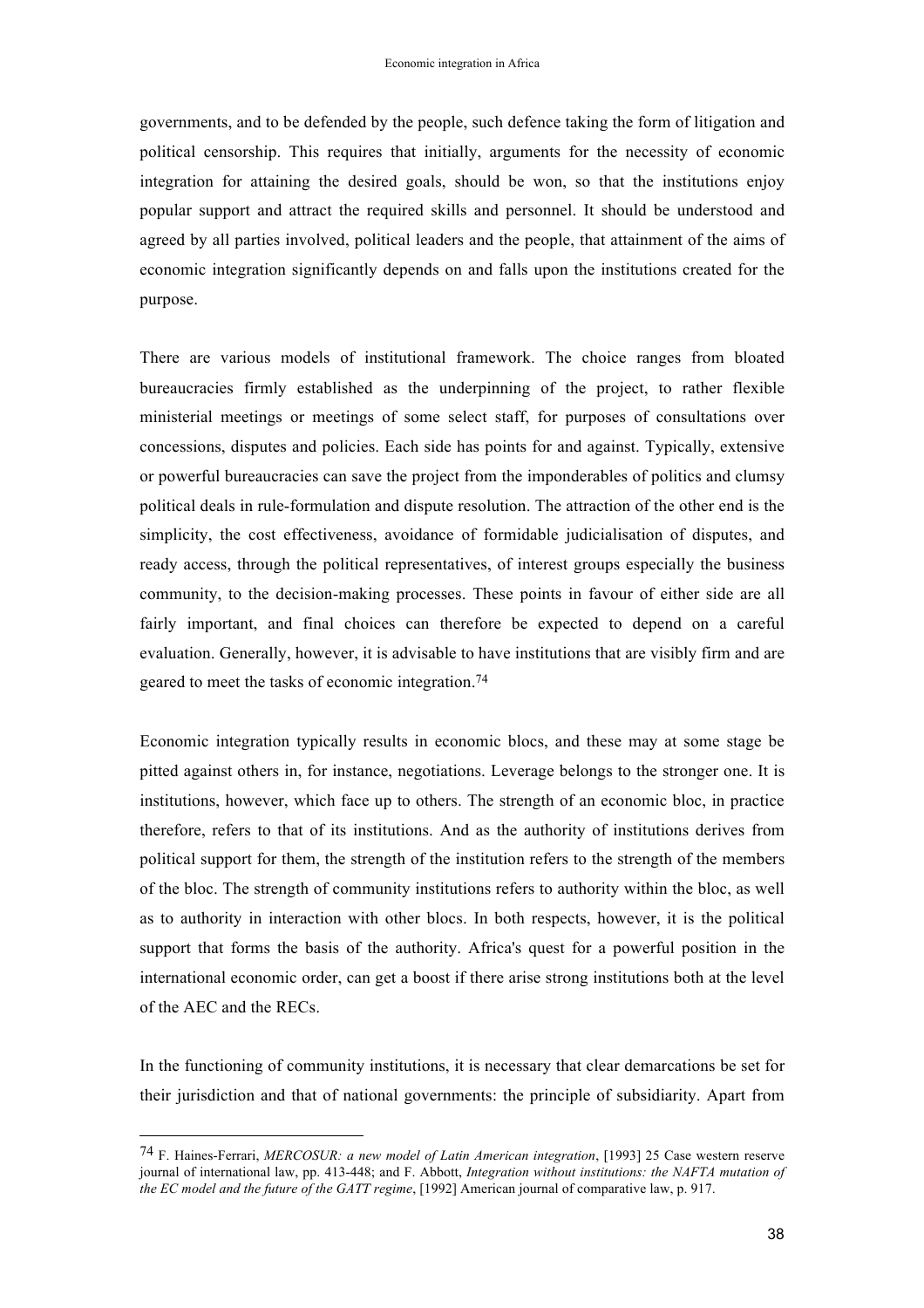governments, and to be defended by the people, such defence taking the form of litigation and political censorship. This requires that initially, arguments for the necessity of economic integration for attaining the desired goals, should be won, so that the institutions enjoy popular support and attract the required skills and personnel. It should be understood and agreed by all parties involved, political leaders and the people, that attainment of the aims of economic integration significantly depends on and falls upon the institutions created for the purpose.

There are various models of institutional framework. The choice ranges from bloated bureaucracies firmly established as the underpinning of the project, to rather flexible ministerial meetings or meetings of some select staff, for purposes of consultations over concessions, disputes and policies. Each side has points for and against. Typically, extensive or powerful bureaucracies can save the project from the imponderables of politics and clumsy political deals in rule-formulation and dispute resolution. The attraction of the other end is the simplicity, the cost effectiveness, avoidance of formidable judicialisation of disputes, and ready access, through the political representatives, of interest groups especially the business community, to the decision-making processes. These points in favour of either side are all fairly important, and final choices can therefore be expected to depend on a careful evaluation. Generally, however, it is advisable to have institutions that are visibly firm and are geared to meet the tasks of economic integration.74

Economic integration typically results in economic blocs, and these may at some stage be pitted against others in, for instance, negotiations. Leverage belongs to the stronger one. It is institutions, however, which face up to others. The strength of an economic bloc, in practice therefore, refers to that of its institutions. And as the authority of institutions derives from political support for them, the strength of the institution refers to the strength of the members of the bloc. The strength of community institutions refers to authority within the bloc, as well as to authority in interaction with other blocs. In both respects, however, it is the political support that forms the basis of the authority. Africa's quest for a powerful position in the international economic order, can get a boost if there arise strong institutions both at the level of the AEC and the RECs.

In the functioning of community institutions, it is necessary that clear demarcations be set for their jurisdiction and that of national governments: the principle of subsidiarity. Apart from

<sup>74</sup> F. Haines-Ferrari, *MERCOSUR: a new model of Latin American integration*, [1993] 25 Case western reserve journal of international law, pp. 413-448; and F. Abbott, *Integration without institutions: the NAFTA mutation of the EC model and the future of the GATT regime*, [1992] American journal of comparative law, p. 917.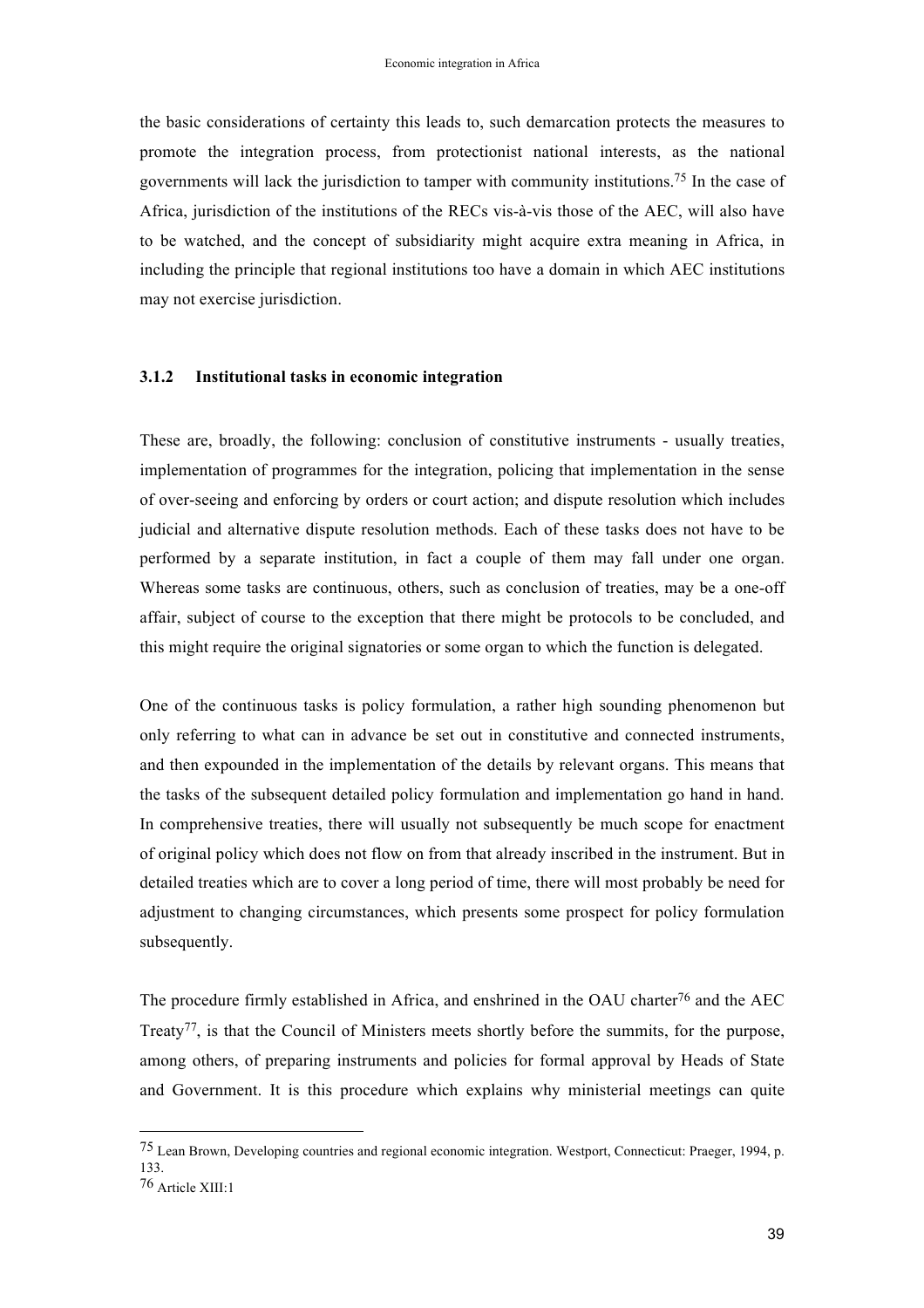the basic considerations of certainty this leads to, such demarcation protects the measures to promote the integration process, from protectionist national interests, as the national governments will lack the jurisdiction to tamper with community institutions.75 In the case of Africa, jurisdiction of the institutions of the RECs vis-à-vis those of the AEC, will also have to be watched, and the concept of subsidiarity might acquire extra meaning in Africa, in including the principle that regional institutions too have a domain in which AEC institutions may not exercise jurisdiction.

### **3.1.2 Institutional tasks in economic integration**

These are, broadly, the following: conclusion of constitutive instruments - usually treaties, implementation of programmes for the integration, policing that implementation in the sense of over-seeing and enforcing by orders or court action; and dispute resolution which includes judicial and alternative dispute resolution methods. Each of these tasks does not have to be performed by a separate institution, in fact a couple of them may fall under one organ. Whereas some tasks are continuous, others, such as conclusion of treaties, may be a one-off affair, subject of course to the exception that there might be protocols to be concluded, and this might require the original signatories or some organ to which the function is delegated.

One of the continuous tasks is policy formulation, a rather high sounding phenomenon but only referring to what can in advance be set out in constitutive and connected instruments, and then expounded in the implementation of the details by relevant organs. This means that the tasks of the subsequent detailed policy formulation and implementation go hand in hand. In comprehensive treaties, there will usually not subsequently be much scope for enactment of original policy which does not flow on from that already inscribed in the instrument. But in detailed treaties which are to cover a long period of time, there will most probably be need for adjustment to changing circumstances, which presents some prospect for policy formulation subsequently.

The procedure firmly established in Africa, and enshrined in the OAU charter<sup>76</sup> and the AEC Treaty77, is that the Council of Ministers meets shortly before the summits, for the purpose, among others, of preparing instruments and policies for formal approval by Heads of State and Government. It is this procedure which explains why ministerial meetings can quite

<sup>75</sup> Lean Brown, Developing countries and regional economic integration. Westport, Connecticut: Praeger, 1994, p. 133.

<sup>76</sup> Article XIII:1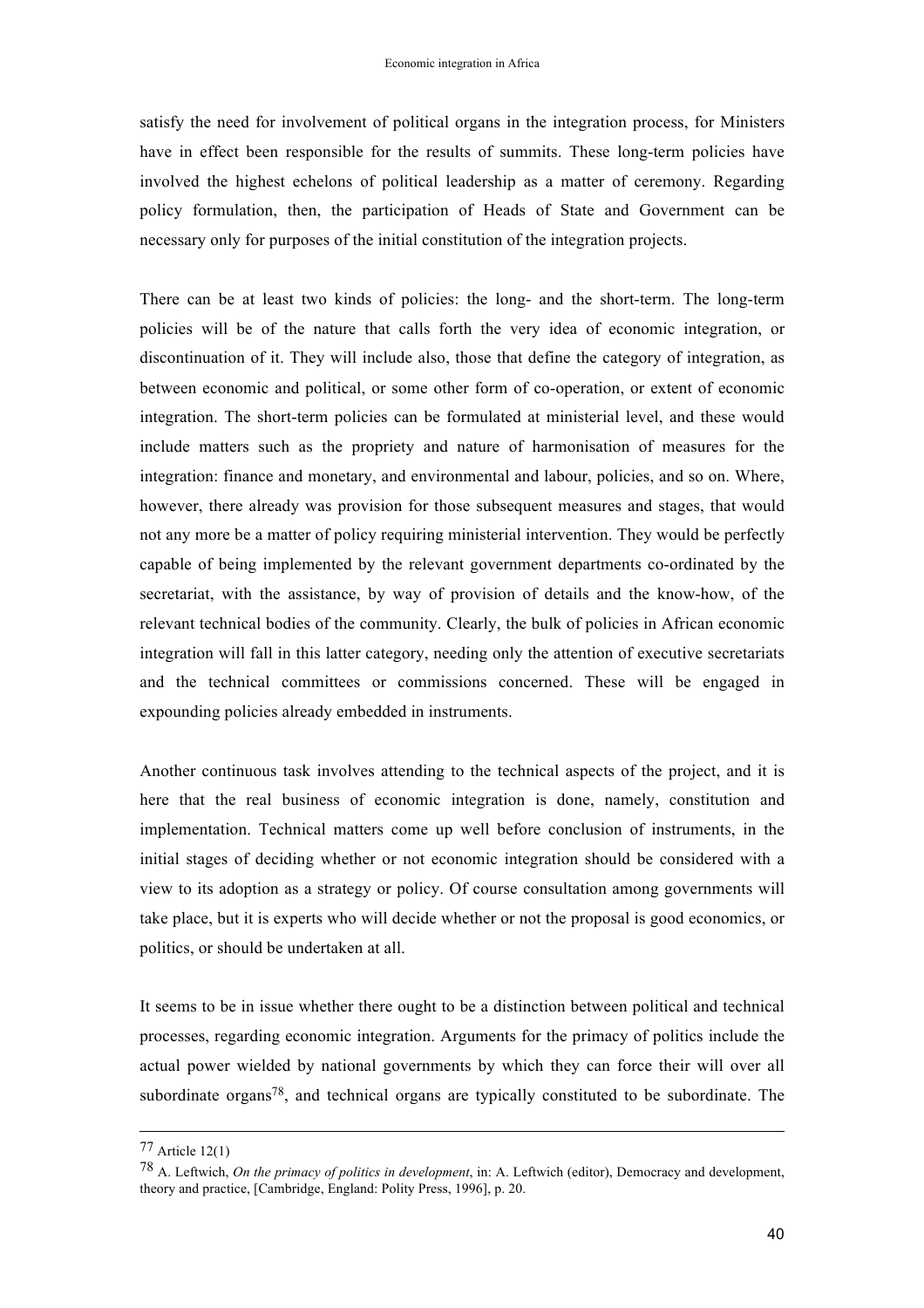satisfy the need for involvement of political organs in the integration process, for Ministers have in effect been responsible for the results of summits. These long-term policies have involved the highest echelons of political leadership as a matter of ceremony. Regarding policy formulation, then, the participation of Heads of State and Government can be necessary only for purposes of the initial constitution of the integration projects.

There can be at least two kinds of policies: the long- and the short-term. The long-term policies will be of the nature that calls forth the very idea of economic integration, or discontinuation of it. They will include also, those that define the category of integration, as between economic and political, or some other form of co-operation, or extent of economic integration. The short-term policies can be formulated at ministerial level, and these would include matters such as the propriety and nature of harmonisation of measures for the integration: finance and monetary, and environmental and labour, policies, and so on. Where, however, there already was provision for those subsequent measures and stages, that would not any more be a matter of policy requiring ministerial intervention. They would be perfectly capable of being implemented by the relevant government departments co-ordinated by the secretariat, with the assistance, by way of provision of details and the know-how, of the relevant technical bodies of the community. Clearly, the bulk of policies in African economic integration will fall in this latter category, needing only the attention of executive secretariats and the technical committees or commissions concerned. These will be engaged in expounding policies already embedded in instruments.

Another continuous task involves attending to the technical aspects of the project, and it is here that the real business of economic integration is done, namely, constitution and implementation. Technical matters come up well before conclusion of instruments, in the initial stages of deciding whether or not economic integration should be considered with a view to its adoption as a strategy or policy. Of course consultation among governments will take place, but it is experts who will decide whether or not the proposal is good economics, or politics, or should be undertaken at all.

It seems to be in issue whether there ought to be a distinction between political and technical processes, regarding economic integration. Arguments for the primacy of politics include the actual power wielded by national governments by which they can force their will over all subordinate organs<sup>78</sup>, and technical organs are typically constituted to be subordinate. The

<sup>77</sup> Article 12(1)

<sup>78</sup> A. Leftwich, *On the primacy of politics in development*, in: A. Leftwich (editor), Democracy and development, theory and practice, [Cambridge, England: Polity Press, 1996], p. 20.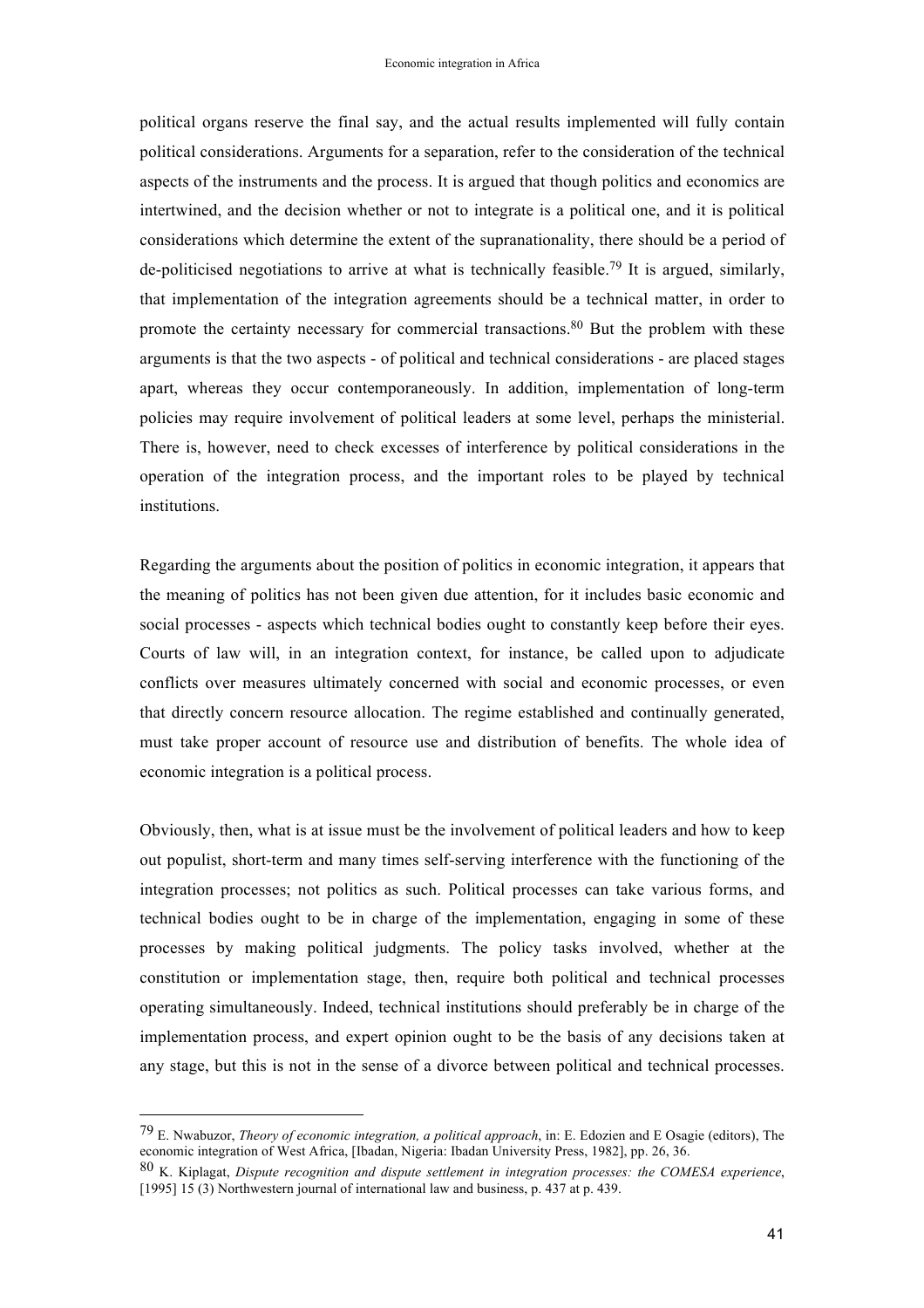political organs reserve the final say, and the actual results implemented will fully contain political considerations. Arguments for a separation, refer to the consideration of the technical aspects of the instruments and the process. It is argued that though politics and economics are intertwined, and the decision whether or not to integrate is a political one, and it is political considerations which determine the extent of the supranationality, there should be a period of de-politicised negotiations to arrive at what is technically feasible.<sup>79</sup> It is argued, similarly, that implementation of the integration agreements should be a technical matter, in order to promote the certainty necessary for commercial transactions.<sup>80</sup> But the problem with these arguments is that the two aspects - of political and technical considerations - are placed stages apart, whereas they occur contemporaneously. In addition, implementation of long-term policies may require involvement of political leaders at some level, perhaps the ministerial. There is, however, need to check excesses of interference by political considerations in the operation of the integration process, and the important roles to be played by technical institutions.

Regarding the arguments about the position of politics in economic integration, it appears that the meaning of politics has not been given due attention, for it includes basic economic and social processes - aspects which technical bodies ought to constantly keep before their eyes. Courts of law will, in an integration context, for instance, be called upon to adjudicate conflicts over measures ultimately concerned with social and economic processes, or even that directly concern resource allocation. The regime established and continually generated, must take proper account of resource use and distribution of benefits. The whole idea of economic integration is a political process.

Obviously, then, what is at issue must be the involvement of political leaders and how to keep out populist, short-term and many times self-serving interference with the functioning of the integration processes; not politics as such. Political processes can take various forms, and technical bodies ought to be in charge of the implementation, engaging in some of these processes by making political judgments. The policy tasks involved, whether at the constitution or implementation stage, then, require both political and technical processes operating simultaneously. Indeed, technical institutions should preferably be in charge of the implementation process, and expert opinion ought to be the basis of any decisions taken at any stage, but this is not in the sense of a divorce between political and technical processes.

<sup>79</sup> E. Nwabuzor, *Theory of economic integration, a political approach*, in: E. Edozien and E Osagie (editors), The economic integration of West Africa, [Ibadan, Nigeria: Ibadan University Press, 1982], pp. 26, 36.

<sup>80</sup> K. Kiplagat, *Dispute recognition and dispute settlement in integration processes: the COMESA experience*, [1995]  $15$  (3) Northwestern journal of international law and business, p. 437 at p. 439.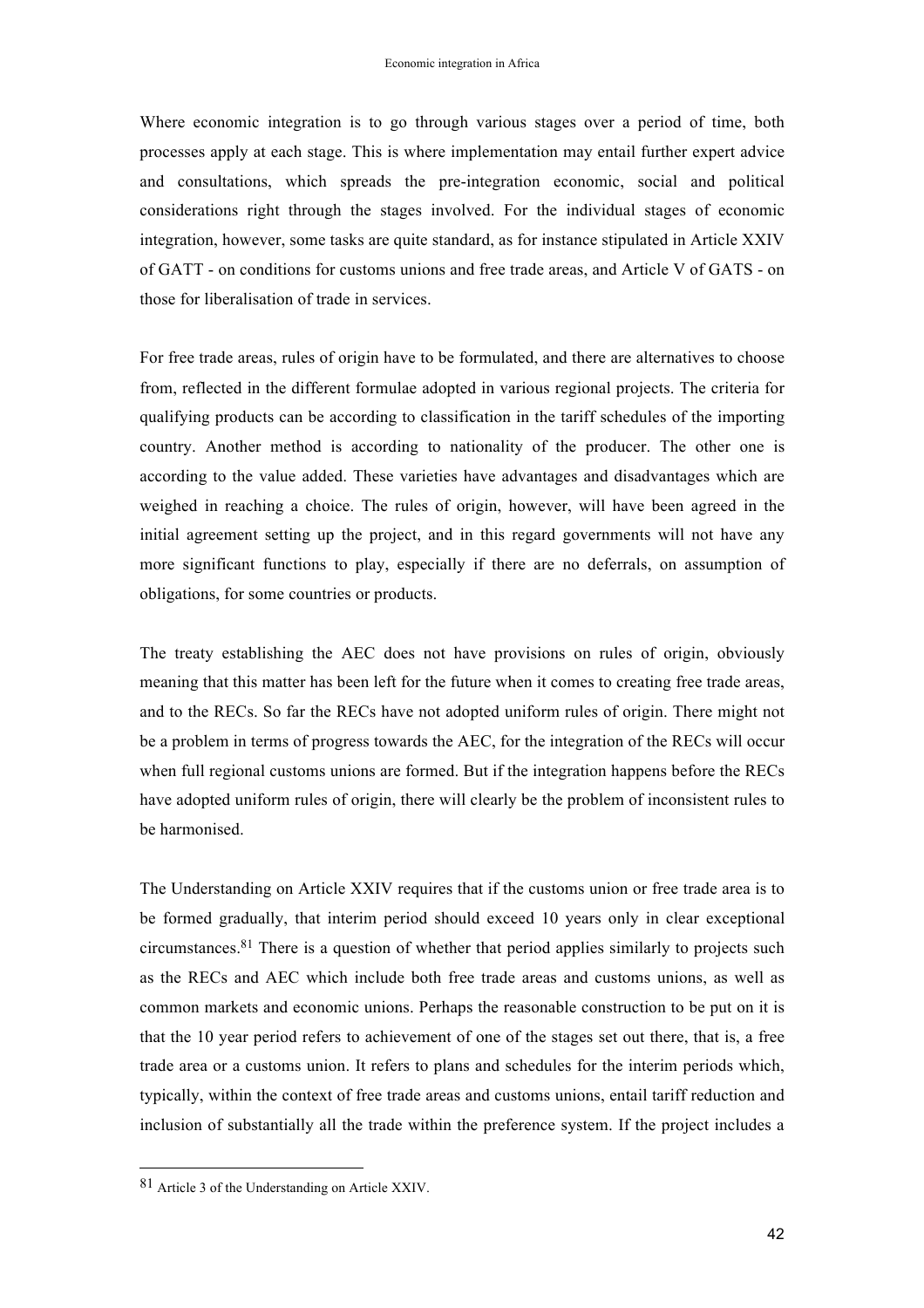Where economic integration is to go through various stages over a period of time, both processes apply at each stage. This is where implementation may entail further expert advice and consultations, which spreads the pre-integration economic, social and political considerations right through the stages involved. For the individual stages of economic integration, however, some tasks are quite standard, as for instance stipulated in Article XXIV of GATT - on conditions for customs unions and free trade areas, and Article V of GATS - on those for liberalisation of trade in services.

For free trade areas, rules of origin have to be formulated, and there are alternatives to choose from, reflected in the different formulae adopted in various regional projects. The criteria for qualifying products can be according to classification in the tariff schedules of the importing country. Another method is according to nationality of the producer. The other one is according to the value added. These varieties have advantages and disadvantages which are weighed in reaching a choice. The rules of origin, however, will have been agreed in the initial agreement setting up the project, and in this regard governments will not have any more significant functions to play, especially if there are no deferrals, on assumption of obligations, for some countries or products.

The treaty establishing the AEC does not have provisions on rules of origin, obviously meaning that this matter has been left for the future when it comes to creating free trade areas, and to the RECs. So far the RECs have not adopted uniform rules of origin. There might not be a problem in terms of progress towards the AEC, for the integration of the RECs will occur when full regional customs unions are formed. But if the integration happens before the RECs have adopted uniform rules of origin, there will clearly be the problem of inconsistent rules to be harmonised.

The Understanding on Article XXIV requires that if the customs union or free trade area is to be formed gradually, that interim period should exceed 10 years only in clear exceptional circumstances.81 There is a question of whether that period applies similarly to projects such as the RECs and AEC which include both free trade areas and customs unions, as well as common markets and economic unions. Perhaps the reasonable construction to be put on it is that the 10 year period refers to achievement of one of the stages set out there, that is, a free trade area or a customs union. It refers to plans and schedules for the interim periods which, typically, within the context of free trade areas and customs unions, entail tariff reduction and inclusion of substantially all the trade within the preference system. If the project includes a

<sup>81</sup> Article 3 of the Understanding on Article XXIV.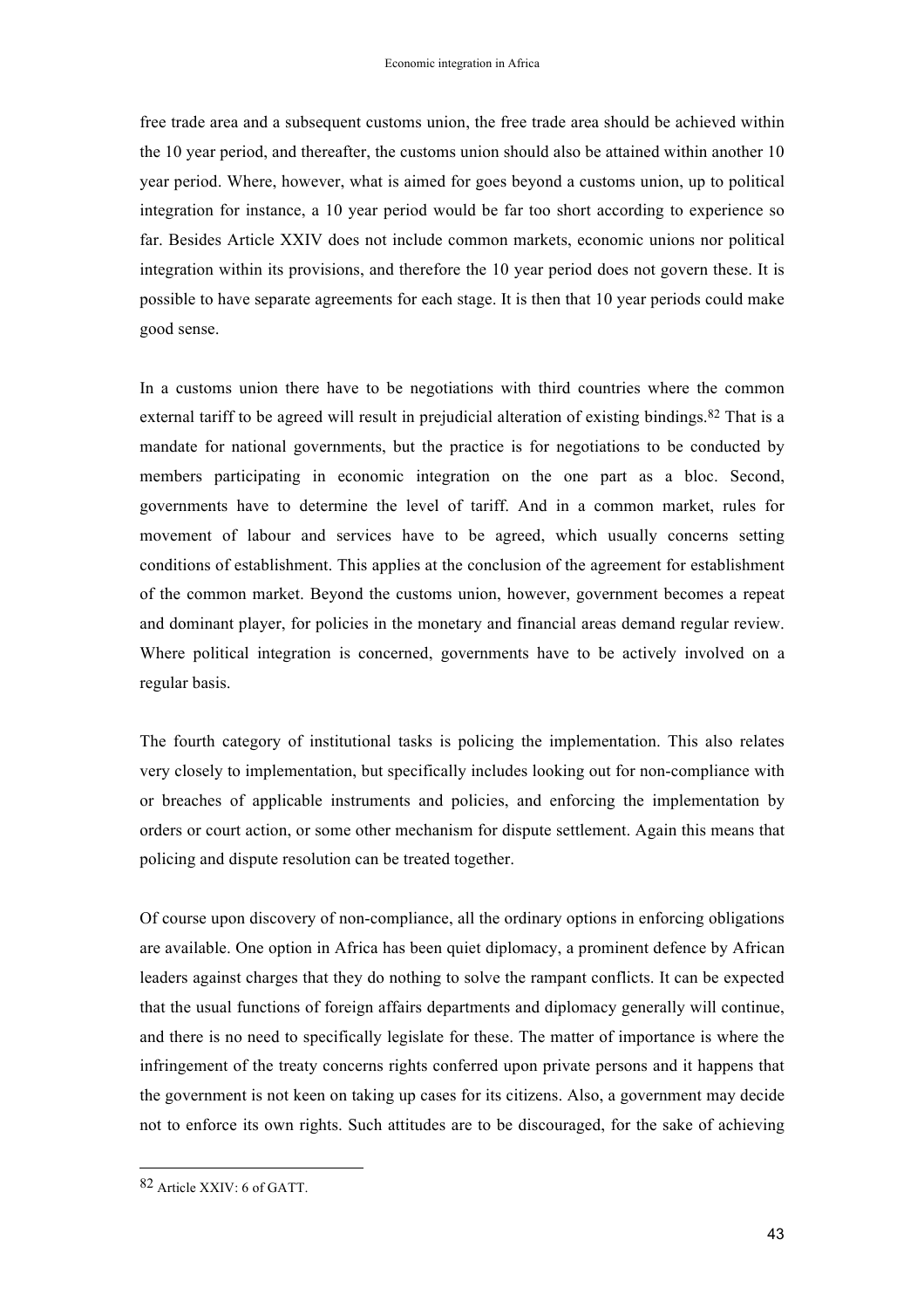free trade area and a subsequent customs union, the free trade area should be achieved within the 10 year period, and thereafter, the customs union should also be attained within another 10 year period. Where, however, what is aimed for goes beyond a customs union, up to political integration for instance, a 10 year period would be far too short according to experience so far. Besides Article XXIV does not include common markets, economic unions nor political integration within its provisions, and therefore the 10 year period does not govern these. It is possible to have separate agreements for each stage. It is then that 10 year periods could make good sense.

In a customs union there have to be negotiations with third countries where the common external tariff to be agreed will result in prejudicial alteration of existing bindings.<sup>82</sup> That is a mandate for national governments, but the practice is for negotiations to be conducted by members participating in economic integration on the one part as a bloc. Second, governments have to determine the level of tariff. And in a common market, rules for movement of labour and services have to be agreed, which usually concerns setting conditions of establishment. This applies at the conclusion of the agreement for establishment of the common market. Beyond the customs union, however, government becomes a repeat and dominant player, for policies in the monetary and financial areas demand regular review. Where political integration is concerned, governments have to be actively involved on a regular basis.

The fourth category of institutional tasks is policing the implementation. This also relates very closely to implementation, but specifically includes looking out for non-compliance with or breaches of applicable instruments and policies, and enforcing the implementation by orders or court action, or some other mechanism for dispute settlement. Again this means that policing and dispute resolution can be treated together.

Of course upon discovery of non-compliance, all the ordinary options in enforcing obligations are available. One option in Africa has been quiet diplomacy, a prominent defence by African leaders against charges that they do nothing to solve the rampant conflicts. It can be expected that the usual functions of foreign affairs departments and diplomacy generally will continue, and there is no need to specifically legislate for these. The matter of importance is where the infringement of the treaty concerns rights conferred upon private persons and it happens that the government is not keen on taking up cases for its citizens. Also, a government may decide not to enforce its own rights. Such attitudes are to be discouraged, for the sake of achieving

<sup>82</sup> Article XXIV: 6 of GATT.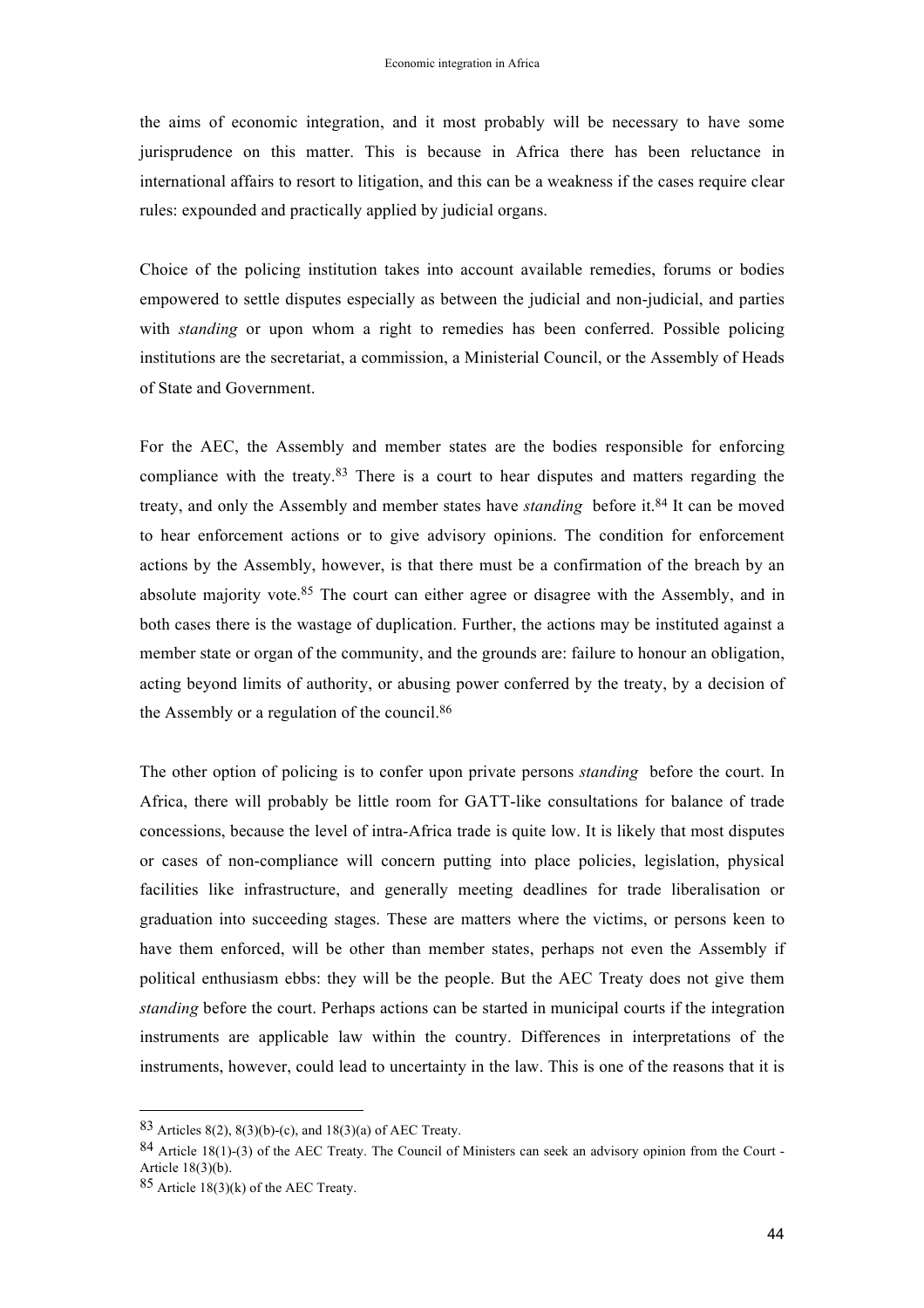the aims of economic integration, and it most probably will be necessary to have some jurisprudence on this matter. This is because in Africa there has been reluctance in international affairs to resort to litigation, and this can be a weakness if the cases require clear rules: expounded and practically applied by judicial organs.

Choice of the policing institution takes into account available remedies, forums or bodies empowered to settle disputes especially as between the judicial and non-judicial, and parties with *standing* or upon whom a right to remedies has been conferred. Possible policing institutions are the secretariat, a commission, a Ministerial Council, or the Assembly of Heads of State and Government.

For the AEC, the Assembly and member states are the bodies responsible for enforcing compliance with the treaty.83 There is a court to hear disputes and matters regarding the treaty, and only the Assembly and member states have *standing* before it.84 It can be moved to hear enforcement actions or to give advisory opinions. The condition for enforcement actions by the Assembly, however, is that there must be a confirmation of the breach by an absolute majority vote.<sup>85</sup> The court can either agree or disagree with the Assembly, and in both cases there is the wastage of duplication. Further, the actions may be instituted against a member state or organ of the community, and the grounds are: failure to honour an obligation, acting beyond limits of authority, or abusing power conferred by the treaty, by a decision of the Assembly or a regulation of the council.86

The other option of policing is to confer upon private persons *standing* before the court. In Africa, there will probably be little room for GATT-like consultations for balance of trade concessions, because the level of intra-Africa trade is quite low. It is likely that most disputes or cases of non-compliance will concern putting into place policies, legislation, physical facilities like infrastructure, and generally meeting deadlines for trade liberalisation or graduation into succeeding stages. These are matters where the victims, or persons keen to have them enforced, will be other than member states, perhaps not even the Assembly if political enthusiasm ebbs: they will be the people. But the AEC Treaty does not give them *standing* before the court. Perhaps actions can be started in municipal courts if the integration instruments are applicable law within the country. Differences in interpretations of the instruments, however, could lead to uncertainty in the law. This is one of the reasons that it is

<sup>83</sup> Articles 8(2), 8(3)(b)-(c), and 18(3)(a) of AEC Treaty.

<sup>84</sup> Article 18(1)-(3) of the AEC Treaty. The Council of Ministers can seek an advisory opinion from the Court - Article  $18(3)(b)$ .

 $85$  Article 18(3)(k) of the AEC Treaty.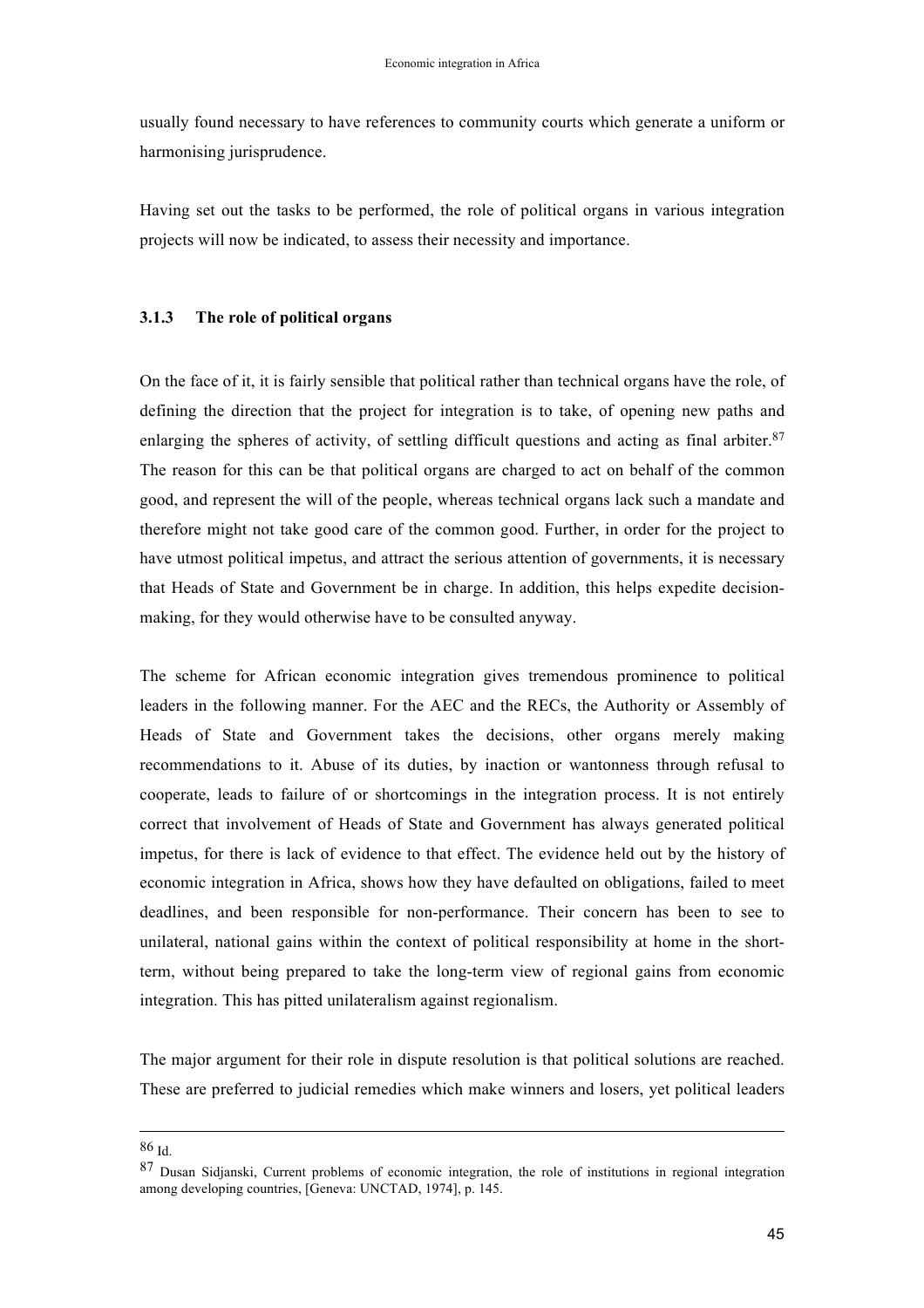usually found necessary to have references to community courts which generate a uniform or harmonising jurisprudence.

Having set out the tasks to be performed, the role of political organs in various integration projects will now be indicated, to assess their necessity and importance.

### **3.1.3 The role of political organs**

On the face of it, it is fairly sensible that political rather than technical organs have the role, of defining the direction that the project for integration is to take, of opening new paths and enlarging the spheres of activity, of settling difficult questions and acting as final arbiter. $87$ The reason for this can be that political organs are charged to act on behalf of the common good, and represent the will of the people, whereas technical organs lack such a mandate and therefore might not take good care of the common good. Further, in order for the project to have utmost political impetus, and attract the serious attention of governments, it is necessary that Heads of State and Government be in charge. In addition, this helps expedite decisionmaking, for they would otherwise have to be consulted anyway.

The scheme for African economic integration gives tremendous prominence to political leaders in the following manner. For the AEC and the RECs, the Authority or Assembly of Heads of State and Government takes the decisions, other organs merely making recommendations to it. Abuse of its duties, by inaction or wantonness through refusal to cooperate, leads to failure of or shortcomings in the integration process. It is not entirely correct that involvement of Heads of State and Government has always generated political impetus, for there is lack of evidence to that effect. The evidence held out by the history of economic integration in Africa, shows how they have defaulted on obligations, failed to meet deadlines, and been responsible for non-performance. Their concern has been to see to unilateral, national gains within the context of political responsibility at home in the shortterm, without being prepared to take the long-term view of regional gains from economic integration. This has pitted unilateralism against regionalism.

The major argument for their role in dispute resolution is that political solutions are reached. These are preferred to judicial remedies which make winners and losers, yet political leaders

86 Id.

<sup>87</sup> Dusan Sidjanski, Current problems of economic integration, the role of institutions in regional integration among developing countries, [Geneva: UNCTAD, 1974], p. 145.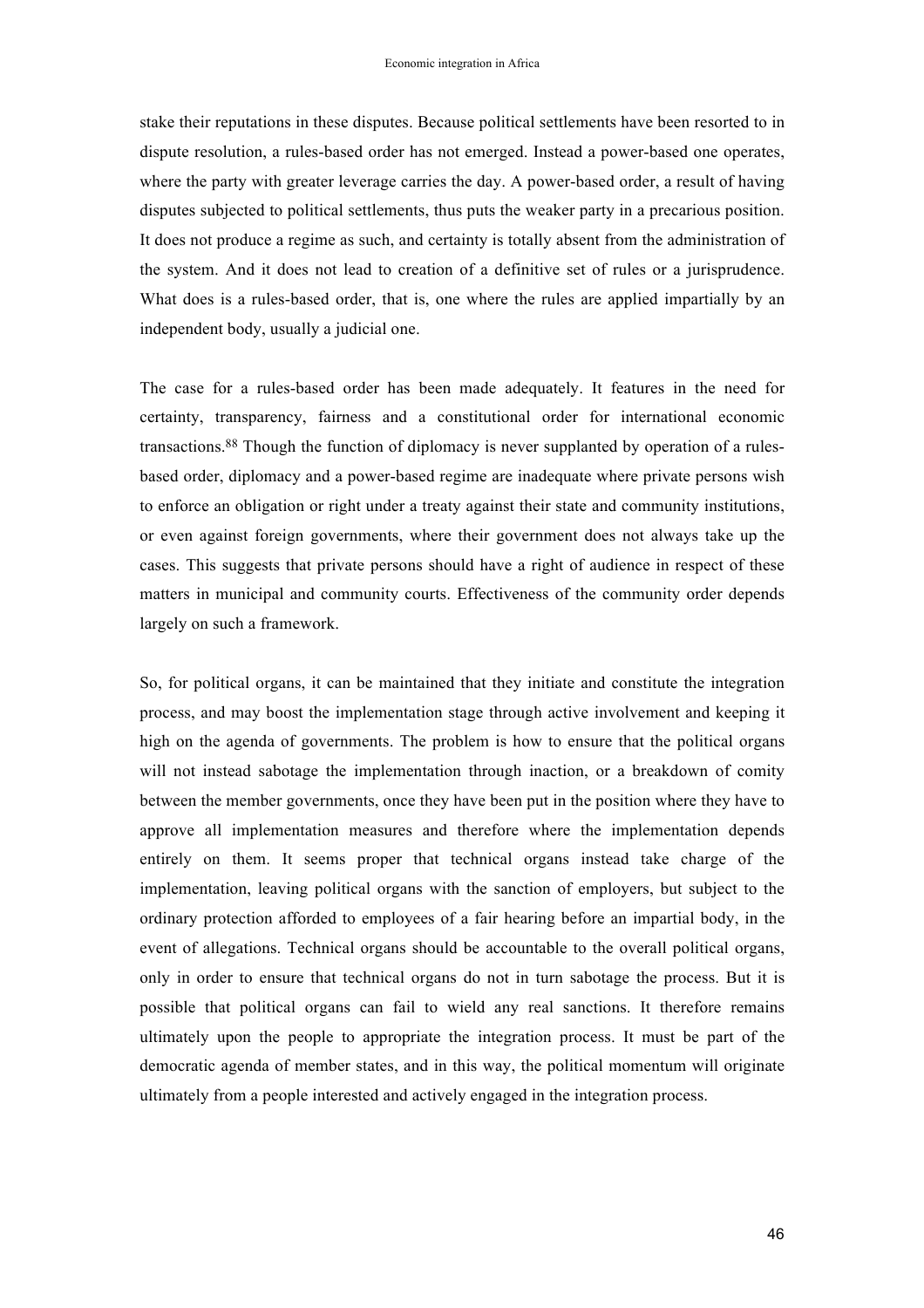stake their reputations in these disputes. Because political settlements have been resorted to in dispute resolution, a rules-based order has not emerged. Instead a power-based one operates, where the party with greater leverage carries the day. A power-based order, a result of having disputes subjected to political settlements, thus puts the weaker party in a precarious position. It does not produce a regime as such, and certainty is totally absent from the administration of the system. And it does not lead to creation of a definitive set of rules or a jurisprudence. What does is a rules-based order, that is, one where the rules are applied impartially by an independent body, usually a judicial one.

The case for a rules-based order has been made adequately. It features in the need for certainty, transparency, fairness and a constitutional order for international economic transactions.88 Though the function of diplomacy is never supplanted by operation of a rulesbased order, diplomacy and a power-based regime are inadequate where private persons wish to enforce an obligation or right under a treaty against their state and community institutions, or even against foreign governments, where their government does not always take up the cases. This suggests that private persons should have a right of audience in respect of these matters in municipal and community courts. Effectiveness of the community order depends largely on such a framework.

So, for political organs, it can be maintained that they initiate and constitute the integration process, and may boost the implementation stage through active involvement and keeping it high on the agenda of governments. The problem is how to ensure that the political organs will not instead sabotage the implementation through inaction, or a breakdown of comity between the member governments, once they have been put in the position where they have to approve all implementation measures and therefore where the implementation depends entirely on them. It seems proper that technical organs instead take charge of the implementation, leaving political organs with the sanction of employers, but subject to the ordinary protection afforded to employees of a fair hearing before an impartial body, in the event of allegations. Technical organs should be accountable to the overall political organs, only in order to ensure that technical organs do not in turn sabotage the process. But it is possible that political organs can fail to wield any real sanctions. It therefore remains ultimately upon the people to appropriate the integration process. It must be part of the democratic agenda of member states, and in this way, the political momentum will originate ultimately from a people interested and actively engaged in the integration process.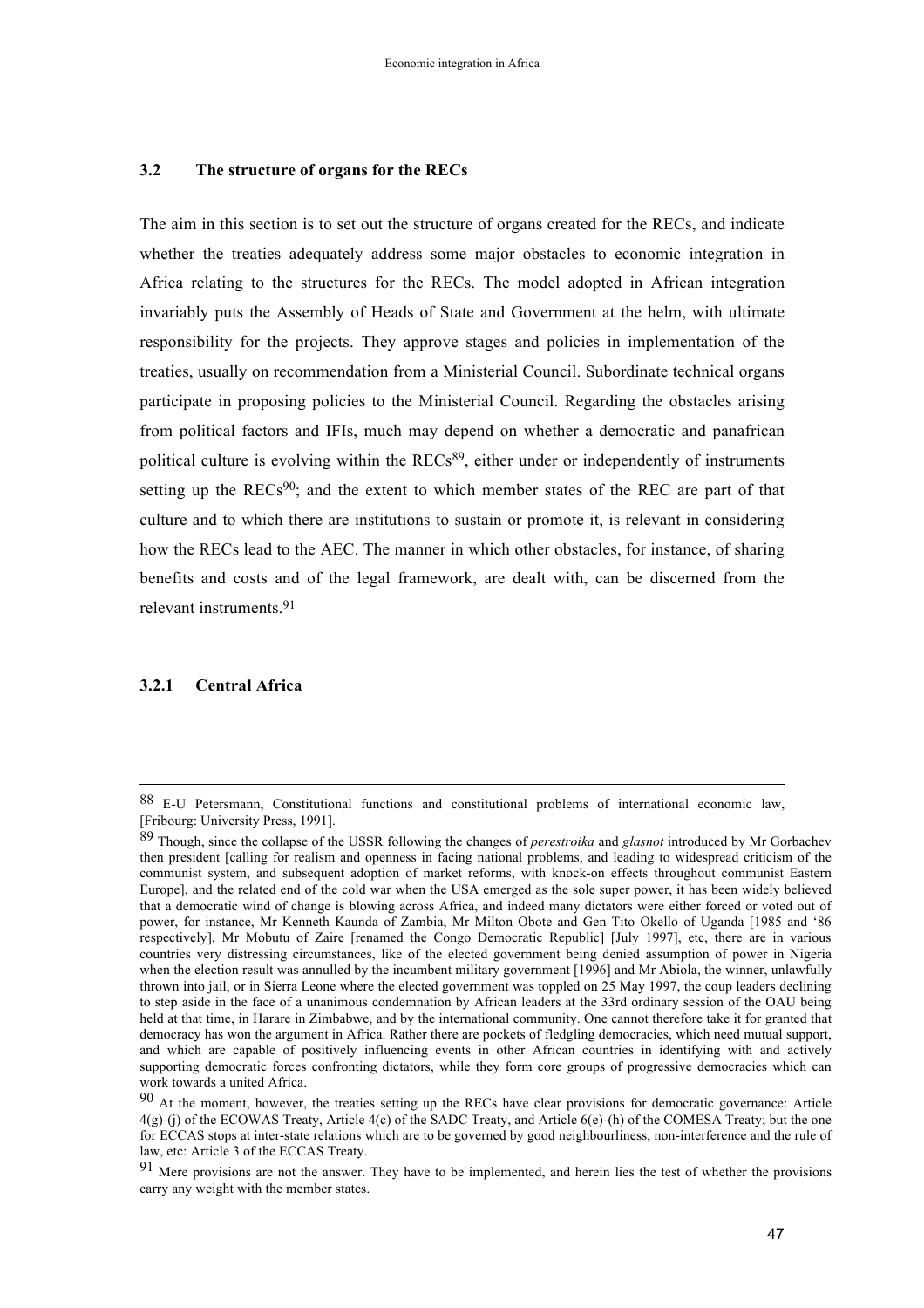#### **3.2 The structure of organs for the RECs**

The aim in this section is to set out the structure of organs created for the RECs, and indicate whether the treaties adequately address some major obstacles to economic integration in Africa relating to the structures for the RECs. The model adopted in African integration invariably puts the Assembly of Heads of State and Government at the helm, with ultimate responsibility for the projects. They approve stages and policies in implementation of the treaties, usually on recommendation from a Ministerial Council. Subordinate technical organs participate in proposing policies to the Ministerial Council. Regarding the obstacles arising from political factors and IFIs, much may depend on whether a democratic and panafrican political culture is evolving within the  $RECs<sup>89</sup>$ , either under or independently of instruments setting up the  $REG<sup>90</sup>$ ; and the extent to which member states of the REC are part of that culture and to which there are institutions to sustain or promote it, is relevant in considering how the RECs lead to the AEC. The manner in which other obstacles, for instance, of sharing benefits and costs and of the legal framework, are dealt with, can be discerned from the relevant instruments.91

### **3.2.1 Central Africa**

<sup>88</sup> E-U Petersmann, Constitutional functions and constitutional problems of international economic law, [Fribourg: University Press, 1991].

<sup>89</sup> Though, since the collapse of the USSR following the changes of *perestroika* and *glasnot* introduced by Mr Gorbachev then president [calling for realism and openness in facing national problems, and leading to widespread criticism of the communist system, and subsequent adoption of market reforms, with knock-on effects throughout communist Eastern Europe], and the related end of the cold war when the USA emerged as the sole super power, it has been widely believed that a democratic wind of change is blowing across Africa, and indeed many dictators were either forced or voted out of power, for instance, Mr Kenneth Kaunda of Zambia, Mr Milton Obote and Gen Tito Okello of Uganda [1985 and '86 respectively], Mr Mobutu of Zaire [renamed the Congo Democratic Republic] [July 1997], etc, there are in various countries very distressing circumstances, like of the elected government being denied assumption of power in Nigeria when the election result was annulled by the incumbent military government [1996] and Mr Abiola, the winner, unlawfully thrown into jail, or in Sierra Leone where the elected government was toppled on 25 May 1997, the coup leaders declining to step aside in the face of a unanimous condemnation by African leaders at the 33rd ordinary session of the OAU being held at that time, in Harare in Zimbabwe, and by the international community. One cannot therefore take it for granted that democracy has won the argument in Africa. Rather there are pockets of fledgling democracies, which need mutual support, and which are capable of positively influencing events in other African countries in identifying with and actively supporting democratic forces confronting dictators, while they form core groups of progressive democracies which can work towards a united Africa.

<sup>90</sup> At the moment, however, the treaties setting up the RECs have clear provisions for democratic governance: Article 4(g)-(j) of the ECOWAS Treaty, Article 4(c) of the SADC Treaty, and Article 6(e)-(h) of the COMESA Treaty; but the one for ECCAS stops at inter-state relations which are to be governed by good neighbourliness, non-interference and the rule of law, etc: Article 3 of the ECCAS Treaty.

<sup>91</sup> Mere provisions are not the answer. They have to be implemented, and herein lies the test of whether the provisions carry any weight with the member states.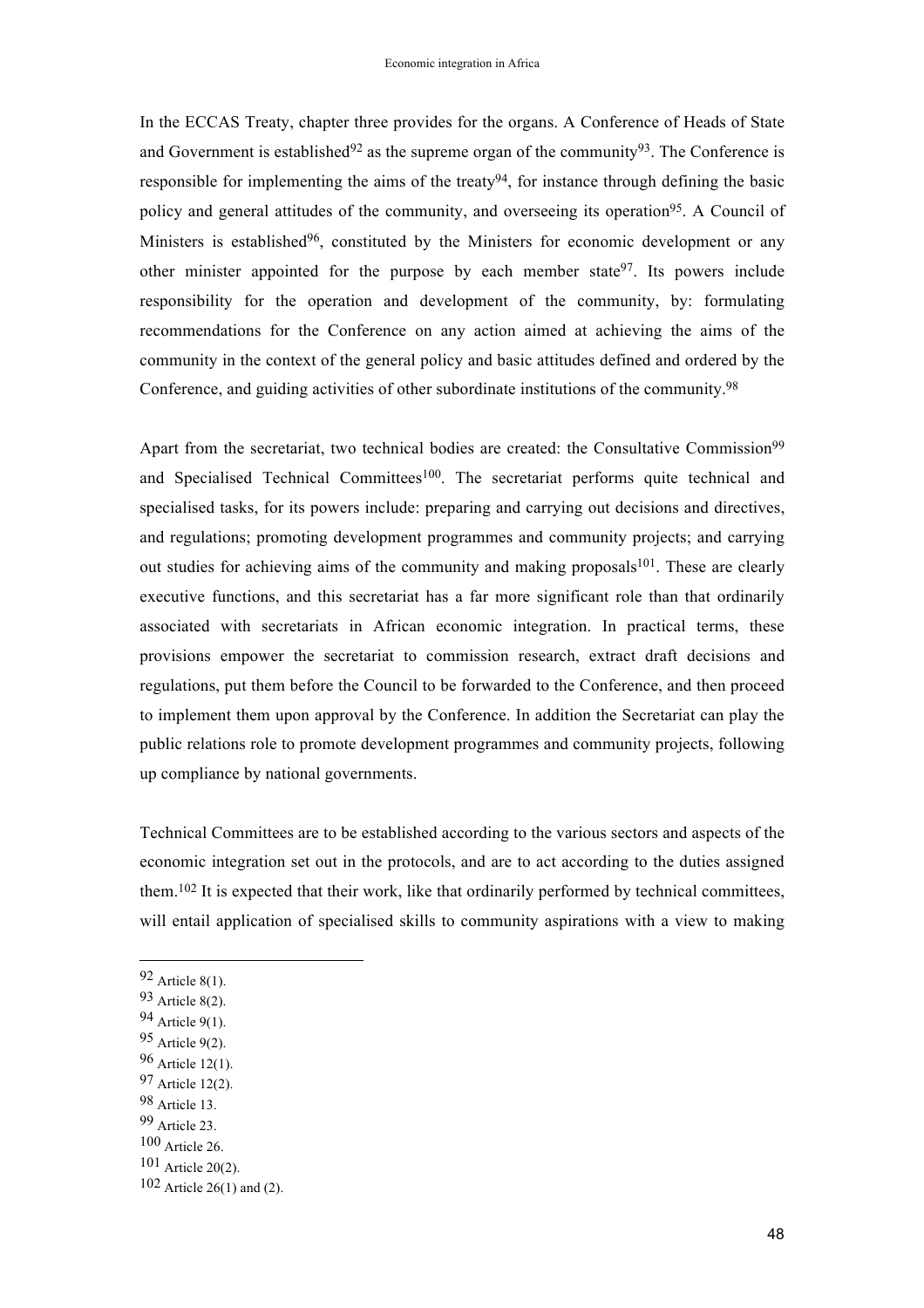In the ECCAS Treaty, chapter three provides for the organs. A Conference of Heads of State and Government is established<sup>92</sup> as the supreme organ of the community<sup>93</sup>. The Conference is responsible for implementing the aims of the treaty<sup>94</sup>, for instance through defining the basic policy and general attitudes of the community, and overseeing its operation<sup>95</sup>. A Council of Ministers is established<sup>96</sup>, constituted by the Ministers for economic development or any other minister appointed for the purpose by each member state97. Its powers include responsibility for the operation and development of the community, by: formulating recommendations for the Conference on any action aimed at achieving the aims of the community in the context of the general policy and basic attitudes defined and ordered by the Conference, and guiding activities of other subordinate institutions of the community.98

Apart from the secretariat, two technical bodies are created: the Consultative Commission<sup>99</sup> and Specialised Technical Committees<sup>100</sup>. The secretariat performs quite technical and specialised tasks, for its powers include: preparing and carrying out decisions and directives, and regulations; promoting development programmes and community projects; and carrying out studies for achieving aims of the community and making proposals $101$ . These are clearly executive functions, and this secretariat has a far more significant role than that ordinarily associated with secretariats in African economic integration. In practical terms, these provisions empower the secretariat to commission research, extract draft decisions and regulations, put them before the Council to be forwarded to the Conference, and then proceed to implement them upon approval by the Conference. In addition the Secretariat can play the public relations role to promote development programmes and community projects, following up compliance by national governments.

Technical Committees are to be established according to the various sectors and aspects of the economic integration set out in the protocols, and are to act according to the duties assigned them.102 It is expected that their work, like that ordinarily performed by technical committees, will entail application of specialised skills to community aspirations with a view to making

92 Article 8(1).

- 94 Article 9(1).
- 95 Article 9(2).
- 96 Article 12(1).
- 97 Article 12(2).
- 98 Article 13.
- 99 Article 23. 100 Article 26.
- 101 Article 20(2).

<sup>93</sup> Article 8(2).

<sup>102</sup> Article 26(1) and (2).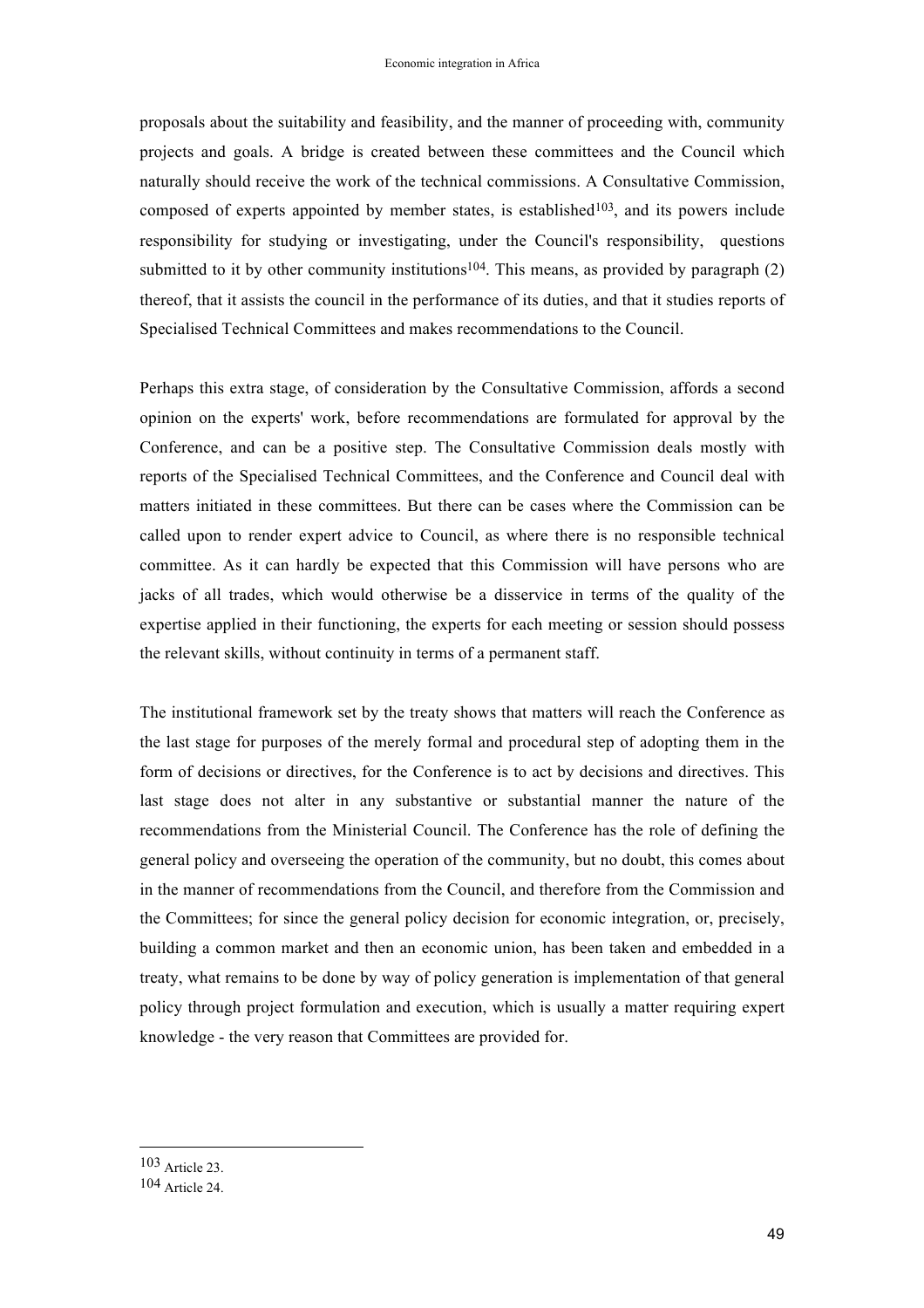proposals about the suitability and feasibility, and the manner of proceeding with, community projects and goals. A bridge is created between these committees and the Council which naturally should receive the work of the technical commissions. A Consultative Commission, composed of experts appointed by member states, is established $103$ , and its powers include responsibility for studying or investigating, under the Council's responsibility, questions submitted to it by other community institutions<sup>104</sup>. This means, as provided by paragraph  $(2)$ thereof, that it assists the council in the performance of its duties, and that it studies reports of Specialised Technical Committees and makes recommendations to the Council.

Perhaps this extra stage, of consideration by the Consultative Commission, affords a second opinion on the experts' work, before recommendations are formulated for approval by the Conference, and can be a positive step. The Consultative Commission deals mostly with reports of the Specialised Technical Committees, and the Conference and Council deal with matters initiated in these committees. But there can be cases where the Commission can be called upon to render expert advice to Council, as where there is no responsible technical committee. As it can hardly be expected that this Commission will have persons who are jacks of all trades, which would otherwise be a disservice in terms of the quality of the expertise applied in their functioning, the experts for each meeting or session should possess the relevant skills, without continuity in terms of a permanent staff.

The institutional framework set by the treaty shows that matters will reach the Conference as the last stage for purposes of the merely formal and procedural step of adopting them in the form of decisions or directives, for the Conference is to act by decisions and directives. This last stage does not alter in any substantive or substantial manner the nature of the recommendations from the Ministerial Council. The Conference has the role of defining the general policy and overseeing the operation of the community, but no doubt, this comes about in the manner of recommendations from the Council, and therefore from the Commission and the Committees; for since the general policy decision for economic integration, or, precisely, building a common market and then an economic union, has been taken and embedded in a treaty, what remains to be done by way of policy generation is implementation of that general policy through project formulation and execution, which is usually a matter requiring expert knowledge - the very reason that Committees are provided for.

<sup>103</sup> Article 23.

<sup>104</sup> Article 24.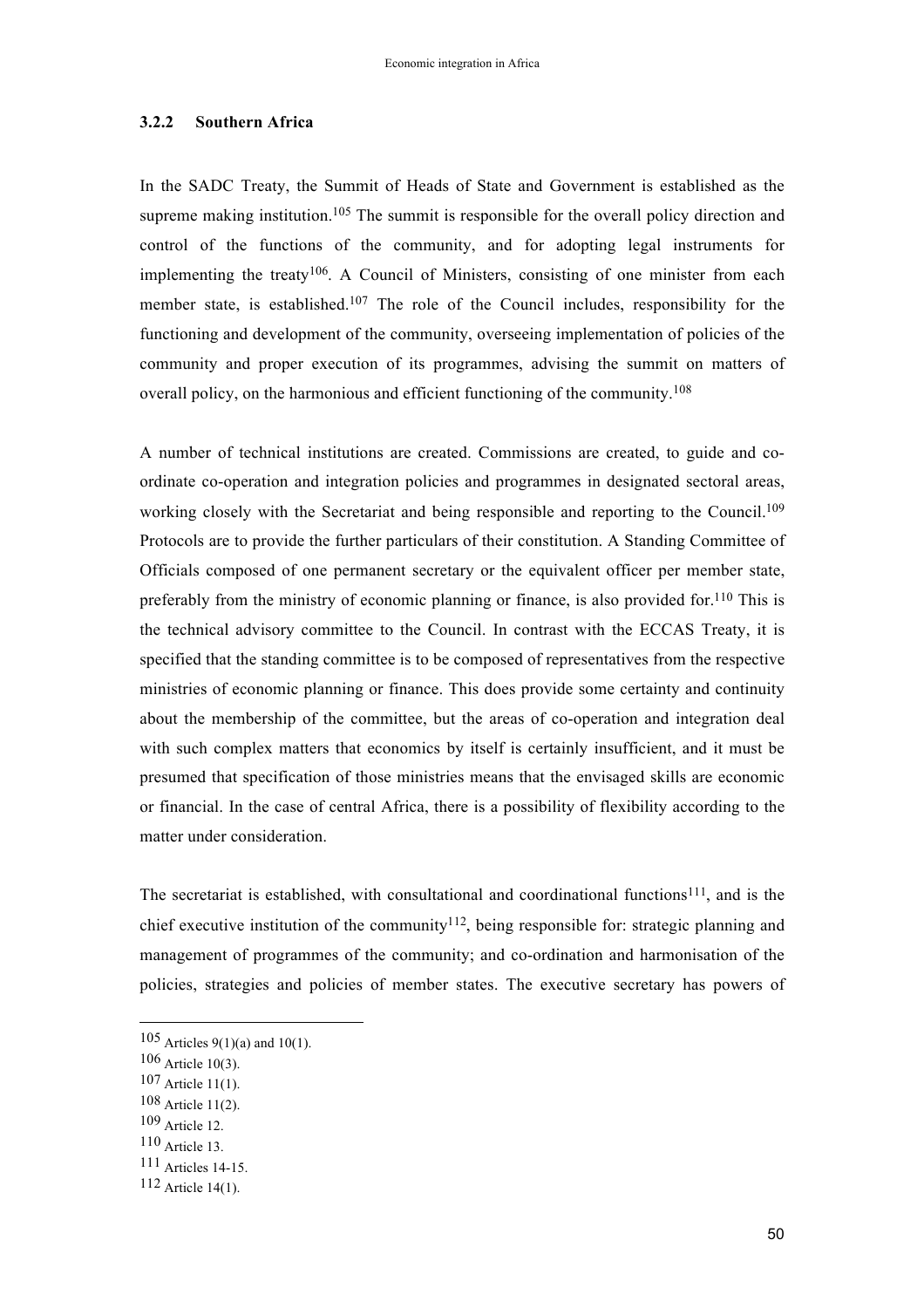#### **3.2.2 Southern Africa**

In the SADC Treaty, the Summit of Heads of State and Government is established as the supreme making institution.<sup>105</sup> The summit is responsible for the overall policy direction and control of the functions of the community, and for adopting legal instruments for implementing the treaty<sup>106</sup>. A Council of Ministers, consisting of one minister from each member state, is established.107 The role of the Council includes, responsibility for the functioning and development of the community, overseeing implementation of policies of the community and proper execution of its programmes, advising the summit on matters of overall policy, on the harmonious and efficient functioning of the community.<sup>108</sup>

A number of technical institutions are created. Commissions are created, to guide and coordinate co-operation and integration policies and programmes in designated sectoral areas, working closely with the Secretariat and being responsible and reporting to the Council.<sup>109</sup> Protocols are to provide the further particulars of their constitution. A Standing Committee of Officials composed of one permanent secretary or the equivalent officer per member state, preferably from the ministry of economic planning or finance, is also provided for.110 This is the technical advisory committee to the Council. In contrast with the ECCAS Treaty, it is specified that the standing committee is to be composed of representatives from the respective ministries of economic planning or finance. This does provide some certainty and continuity about the membership of the committee, but the areas of co-operation and integration deal with such complex matters that economics by itself is certainly insufficient, and it must be presumed that specification of those ministries means that the envisaged skills are economic or financial. In the case of central Africa, there is a possibility of flexibility according to the matter under consideration.

The secretariat is established, with consultational and coordinational functions<sup>111</sup>, and is the chief executive institution of the community<sup>112</sup>, being responsible for: strategic planning and management of programmes of the community; and co-ordination and harmonisation of the policies, strategies and policies of member states. The executive secretary has powers of

<sup>105</sup> Articles 9(1)(a) and 10(1).

<sup>106</sup> Article 10(3).

<sup>107</sup> Article 11(1).

<sup>108</sup> Article 11(2).

<sup>109</sup> Article 12.

<sup>110</sup> Article 13.

<sup>111</sup> Articles 14-15.

<sup>112</sup> Article 14(1).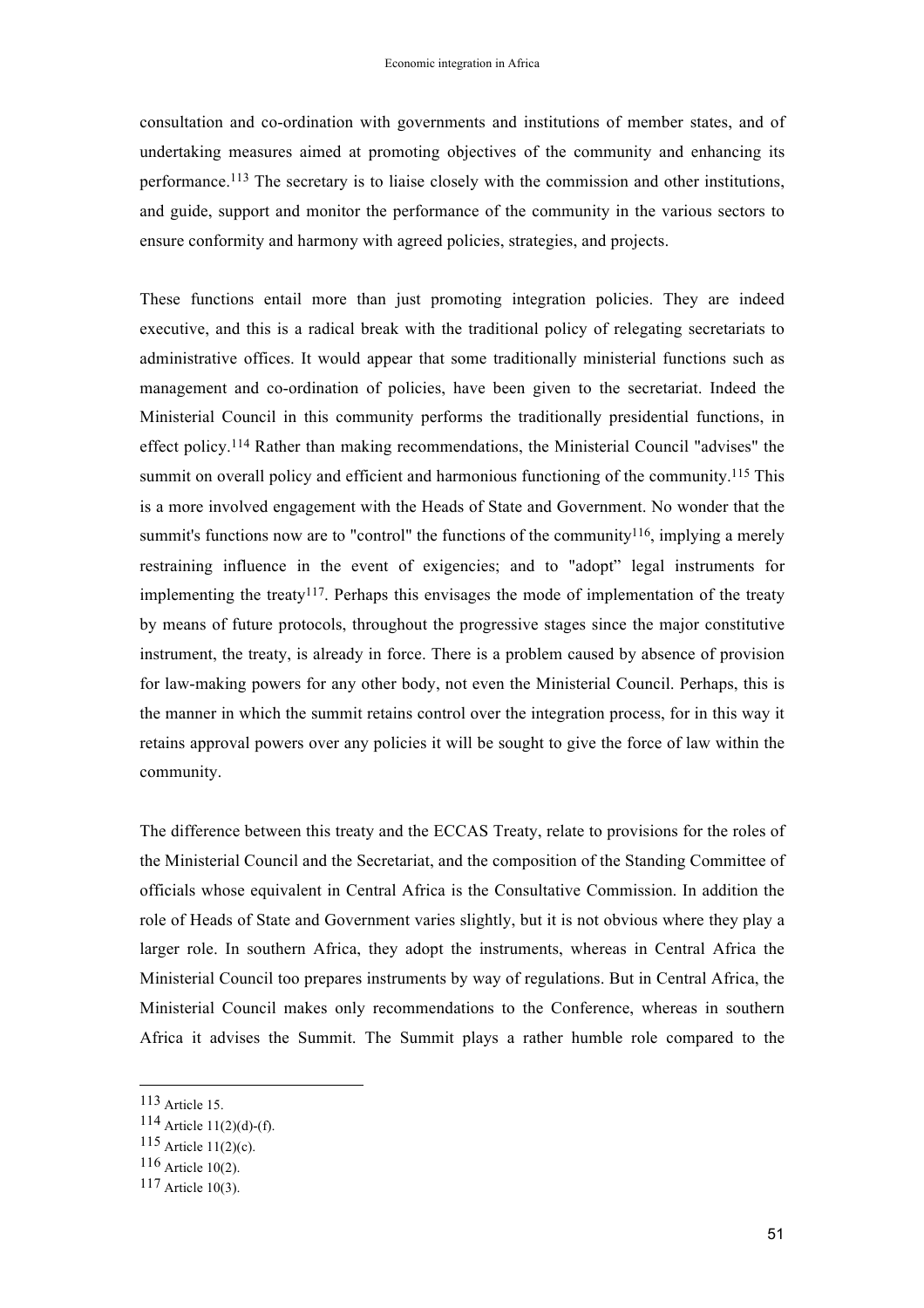consultation and co-ordination with governments and institutions of member states, and of undertaking measures aimed at promoting objectives of the community and enhancing its performance.113 The secretary is to liaise closely with the commission and other institutions, and guide, support and monitor the performance of the community in the various sectors to ensure conformity and harmony with agreed policies, strategies, and projects.

These functions entail more than just promoting integration policies. They are indeed executive, and this is a radical break with the traditional policy of relegating secretariats to administrative offices. It would appear that some traditionally ministerial functions such as management and co-ordination of policies, have been given to the secretariat. Indeed the Ministerial Council in this community performs the traditionally presidential functions, in effect policy.114 Rather than making recommendations, the Ministerial Council "advises" the summit on overall policy and efficient and harmonious functioning of the community.<sup>115</sup> This is a more involved engagement with the Heads of State and Government. No wonder that the summit's functions now are to "control" the functions of the community<sup>116</sup>, implying a merely restraining influence in the event of exigencies; and to "adopt" legal instruments for implementing the treaty<sup>117</sup>. Perhaps this envisages the mode of implementation of the treaty by means of future protocols, throughout the progressive stages since the major constitutive instrument, the treaty, is already in force. There is a problem caused by absence of provision for law-making powers for any other body, not even the Ministerial Council. Perhaps, this is the manner in which the summit retains control over the integration process, for in this way it retains approval powers over any policies it will be sought to give the force of law within the community.

The difference between this treaty and the ECCAS Treaty, relate to provisions for the roles of the Ministerial Council and the Secretariat, and the composition of the Standing Committee of officials whose equivalent in Central Africa is the Consultative Commission. In addition the role of Heads of State and Government varies slightly, but it is not obvious where they play a larger role. In southern Africa, they adopt the instruments, whereas in Central Africa the Ministerial Council too prepares instruments by way of regulations. But in Central Africa, the Ministerial Council makes only recommendations to the Conference, whereas in southern Africa it advises the Summit. The Summit plays a rather humble role compared to the

<sup>113</sup> Article 15.

<sup>114</sup> Article 11(2)(d)-(f).

<sup>115</sup> Article 11(2)(c).

<sup>116</sup> Article 10(2).

<sup>117</sup> Article 10(3).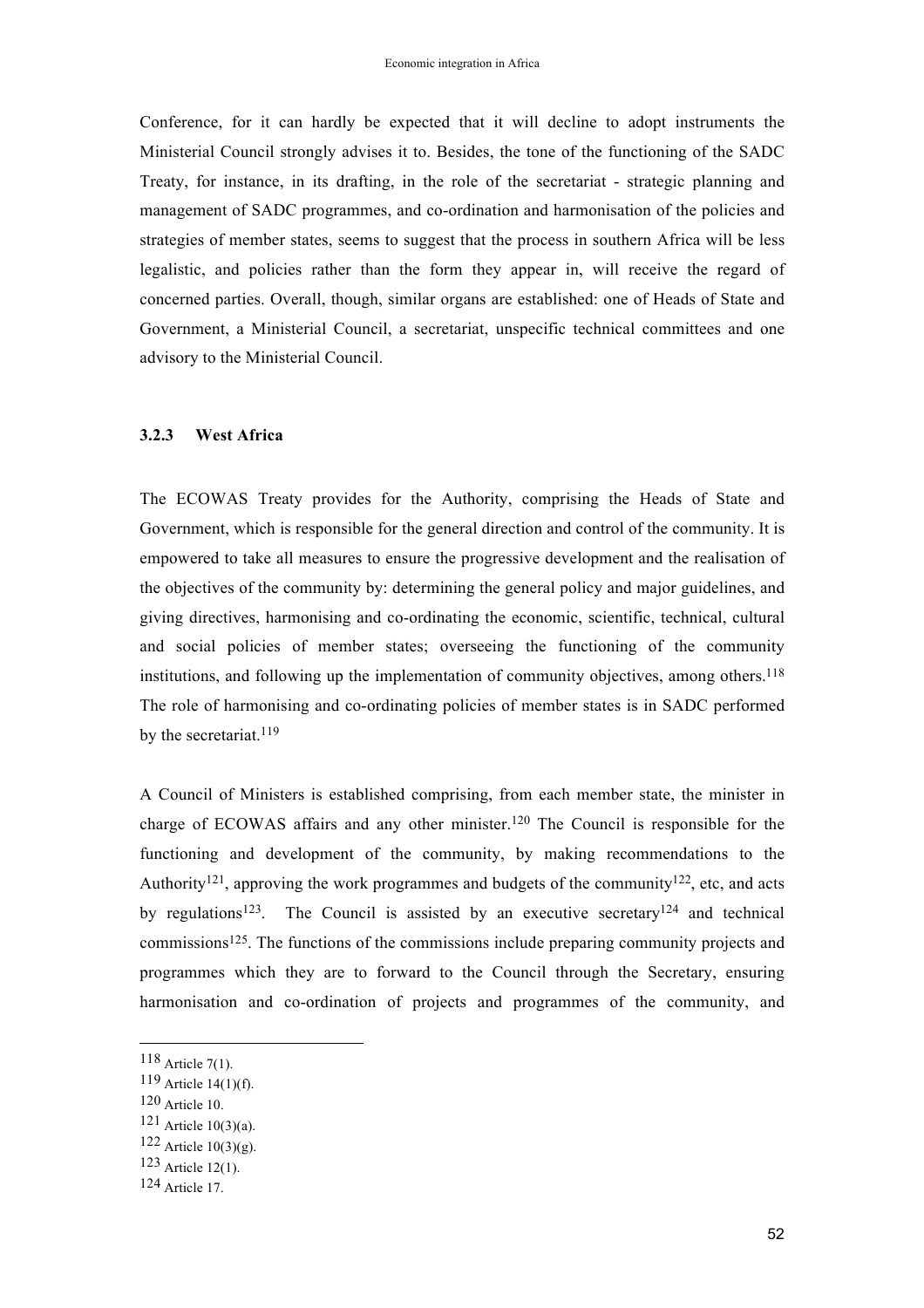Conference, for it can hardly be expected that it will decline to adopt instruments the Ministerial Council strongly advises it to. Besides, the tone of the functioning of the SADC Treaty, for instance, in its drafting, in the role of the secretariat - strategic planning and management of SADC programmes, and co-ordination and harmonisation of the policies and strategies of member states, seems to suggest that the process in southern Africa will be less legalistic, and policies rather than the form they appear in, will receive the regard of concerned parties. Overall, though, similar organs are established: one of Heads of State and Government, a Ministerial Council, a secretariat, unspecific technical committees and one advisory to the Ministerial Council.

## **3.2.3 West Africa**

The ECOWAS Treaty provides for the Authority, comprising the Heads of State and Government, which is responsible for the general direction and control of the community. It is empowered to take all measures to ensure the progressive development and the realisation of the objectives of the community by: determining the general policy and major guidelines, and giving directives, harmonising and co-ordinating the economic, scientific, technical, cultural and social policies of member states; overseeing the functioning of the community institutions, and following up the implementation of community objectives, among others.<sup>118</sup> The role of harmonising and co-ordinating policies of member states is in SADC performed by the secretariat.<sup>119</sup>

A Council of Ministers is established comprising, from each member state, the minister in charge of ECOWAS affairs and any other minister.120 The Council is responsible for the functioning and development of the community, by making recommendations to the Authority<sup>121</sup>, approving the work programmes and budgets of the community<sup>122</sup>, etc, and acts by regulations<sup>123</sup>. The Council is assisted by an executive secretary<sup>124</sup> and technical commissions125. The functions of the commissions include preparing community projects and programmes which they are to forward to the Council through the Secretary, ensuring harmonisation and co-ordination of projects and programmes of the community, and

l

120 Article 10.

<sup>118</sup> Article 7(1).

<sup>119</sup> Article 14(1)(f).

<sup>121</sup> Article 10(3)(a).

<sup>122</sup> Article 10(3)(g).

<sup>123</sup> Article 12(1).

<sup>124</sup> Article 17.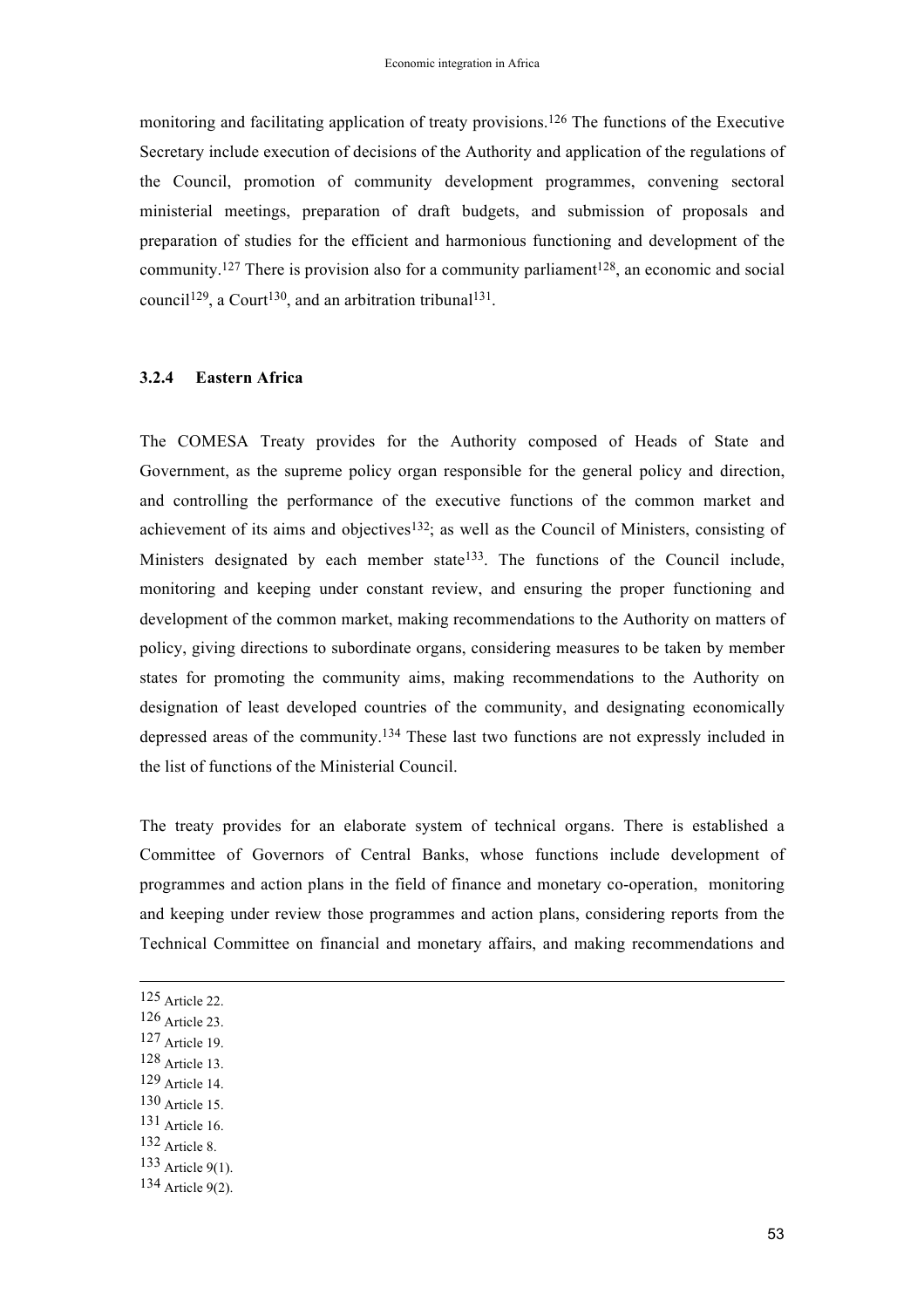monitoring and facilitating application of treaty provisions.126 The functions of the Executive Secretary include execution of decisions of the Authority and application of the regulations of the Council, promotion of community development programmes, convening sectoral ministerial meetings, preparation of draft budgets, and submission of proposals and preparation of studies for the efficient and harmonious functioning and development of the community.<sup>127</sup> There is provision also for a community parliament<sup>128</sup>, an economic and social council<sup>129</sup>, a Court<sup>130</sup>, and an arbitration tribunal<sup>131</sup>.

### **3.2.4 Eastern Africa**

The COMESA Treaty provides for the Authority composed of Heads of State and Government, as the supreme policy organ responsible for the general policy and direction, and controlling the performance of the executive functions of the common market and achievement of its aims and objectives<sup>132</sup>; as well as the Council of Ministers, consisting of Ministers designated by each member state<sup>133</sup>. The functions of the Council include, monitoring and keeping under constant review, and ensuring the proper functioning and development of the common market, making recommendations to the Authority on matters of policy, giving directions to subordinate organs, considering measures to be taken by member states for promoting the community aims, making recommendations to the Authority on designation of least developed countries of the community, and designating economically depressed areas of the community.134 These last two functions are not expressly included in the list of functions of the Ministerial Council.

The treaty provides for an elaborate system of technical organs. There is established a Committee of Governors of Central Banks, whose functions include development of programmes and action plans in the field of finance and monetary co-operation, monitoring and keeping under review those programmes and action plans, considering reports from the Technical Committee on financial and monetary affairs, and making recommendations and

- 126 Article 23.
- 127 Article 19.
- 128 Article 13.
- 129 Article 14.
- 130 Article 15.
- 131 Article 16.
- 132 Article 8.
- 133 Article 9(1).
- 134 Article 9(2).

<sup>125</sup> Article 22.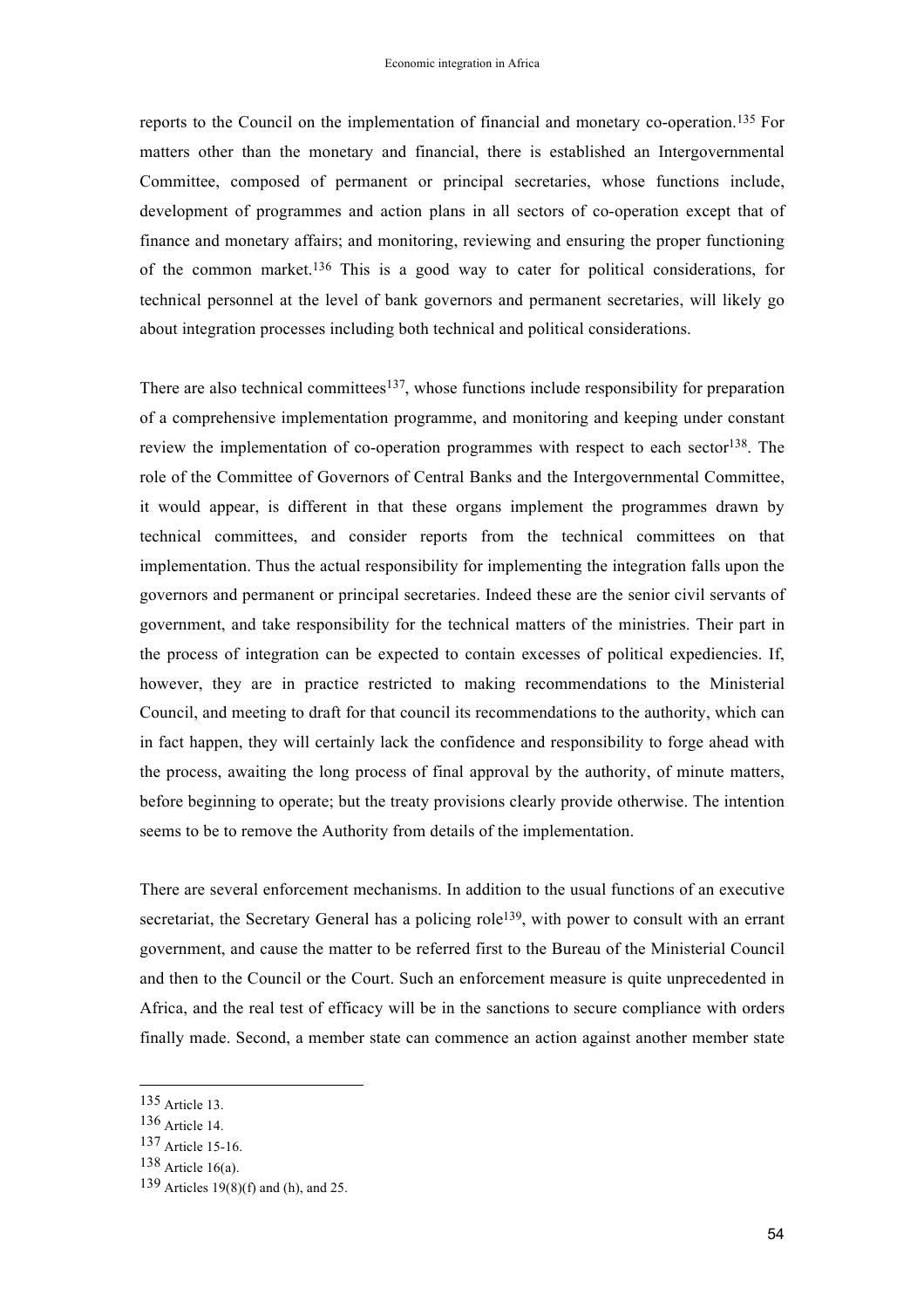reports to the Council on the implementation of financial and monetary co-operation.135 For matters other than the monetary and financial, there is established an Intergovernmental Committee, composed of permanent or principal secretaries, whose functions include, development of programmes and action plans in all sectors of co-operation except that of finance and monetary affairs; and monitoring, reviewing and ensuring the proper functioning of the common market.136 This is a good way to cater for political considerations, for technical personnel at the level of bank governors and permanent secretaries, will likely go about integration processes including both technical and political considerations.

There are also technical committees<sup>137</sup>, whose functions include responsibility for preparation of a comprehensive implementation programme, and monitoring and keeping under constant review the implementation of co-operation programmes with respect to each sector<sup>138</sup>. The role of the Committee of Governors of Central Banks and the Intergovernmental Committee, it would appear, is different in that these organs implement the programmes drawn by technical committees, and consider reports from the technical committees on that implementation. Thus the actual responsibility for implementing the integration falls upon the governors and permanent or principal secretaries. Indeed these are the senior civil servants of government, and take responsibility for the technical matters of the ministries. Their part in the process of integration can be expected to contain excesses of political expediencies. If, however, they are in practice restricted to making recommendations to the Ministerial Council, and meeting to draft for that council its recommendations to the authority, which can in fact happen, they will certainly lack the confidence and responsibility to forge ahead with the process, awaiting the long process of final approval by the authority, of minute matters, before beginning to operate; but the treaty provisions clearly provide otherwise. The intention seems to be to remove the Authority from details of the implementation.

There are several enforcement mechanisms. In addition to the usual functions of an executive secretariat, the Secretary General has a policing role<sup>139</sup>, with power to consult with an errant government, and cause the matter to be referred first to the Bureau of the Ministerial Council and then to the Council or the Court. Such an enforcement measure is quite unprecedented in Africa, and the real test of efficacy will be in the sanctions to secure compliance with orders finally made. Second, a member state can commence an action against another member state

<sup>135</sup> Article 13.

<sup>136</sup> Article 14.

<sup>137</sup> Article 15-16.

<sup>138</sup> Article 16(a).

<sup>139</sup> Articles 19(8)(f) and (h), and 25.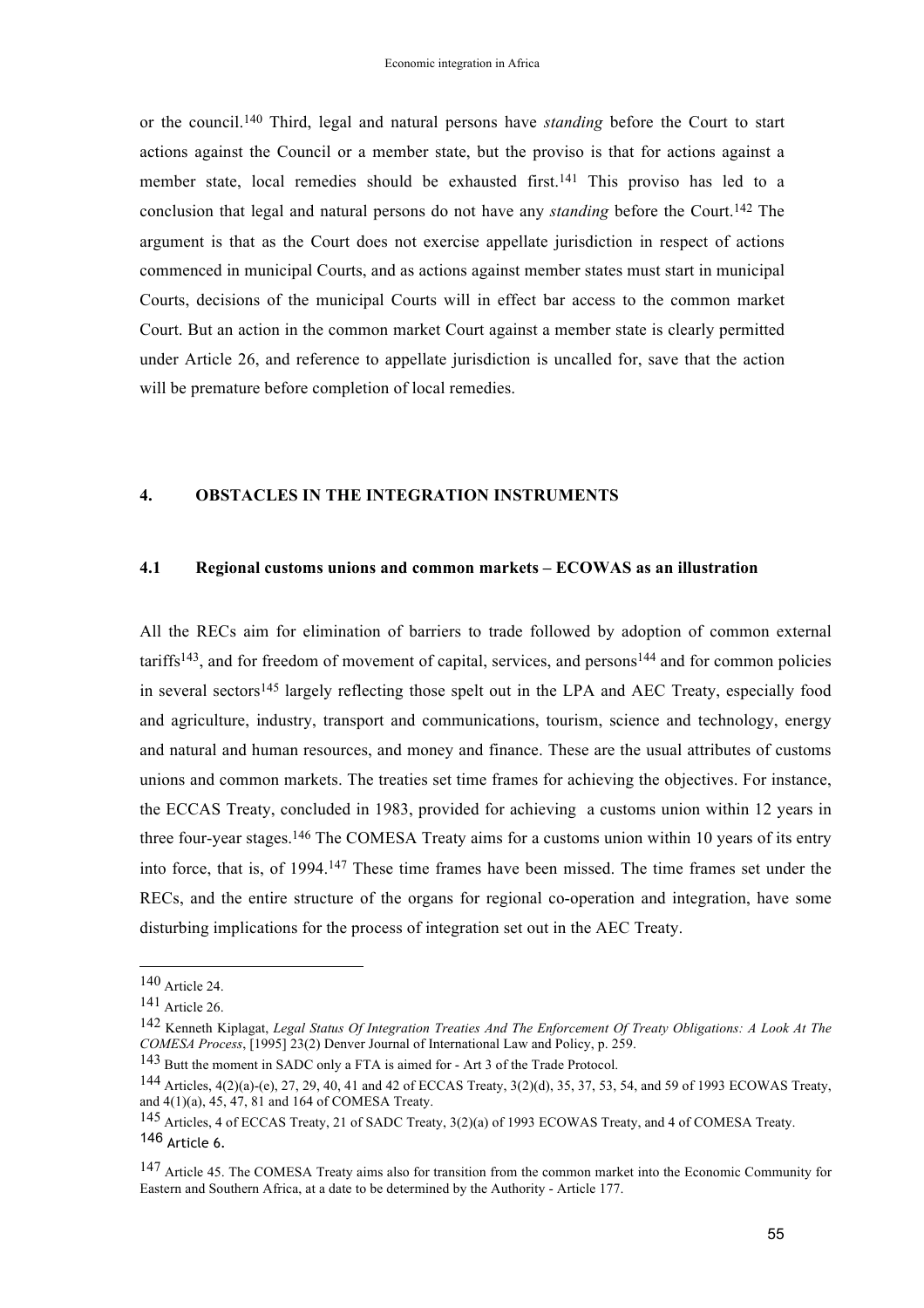or the council.140 Third, legal and natural persons have *standing* before the Court to start actions against the Council or a member state, but the proviso is that for actions against a member state, local remedies should be exhausted first.<sup>141</sup> This proviso has led to a conclusion that legal and natural persons do not have any *standing* before the Court.<sup>142</sup> The argument is that as the Court does not exercise appellate jurisdiction in respect of actions commenced in municipal Courts, and as actions against member states must start in municipal Courts, decisions of the municipal Courts will in effect bar access to the common market Court. But an action in the common market Court against a member state is clearly permitted under Article 26, and reference to appellate jurisdiction is uncalled for, save that the action will be premature before completion of local remedies.

# **4. OBSTACLES IN THE INTEGRATION INSTRUMENTS**

#### **4.1 Regional customs unions and common markets – ECOWAS as an illustration**

All the RECs aim for elimination of barriers to trade followed by adoption of common external  $\text{tariffs}^{143}$ , and for freedom of movement of capital, services, and persons<sup>144</sup> and for common policies in several sectors<sup>145</sup> largely reflecting those spelt out in the LPA and AEC Treaty, especially food and agriculture, industry, transport and communications, tourism, science and technology, energy and natural and human resources, and money and finance. These are the usual attributes of customs unions and common markets. The treaties set time frames for achieving the objectives. For instance, the ECCAS Treaty, concluded in 1983, provided for achieving a customs union within 12 years in three four-year stages.<sup>146</sup> The COMESA Treaty aims for a customs union within 10 years of its entry into force, that is, of 1994.147 These time frames have been missed. The time frames set under the RECs, and the entire structure of the organs for regional co-operation and integration, have some disturbing implications for the process of integration set out in the AEC Treaty.

<sup>140</sup> Article 24.

<sup>141</sup> Article 26.

<sup>142</sup> Kenneth Kiplagat, *Legal Status Of Integration Treaties And The Enforcement Of Treaty Obligations: A Look At The COMESA Process*, [1995] 23(2) Denver Journal of International Law and Policy, p. 259.

<sup>143</sup> Butt the moment in SADC only a FTA is aimed for - Art 3 of the Trade Protocol.

<sup>144</sup> Articles, 4(2)(a)-(e), 27, 29, 40, 41 and 42 of ECCAS Treaty, 3(2)(d), 35, 37, 53, 54, and 59 of 1993 ECOWAS Treaty, and  $4(1)(a)$ ,  $45$ ,  $47$ ,  $81$  and  $164$  of COMESA Treaty.

<sup>145</sup> Articles, 4 of ECCAS Treaty, 21 of SADC Treaty, 3(2)(a) of 1993 ECOWAS Treaty, and 4 of COMESA Treaty. 146 Article 6.

<sup>147</sup> Article 45. The COMESA Treaty aims also for transition from the common market into the Economic Community for Eastern and Southern Africa, at a date to be determined by the Authority - Article 177.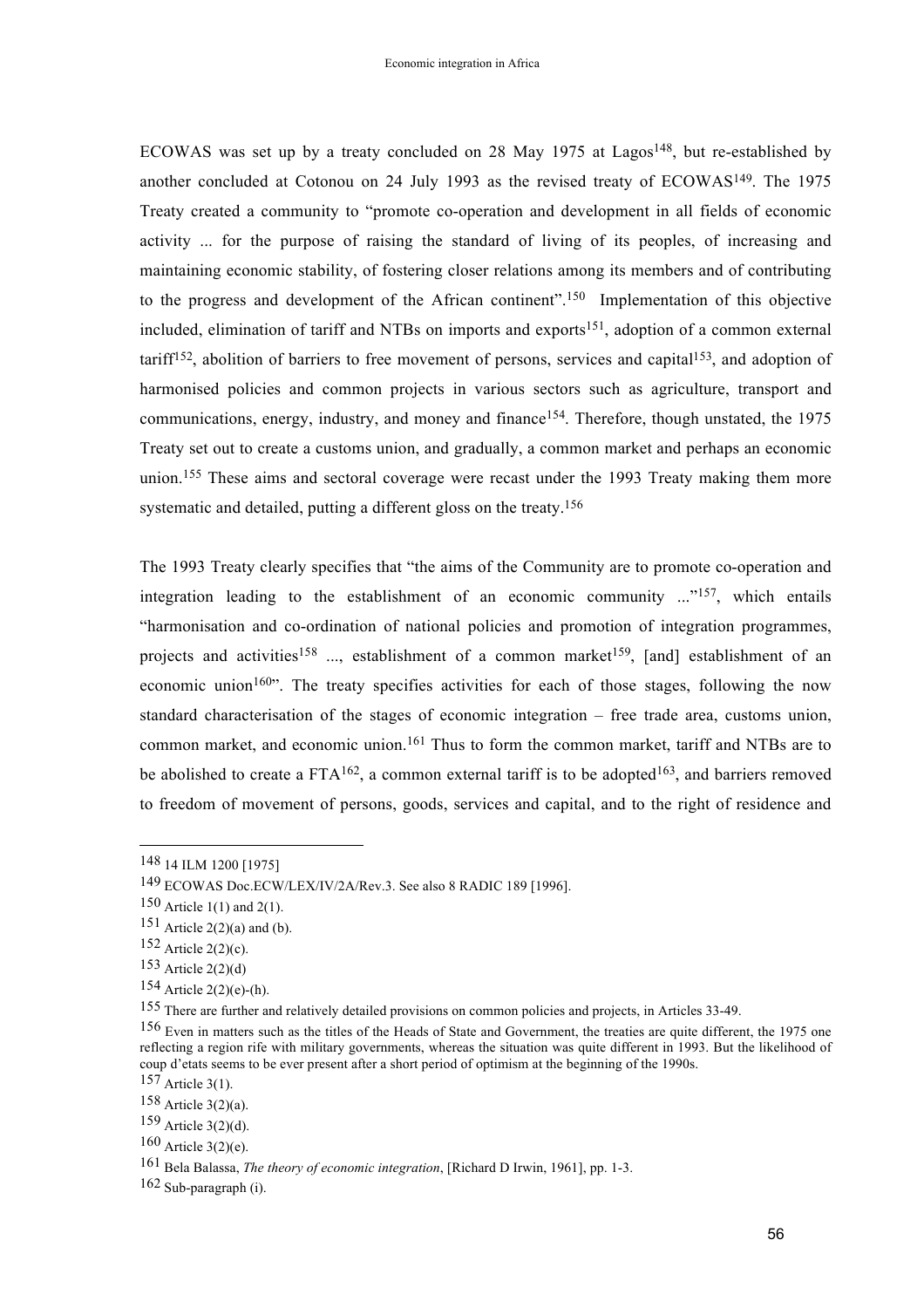ECOWAS was set up by a treaty concluded on 28 May 1975 at Lagos<sup>148</sup>, but re-established by another concluded at Cotonou on 24 July 1993 as the revised treaty of ECOWAS149. The 1975 Treaty created a community to "promote co-operation and development in all fields of economic activity ... for the purpose of raising the standard of living of its peoples, of increasing and maintaining economic stability, of fostering closer relations among its members and of contributing to the progress and development of the African continent".150 Implementation of this objective included, elimination of tariff and NTBs on imports and exports<sup>151</sup>, adoption of a common external tariff<sup>152</sup>, abolition of barriers to free movement of persons, services and capital<sup>153</sup>, and adoption of harmonised policies and common projects in various sectors such as agriculture, transport and communications, energy, industry, and money and finance<sup>154</sup>. Therefore, though unstated, the 1975 Treaty set out to create a customs union, and gradually, a common market and perhaps an economic union.<sup>155</sup> These aims and sectoral coverage were recast under the 1993 Treaty making them more systematic and detailed, putting a different gloss on the treaty.<sup>156</sup>

The 1993 Treaty clearly specifies that "the aims of the Community are to promote co-operation and integration leading to the establishment of an economic community ..."157, which entails "harmonisation and co-ordination of national policies and promotion of integration programmes, projects and activities<sup>158</sup> ..., establishment of a common market<sup>159</sup>, [and] establishment of an economic union<sup>160</sup>". The treaty specifies activities for each of those stages, following the now standard characterisation of the stages of economic integration – free trade area, customs union, common market, and economic union.161 Thus to form the common market, tariff and NTBs are to be abolished to create a  $FTA^{162}$ , a common external tariff is to be adopted<sup>163</sup>, and barriers removed to freedom of movement of persons, goods, services and capital, and to the right of residence and

<sup>148</sup> 14 ILM 1200 [1975]

<sup>149</sup> ECOWAS Doc.ECW/LEX/IV/2A/Rev.3. See also 8 RADIC 189 [1996].

<sup>150</sup> Article 1(1) and 2(1).

 $151$  Article 2(2)(a) and (b).

<sup>152</sup> Article 2(2)(c).

 $153$  Article 2(2)(d)

<sup>154</sup> Article 2(2)(e)-(h).

<sup>155</sup> There are further and relatively detailed provisions on common policies and projects, in Articles 33-49.

<sup>156</sup> Even in matters such as the titles of the Heads of State and Government, the treaties are quite different, the 1975 one reflecting a region rife with military governments, whereas the situation was quite different in 1993. But the likelihood of coup d'etats seems to be ever present after a short period of optimism at the beginning of the 1990s.

 $157$  Article 3(1).

<sup>158</sup> Article 3(2)(a).

<sup>159</sup> Article 3(2)(d).

<sup>160</sup> Article 3(2)(e).

<sup>161</sup> Bela Balassa, *The theory of economic integration*, [Richard D Irwin, 1961], pp. 1-3.

 $162$  Sub-paragraph (i).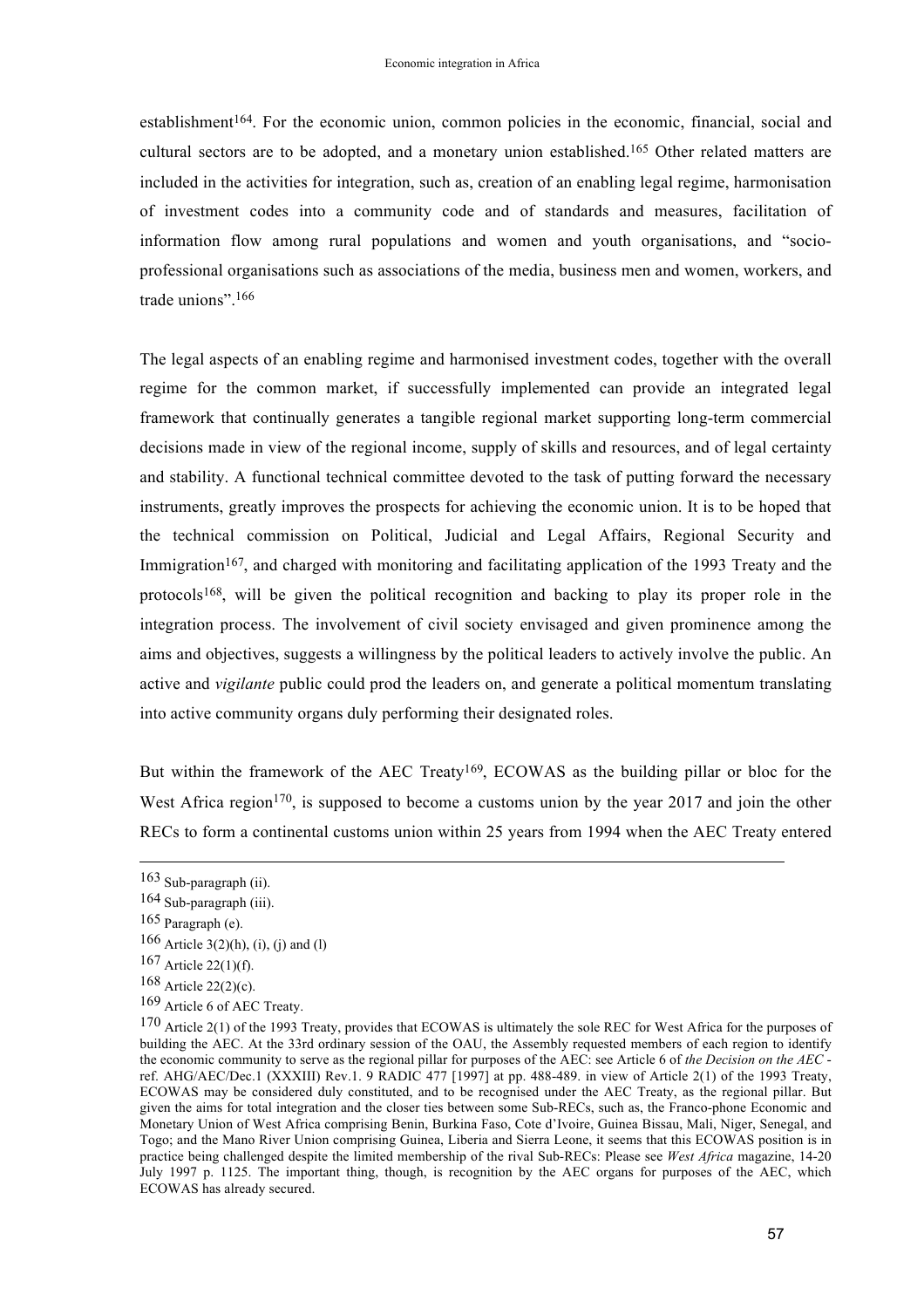establishment164. For the economic union, common policies in the economic, financial, social and cultural sectors are to be adopted, and a monetary union established.165 Other related matters are included in the activities for integration, such as, creation of an enabling legal regime, harmonisation of investment codes into a community code and of standards and measures, facilitation of information flow among rural populations and women and youth organisations, and "socioprofessional organisations such as associations of the media, business men and women, workers, and trade unions".166

The legal aspects of an enabling regime and harmonised investment codes, together with the overall regime for the common market, if successfully implemented can provide an integrated legal framework that continually generates a tangible regional market supporting long-term commercial decisions made in view of the regional income, supply of skills and resources, and of legal certainty and stability. A functional technical committee devoted to the task of putting forward the necessary instruments, greatly improves the prospects for achieving the economic union. It is to be hoped that the technical commission on Political, Judicial and Legal Affairs, Regional Security and Immigration<sup>167</sup>, and charged with monitoring and facilitating application of the 1993 Treaty and the protocols168, will be given the political recognition and backing to play its proper role in the integration process. The involvement of civil society envisaged and given prominence among the aims and objectives, suggests a willingness by the political leaders to actively involve the public. An active and *vigilante* public could prod the leaders on, and generate a political momentum translating into active community organs duly performing their designated roles.

But within the framework of the AEC Treaty<sup>169</sup>, ECOWAS as the building pillar or bloc for the West Africa region<sup>170</sup>, is supposed to become a customs union by the year 2017 and join the other RECs to form a continental customs union within 25 years from 1994 when the AEC Treaty entered

<sup>163</sup> Sub-paragraph (ii).

<sup>164</sup> Sub-paragraph (iii).

 $165$  Paragraph (e).

<sup>166</sup> Article 3(2)(h), (i), (j) and (l)

<sup>167</sup> Article 22(1)(f).

<sup>168</sup> Article 22(2)(c).

<sup>169</sup> Article 6 of AEC Treaty.

<sup>170</sup> Article 2(1) of the 1993 Treaty, provides that ECOWAS is ultimately the sole REC for West Africa for the purposes of building the AEC. At the 33rd ordinary session of the OAU, the Assembly requested members of each region to identify the economic community to serve as the regional pillar for purposes of the AEC: see Article 6 of *the Decision on the AEC* ref. AHG/AEC/Dec.1 (XXXIII) Rev.1. 9 RADIC 477 [1997] at pp. 488-489. in view of Article 2(1) of the 1993 Treaty, ECOWAS may be considered duly constituted, and to be recognised under the AEC Treaty, as the regional pillar. But given the aims for total integration and the closer ties between some Sub-RECs, such as, the Franco-phone Economic and Monetary Union of West Africa comprising Benin, Burkina Faso, Cote d'Ivoire, Guinea Bissau, Mali, Niger, Senegal, and Togo; and the Mano River Union comprising Guinea, Liberia and Sierra Leone, it seems that this ECOWAS position is in practice being challenged despite the limited membership of the rival Sub-RECs: Please see *West Africa* magazine, 14-20 July 1997 p. 1125. The important thing, though, is recognition by the AEC organs for purposes of the AEC, which ECOWAS has already secured.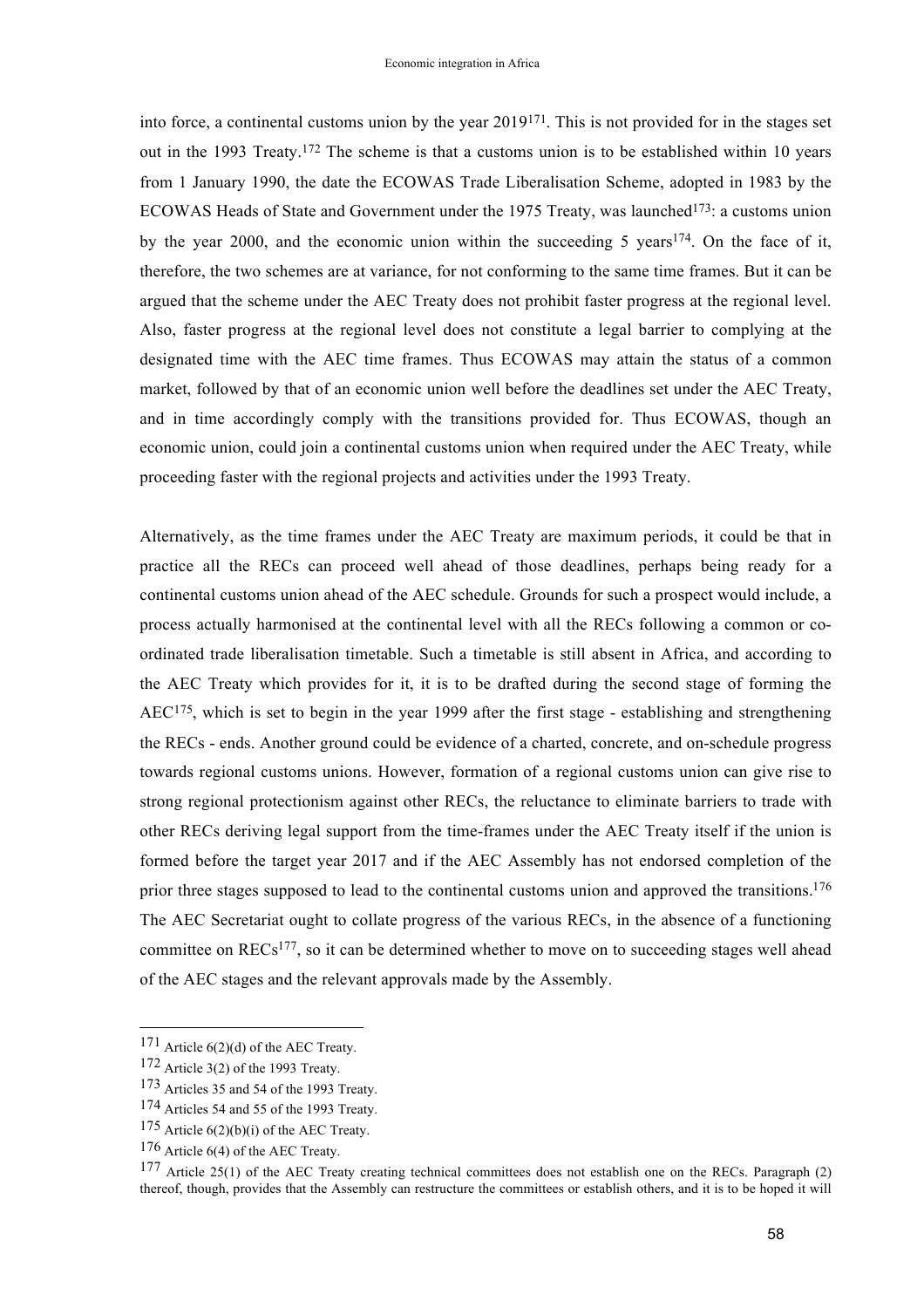into force, a continental customs union by the year 2019171. This is not provided for in the stages set out in the 1993 Treaty.172 The scheme is that a customs union is to be established within 10 years from 1 January 1990, the date the ECOWAS Trade Liberalisation Scheme, adopted in 1983 by the ECOWAS Heads of State and Government under the 1975 Treaty, was launched<sup>173</sup>: a customs union by the year 2000, and the economic union within the succeeding 5 years<sup>174</sup>. On the face of it, therefore, the two schemes are at variance, for not conforming to the same time frames. But it can be argued that the scheme under the AEC Treaty does not prohibit faster progress at the regional level. Also, faster progress at the regional level does not constitute a legal barrier to complying at the designated time with the AEC time frames. Thus ECOWAS may attain the status of a common market, followed by that of an economic union well before the deadlines set under the AEC Treaty, and in time accordingly comply with the transitions provided for. Thus ECOWAS, though an economic union, could join a continental customs union when required under the AEC Treaty, while proceeding faster with the regional projects and activities under the 1993 Treaty.

Alternatively, as the time frames under the AEC Treaty are maximum periods, it could be that in practice all the RECs can proceed well ahead of those deadlines, perhaps being ready for a continental customs union ahead of the AEC schedule. Grounds for such a prospect would include, a process actually harmonised at the continental level with all the RECs following a common or coordinated trade liberalisation timetable. Such a timetable is still absent in Africa, and according to the AEC Treaty which provides for it, it is to be drafted during the second stage of forming the AEC175, which is set to begin in the year 1999 after the first stage - establishing and strengthening the RECs - ends. Another ground could be evidence of a charted, concrete, and on-schedule progress towards regional customs unions. However, formation of a regional customs union can give rise to strong regional protectionism against other RECs, the reluctance to eliminate barriers to trade with other RECs deriving legal support from the time-frames under the AEC Treaty itself if the union is formed before the target year 2017 and if the AEC Assembly has not endorsed completion of the prior three stages supposed to lead to the continental customs union and approved the transitions.176 The AEC Secretariat ought to collate progress of the various RECs, in the absence of a functioning committee on RECs177, so it can be determined whether to move on to succeeding stages well ahead of the AEC stages and the relevant approvals made by the Assembly.

<sup>171</sup> Article 6(2)(d) of the AEC Treaty.

<sup>172</sup> Article 3(2) of the 1993 Treaty.

<sup>173</sup> Articles 35 and 54 of the 1993 Treaty.

<sup>174</sup> Articles 54 and 55 of the 1993 Treaty.

<sup>175</sup> Article  $6(2)(b)(i)$  of the AEC Treaty.

<sup>176</sup> Article 6(4) of the AEC Treaty.

<sup>177</sup> Article 25(1) of the AEC Treaty creating technical committees does not establish one on the RECs. Paragraph (2) thereof, though, provides that the Assembly can restructure the committees or establish others, and it is to be hoped it will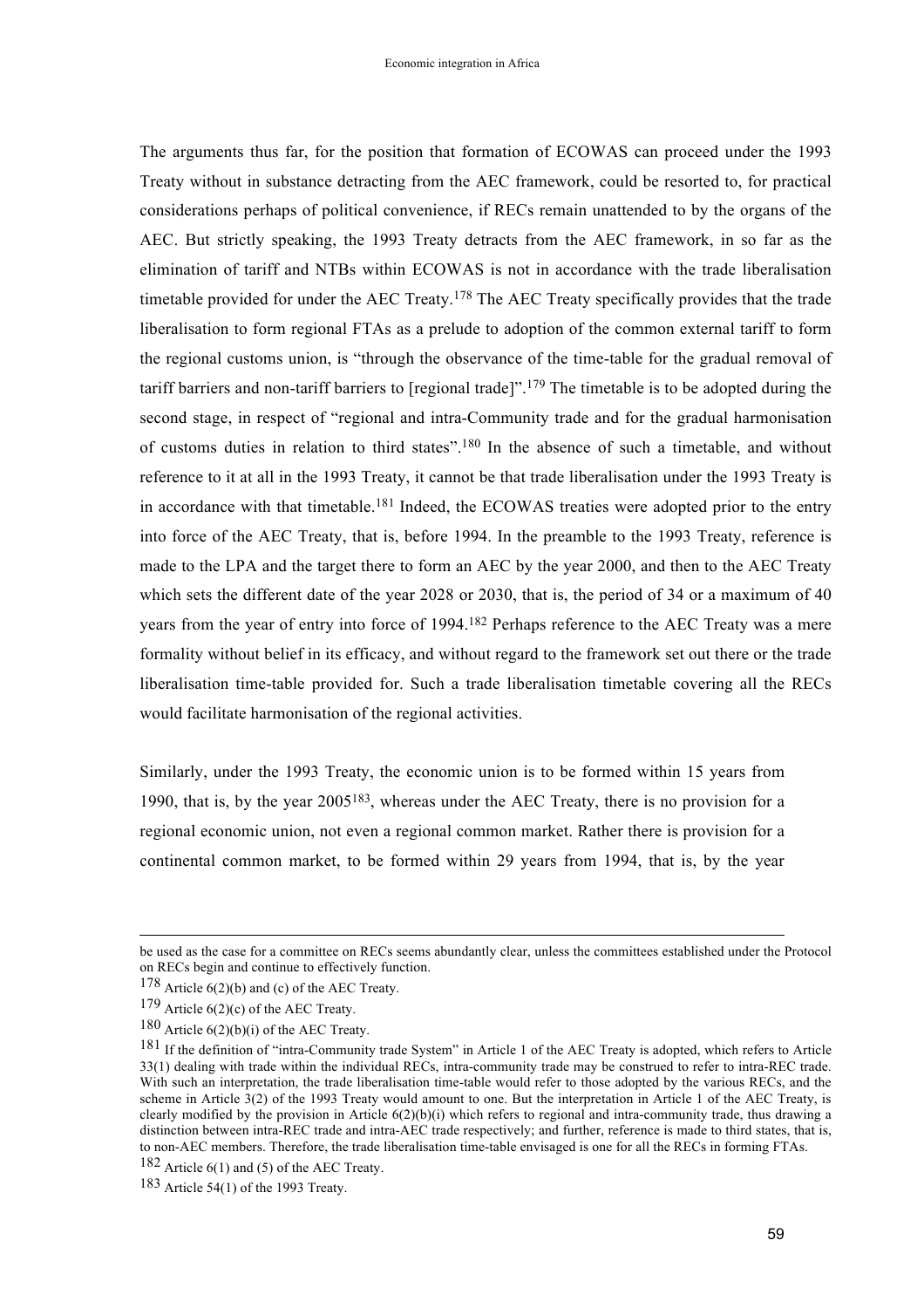The arguments thus far, for the position that formation of ECOWAS can proceed under the 1993 Treaty without in substance detracting from the AEC framework, could be resorted to, for practical considerations perhaps of political convenience, if RECs remain unattended to by the organs of the AEC. But strictly speaking, the 1993 Treaty detracts from the AEC framework, in so far as the elimination of tariff and NTBs within ECOWAS is not in accordance with the trade liberalisation timetable provided for under the AEC Treaty.178 The AEC Treaty specifically provides that the trade liberalisation to form regional FTAs as a prelude to adoption of the common external tariff to form the regional customs union, is "through the observance of the time-table for the gradual removal of tariff barriers and non-tariff barriers to [regional trade]".179 The timetable is to be adopted during the second stage, in respect of "regional and intra-Community trade and for the gradual harmonisation of customs duties in relation to third states".180 In the absence of such a timetable, and without reference to it at all in the 1993 Treaty, it cannot be that trade liberalisation under the 1993 Treaty is in accordance with that timetable.181 Indeed, the ECOWAS treaties were adopted prior to the entry into force of the AEC Treaty, that is, before 1994. In the preamble to the 1993 Treaty, reference is made to the LPA and the target there to form an AEC by the year 2000, and then to the AEC Treaty which sets the different date of the year 2028 or 2030, that is, the period of 34 or a maximum of 40 years from the year of entry into force of 1994.182 Perhaps reference to the AEC Treaty was a mere formality without belief in its efficacy, and without regard to the framework set out there or the trade liberalisation time-table provided for. Such a trade liberalisation timetable covering all the RECs would facilitate harmonisation of the regional activities.

Similarly, under the 1993 Treaty, the economic union is to be formed within 15 years from 1990, that is, by the year 2005183, whereas under the AEC Treaty, there is no provision for a regional economic union, not even a regional common market. Rather there is provision for a continental common market, to be formed within 29 years from 1994, that is, by the year

be used as the case for a committee on RECs seems abundantly clear, unless the committees established under the Protocol on RECs begin and continue to effectively function.

<sup>178</sup> Article 6(2)(b) and (c) of the AEC Treaty.

<sup>179</sup> Article 6(2)(c) of the AEC Treaty.

 $180$  Article  $6(2)(b)(i)$  of the AEC Treaty.

<sup>181</sup> If the definition of "intra-Community trade System" in Article 1 of the AEC Treaty is adopted, which refers to Article 33(1) dealing with trade within the individual RECs, intra-community trade may be construed to refer to intra-REC trade. With such an interpretation, the trade liberalisation time-table would refer to those adopted by the various RECs, and the scheme in Article 3(2) of the 1993 Treaty would amount to one. But the interpretation in Article 1 of the AEC Treaty, is clearly modified by the provision in Article  $6(2)(b)(i)$  which refers to regional and intra-community trade, thus drawing a distinction between intra-REC trade and intra-AEC trade respectively; and further, reference is made to third states, that is, to non-AEC members. Therefore, the trade liberalisation time-table envisaged is one for all the RECs in forming FTAs. 182 Article 6(1) and (5) of the AEC Treaty.

<sup>183</sup> Article 54(1) of the 1993 Treaty.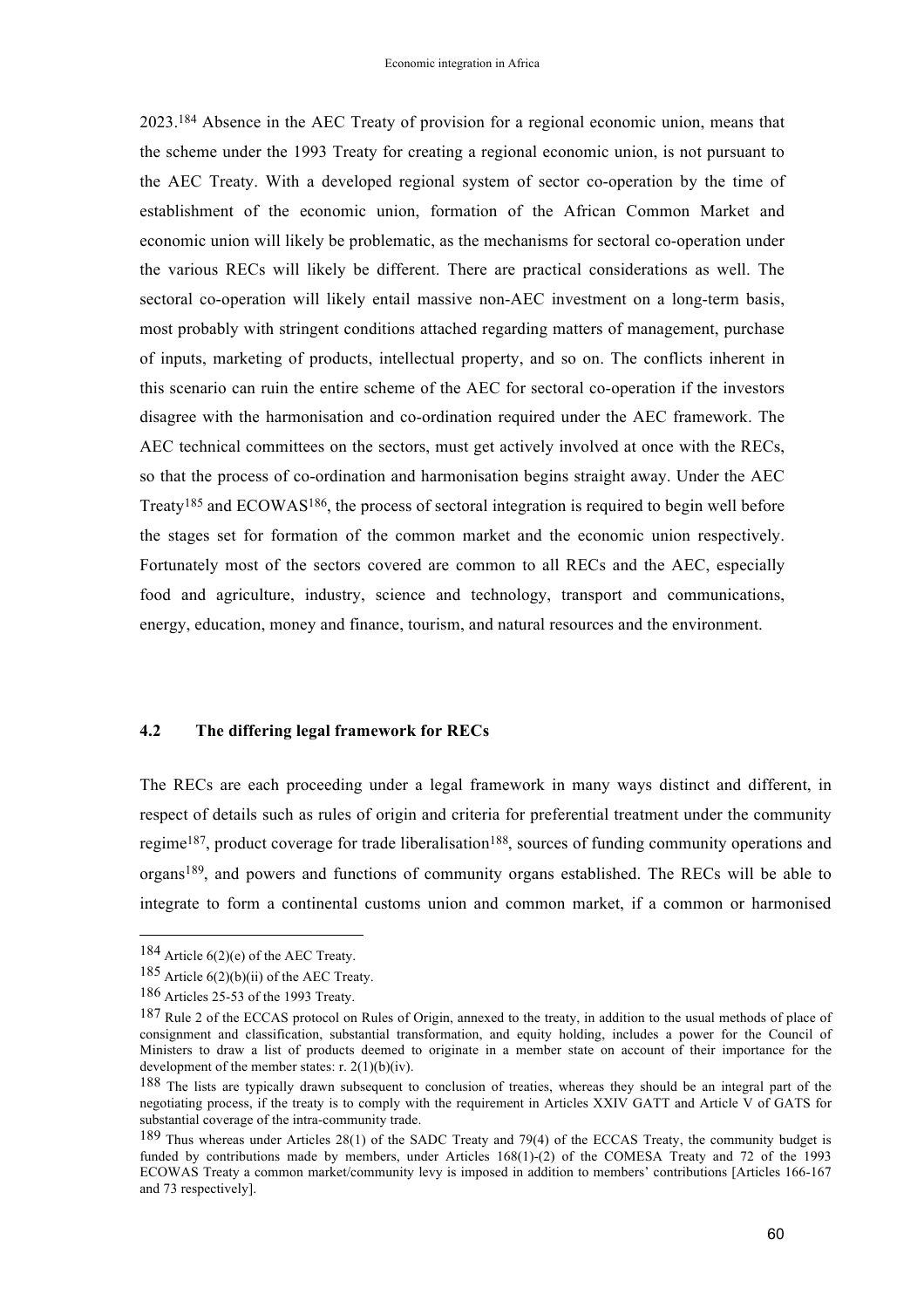2023.184 Absence in the AEC Treaty of provision for a regional economic union, means that the scheme under the 1993 Treaty for creating a regional economic union, is not pursuant to the AEC Treaty. With a developed regional system of sector co-operation by the time of establishment of the economic union, formation of the African Common Market and economic union will likely be problematic, as the mechanisms for sectoral co-operation under the various RECs will likely be different. There are practical considerations as well. The sectoral co-operation will likely entail massive non-AEC investment on a long-term basis, most probably with stringent conditions attached regarding matters of management, purchase of inputs, marketing of products, intellectual property, and so on. The conflicts inherent in this scenario can ruin the entire scheme of the AEC for sectoral co-operation if the investors disagree with the harmonisation and co-ordination required under the AEC framework. The AEC technical committees on the sectors, must get actively involved at once with the RECs, so that the process of co-ordination and harmonisation begins straight away. Under the AEC Treaty185 and ECOWAS186, the process of sectoral integration is required to begin well before the stages set for formation of the common market and the economic union respectively. Fortunately most of the sectors covered are common to all RECs and the AEC, especially food and agriculture, industry, science and technology, transport and communications, energy, education, money and finance, tourism, and natural resources and the environment.

### **4.2 The differing legal framework for RECs**

The RECs are each proceeding under a legal framework in many ways distinct and different, in respect of details such as rules of origin and criteria for preferential treatment under the community regime<sup>187</sup>, product coverage for trade liberalisation<sup>188</sup>, sources of funding community operations and organs189, and powers and functions of community organs established. The RECs will be able to integrate to form a continental customs union and common market, if a common or harmonised

<sup>184</sup> Article  $6(2)(e)$  of the AEC Treaty.

<sup>185</sup> Article  $6(2)(b)(ii)$  of the AEC Treaty.

<sup>186</sup> Articles 25-53 of the 1993 Treaty.

<sup>&</sup>lt;sup>187</sup> Rule 2 of the ECCAS protocol on Rules of Origin, annexed to the treaty, in addition to the usual methods of place of consignment and classification, substantial transformation, and equity holding, includes a power for the Council of Ministers to draw a list of products deemed to originate in a member state on account of their importance for the development of the member states:  $r. 2(1)(b)(iv)$ .

<sup>188</sup> The lists are typically drawn subsequent to conclusion of treaties, whereas they should be an integral part of the negotiating process, if the treaty is to comply with the requirement in Articles XXIV GATT and Article V of GATS for substantial coverage of the intra-community trade.

<sup>189</sup> Thus whereas under Articles 28(1) of the SADC Treaty and 79(4) of the ECCAS Treaty, the community budget is funded by contributions made by members, under Articles 168(1)-(2) of the COMESA Treaty and 72 of the 1993 ECOWAS Treaty a common market/community levy is imposed in addition to members' contributions [Articles 166-167 and 73 respectively].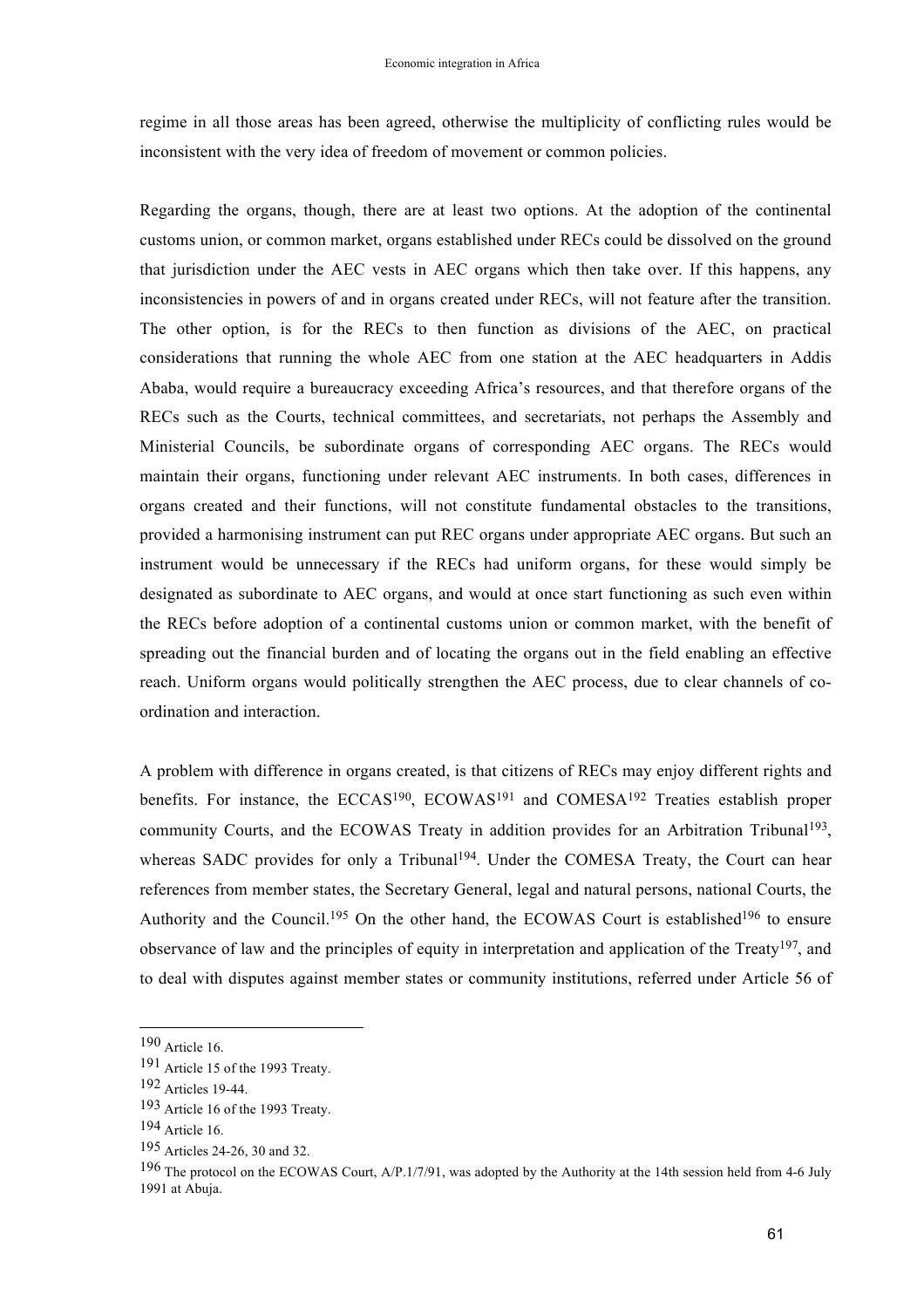regime in all those areas has been agreed, otherwise the multiplicity of conflicting rules would be inconsistent with the very idea of freedom of movement or common policies.

Regarding the organs, though, there are at least two options. At the adoption of the continental customs union, or common market, organs established under RECs could be dissolved on the ground that jurisdiction under the AEC vests in AEC organs which then take over. If this happens, any inconsistencies in powers of and in organs created under RECs, will not feature after the transition. The other option, is for the RECs to then function as divisions of the AEC, on practical considerations that running the whole AEC from one station at the AEC headquarters in Addis Ababa, would require a bureaucracy exceeding Africa's resources, and that therefore organs of the RECs such as the Courts, technical committees, and secretariats, not perhaps the Assembly and Ministerial Councils, be subordinate organs of corresponding AEC organs. The RECs would maintain their organs, functioning under relevant AEC instruments. In both cases, differences in organs created and their functions, will not constitute fundamental obstacles to the transitions, provided a harmonising instrument can put REC organs under appropriate AEC organs. But such an instrument would be unnecessary if the RECs had uniform organs, for these would simply be designated as subordinate to AEC organs, and would at once start functioning as such even within the RECs before adoption of a continental customs union or common market, with the benefit of spreading out the financial burden and of locating the organs out in the field enabling an effective reach. Uniform organs would politically strengthen the AEC process, due to clear channels of coordination and interaction.

A problem with difference in organs created, is that citizens of RECs may enjoy different rights and benefits. For instance, the ECCAS<sup>190</sup>, ECOWAS<sup>191</sup> and COMESA<sup>192</sup> Treaties establish proper community Courts, and the ECOWAS Treaty in addition provides for an Arbitration Tribunal<sup>193</sup>, whereas SADC provides for only a Tribunal<sup>194</sup>. Under the COMESA Treaty, the Court can hear references from member states, the Secretary General, legal and natural persons, national Courts, the Authority and the Council.<sup>195</sup> On the other hand, the ECOWAS Court is established<sup>196</sup> to ensure observance of law and the principles of equity in interpretation and application of the Treaty197, and to deal with disputes against member states or community institutions, referred under Article 56 of

<sup>190</sup> Article 16.

<sup>191</sup> Article 15 of the 1993 Treaty.

<sup>192</sup> Articles 19-44.

<sup>193</sup> Article 16 of the 1993 Treaty.

<sup>194</sup> Article 16.

<sup>195</sup> Articles 24-26, 30 and 32.

<sup>196</sup> The protocol on the ECOWAS Court, A/P.1/7/91, was adopted by the Authority at the 14th session held from 4-6 July 1991 at Abuja.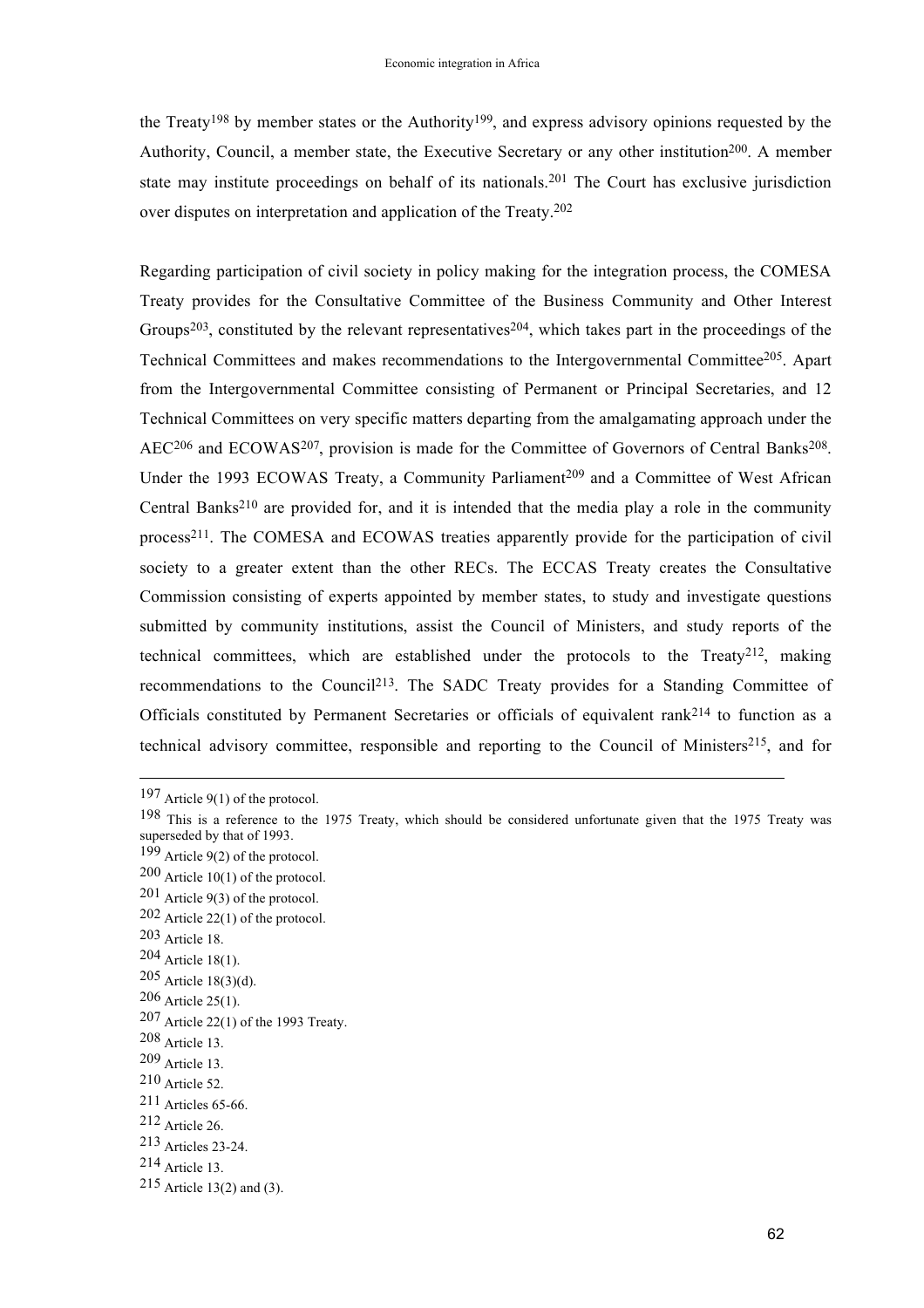the Treaty<sup>198</sup> by member states or the Authority<sup>199</sup>, and express advisory opinions requested by the Authority, Council, a member state, the Executive Secretary or any other institution<sup>200</sup>. A member state may institute proceedings on behalf of its nationals.201 The Court has exclusive jurisdiction over disputes on interpretation and application of the Treaty.202

Regarding participation of civil society in policy making for the integration process, the COMESA Treaty provides for the Consultative Committee of the Business Community and Other Interest Groups<sup>203</sup>, constituted by the relevant representatives<sup>204</sup>, which takes part in the proceedings of the Technical Committees and makes recommendations to the Intergovernmental Committee205. Apart from the Intergovernmental Committee consisting of Permanent or Principal Secretaries, and 12 Technical Committees on very specific matters departing from the amalgamating approach under the AEC<sup>206</sup> and ECOWAS<sup>207</sup>, provision is made for the Committee of Governors of Central Banks<sup>208</sup>. Under the 1993 ECOWAS Treaty, a Community Parliament<sup>209</sup> and a Committee of West African Central Banks<sup>210</sup> are provided for, and it is intended that the media play a role in the community process<sup>211</sup>. The COMESA and ECOWAS treaties apparently provide for the participation of civil society to a greater extent than the other RECs. The ECCAS Treaty creates the Consultative Commission consisting of experts appointed by member states, to study and investigate questions submitted by community institutions, assist the Council of Ministers, and study reports of the technical committees, which are established under the protocols to the  $Treatv^{212}$ , making recommendations to the Council213. The SADC Treaty provides for a Standing Committee of Officials constituted by Permanent Secretaries or officials of equivalent rank214 to function as a technical advisory committee, responsible and reporting to the Council of Ministers215, and for

204 Article 18(1).

- 205 Article 18(3)(d).
- 206 Article 25(1).
- 207 Article 22(1) of the 1993 Treaty.
- 208 Article 13.

- 210 Article 52.
- 211 Articles 65-66.
- 
- 212 Article 26.

<sup>197</sup> Article 9(1) of the protocol.

<sup>198</sup> This is a reference to the 1975 Treaty, which should be considered unfortunate given that the 1975 Treaty was superseded by that of 1993. 199 Article 9(2) of the protocol.

<sup>200</sup> Article 10(1) of the protocol.

<sup>201</sup> Article 9(3) of the protocol.

<sup>202</sup> Article 22(1) of the protocol.

<sup>203</sup> Article 18.

<sup>209</sup> Article 13.

<sup>213</sup> Articles 23-24.

<sup>214</sup> Article 13.

<sup>215</sup> Article 13(2) and (3).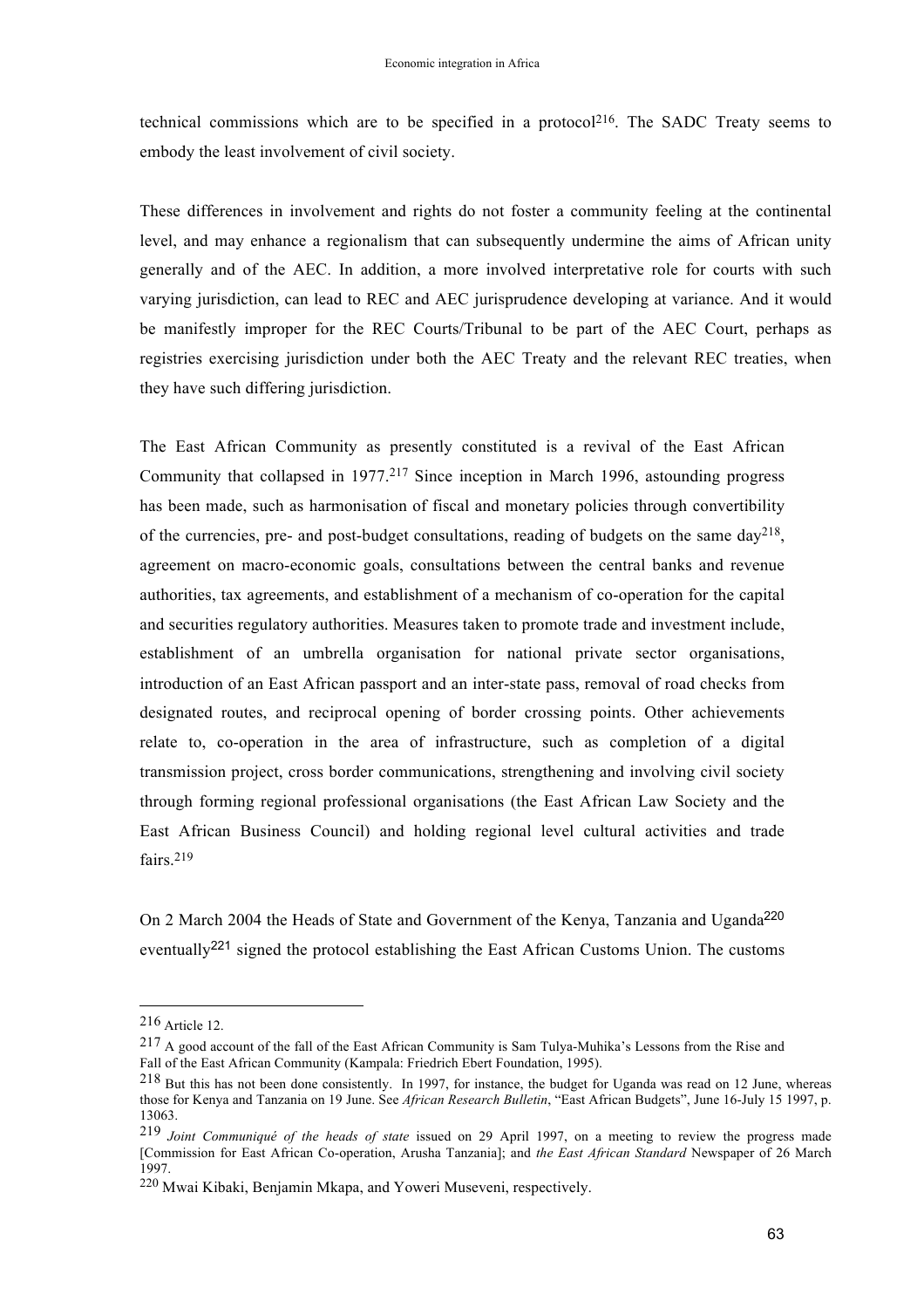technical commissions which are to be specified in a protocol<sup>216</sup>. The SADC Treaty seems to embody the least involvement of civil society.

These differences in involvement and rights do not foster a community feeling at the continental level, and may enhance a regionalism that can subsequently undermine the aims of African unity generally and of the AEC. In addition, a more involved interpretative role for courts with such varying jurisdiction, can lead to REC and AEC jurisprudence developing at variance. And it would be manifestly improper for the REC Courts/Tribunal to be part of the AEC Court, perhaps as registries exercising jurisdiction under both the AEC Treaty and the relevant REC treaties, when they have such differing jurisdiction.

The East African Community as presently constituted is a revival of the East African Community that collapsed in 1977.217 Since inception in March 1996, astounding progress has been made, such as harmonisation of fiscal and monetary policies through convertibility of the currencies, pre- and post-budget consultations, reading of budgets on the same day<sup>218</sup>, agreement on macro-economic goals, consultations between the central banks and revenue authorities, tax agreements, and establishment of a mechanism of co-operation for the capital and securities regulatory authorities. Measures taken to promote trade and investment include, establishment of an umbrella organisation for national private sector organisations, introduction of an East African passport and an inter-state pass, removal of road checks from designated routes, and reciprocal opening of border crossing points. Other achievements relate to, co-operation in the area of infrastructure, such as completion of a digital transmission project, cross border communications, strengthening and involving civil society through forming regional professional organisations (the East African Law Society and the East African Business Council) and holding regional level cultural activities and trade fairs<sup>219</sup>

On 2 March 2004 the Heads of State and Government of the Kenya, Tanzania and Uganda<sup>220</sup> eventually<sup>221</sup> signed the protocol establishing the East African Customs Union. The customs

<sup>216</sup> Article 12.

<sup>217</sup> A good account of the fall of the East African Community is Sam Tulya-Muhika's Lessons from the Rise and Fall of the East African Community (Kampala: Friedrich Ebert Foundation, 1995).

<sup>218</sup> But this has not been done consistently. In 1997, for instance, the budget for Uganda was read on 12 June, whereas those for Kenya and Tanzania on 19 June. See *African Research Bulletin*, "East African Budgets", June 16-July 15 1997, p. 13063.

<sup>219</sup> *Joint Communiqué of the heads of state* issued on 29 April 1997, on a meeting to review the progress made [Commission for East African Co-operation, Arusha Tanzania]; and *the East African Standard* Newspaper of 26 March 1997.

<sup>220</sup> Mwai Kibaki, Benjamin Mkapa, and Yoweri Museveni, respectively.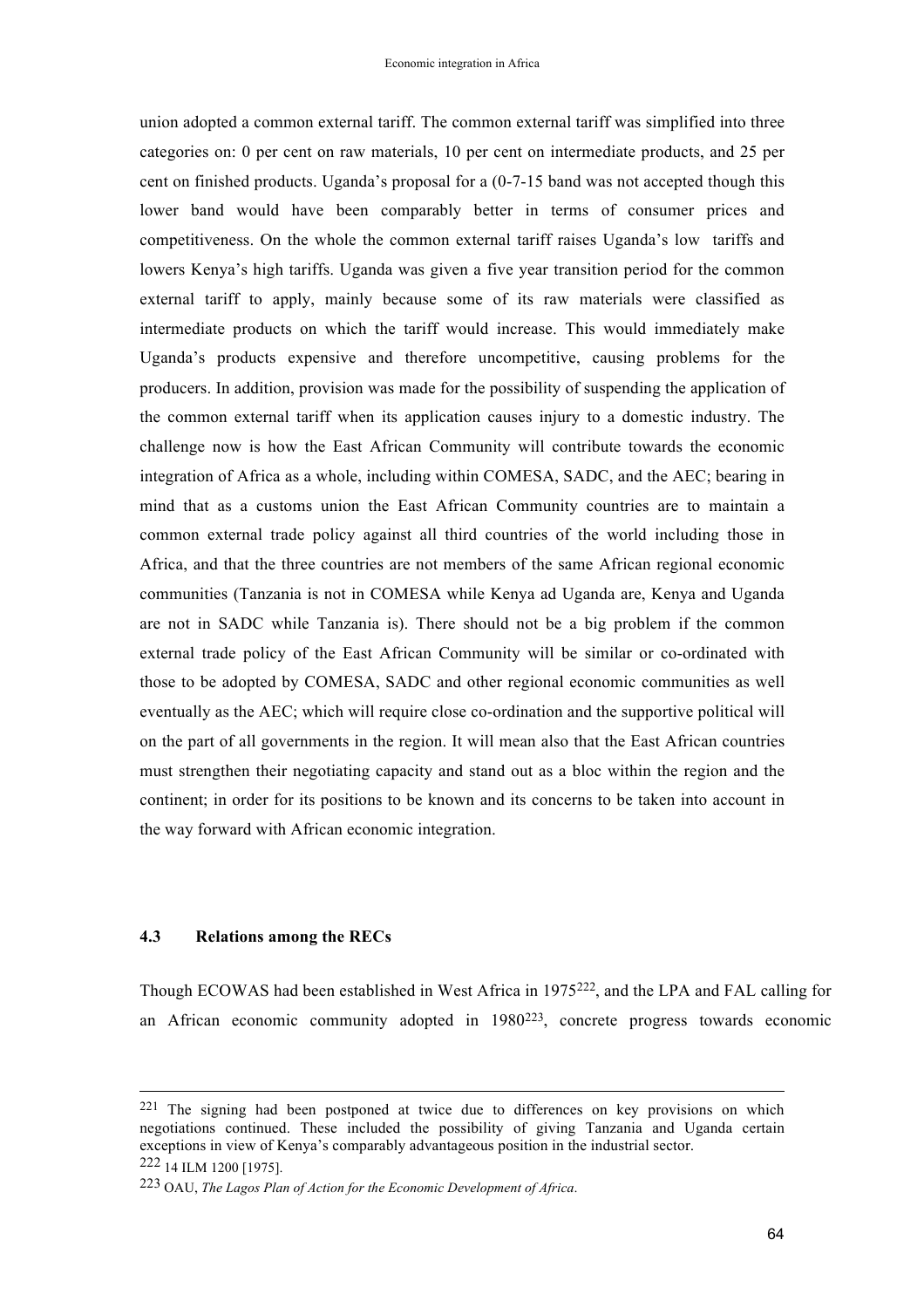union adopted a common external tariff. The common external tariff was simplified into three categories on: 0 per cent on raw materials, 10 per cent on intermediate products, and 25 per cent on finished products. Uganda's proposal for a (0-7-15 band was not accepted though this lower band would have been comparably better in terms of consumer prices and competitiveness. On the whole the common external tariff raises Uganda's low tariffs and lowers Kenya's high tariffs. Uganda was given a five year transition period for the common external tariff to apply, mainly because some of its raw materials were classified as intermediate products on which the tariff would increase. This would immediately make Uganda's products expensive and therefore uncompetitive, causing problems for the producers. In addition, provision was made for the possibility of suspending the application of the common external tariff when its application causes injury to a domestic industry. The challenge now is how the East African Community will contribute towards the economic integration of Africa as a whole, including within COMESA, SADC, and the AEC; bearing in mind that as a customs union the East African Community countries are to maintain a common external trade policy against all third countries of the world including those in Africa, and that the three countries are not members of the same African regional economic communities (Tanzania is not in COMESA while Kenya ad Uganda are, Kenya and Uganda are not in SADC while Tanzania is). There should not be a big problem if the common external trade policy of the East African Community will be similar or co-ordinated with those to be adopted by COMESA, SADC and other regional economic communities as well eventually as the AEC; which will require close co-ordination and the supportive political will on the part of all governments in the region. It will mean also that the East African countries must strengthen their negotiating capacity and stand out as a bloc within the region and the continent; in order for its positions to be known and its concerns to be taken into account in the way forward with African economic integration.

### **4.3 Relations among the RECs**

l

Though ECOWAS had been established in West Africa in 1975222, and the LPA and FAL calling for an African economic community adopted in 1980223, concrete progress towards economic

 $221$  The signing had been postponed at twice due to differences on key provisions on which negotiations continued. These included the possibility of giving Tanzania and Uganda certain exceptions in view of Kenya's comparably advantageous position in the industrial sector. 222 14 ILM 1200 [1975].

<sup>223</sup> OAU, *The Lagos Plan of Action for the Economic Development of Africa*.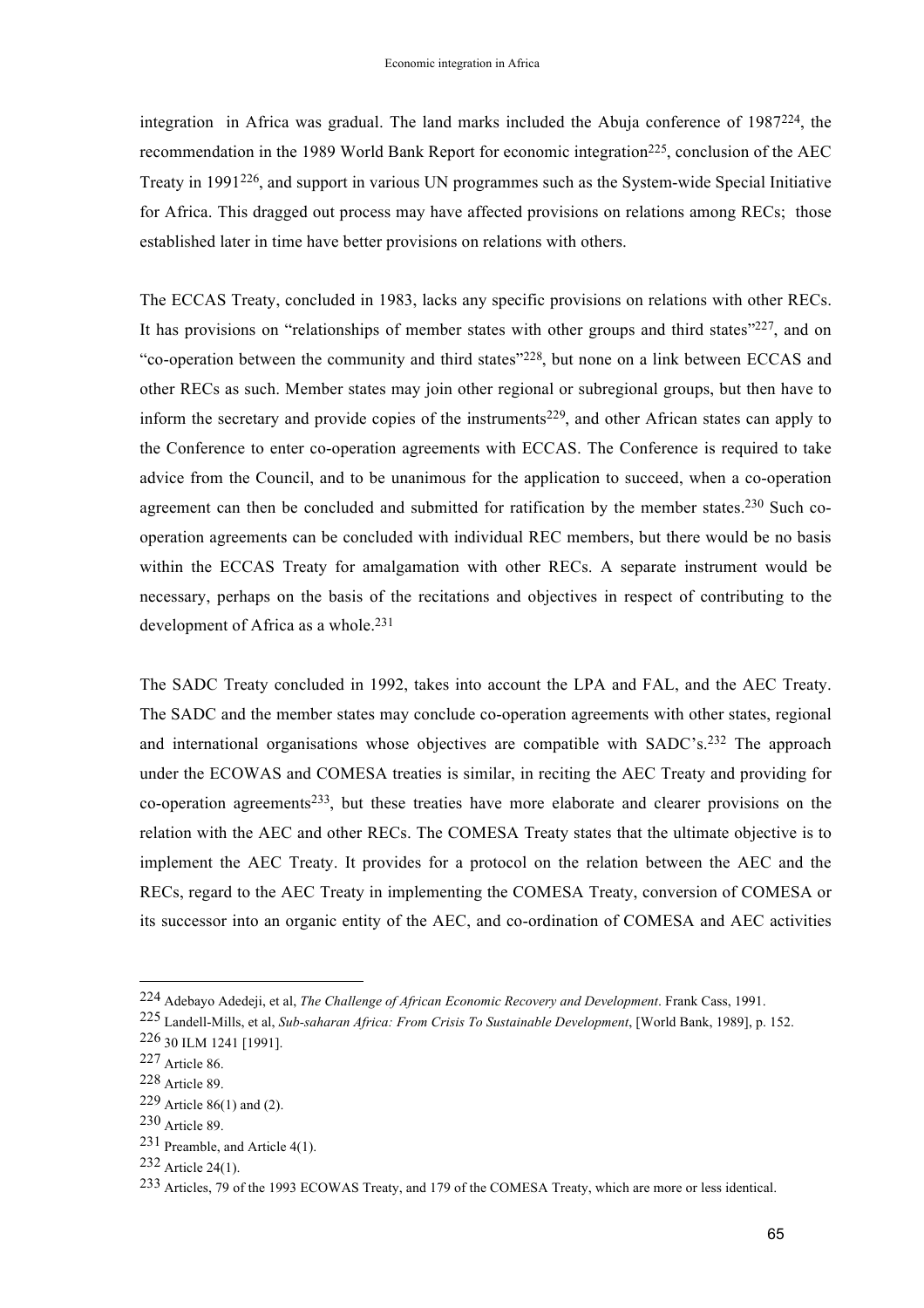integration in Africa was gradual. The land marks included the Abuja conference of 1987224, the recommendation in the 1989 World Bank Report for economic integration<sup>225</sup>, conclusion of the AEC Treaty in 1991226, and support in various UN programmes such as the System-wide Special Initiative for Africa. This dragged out process may have affected provisions on relations among RECs; those established later in time have better provisions on relations with others.

The ECCAS Treaty, concluded in 1983, lacks any specific provisions on relations with other RECs. It has provisions on "relationships of member states with other groups and third states"<sup>227</sup>, and on "co-operation between the community and third states"228, but none on a link between ECCAS and other RECs as such. Member states may join other regional or subregional groups, but then have to inform the secretary and provide copies of the instruments<sup>229</sup>, and other African states can apply to the Conference to enter co-operation agreements with ECCAS. The Conference is required to take advice from the Council, and to be unanimous for the application to succeed, when a co-operation agreement can then be concluded and submitted for ratification by the member states.230 Such cooperation agreements can be concluded with individual REC members, but there would be no basis within the ECCAS Treaty for amalgamation with other RECs. A separate instrument would be necessary, perhaps on the basis of the recitations and objectives in respect of contributing to the development of Africa as a whole.231

The SADC Treaty concluded in 1992, takes into account the LPA and FAL, and the AEC Treaty. The SADC and the member states may conclude co-operation agreements with other states, regional and international organisations whose objectives are compatible with SADC's.<sup>232</sup> The approach under the ECOWAS and COMESA treaties is similar, in reciting the AEC Treaty and providing for co-operation agreements233, but these treaties have more elaborate and clearer provisions on the relation with the AEC and other RECs. The COMESA Treaty states that the ultimate objective is to implement the AEC Treaty. It provides for a protocol on the relation between the AEC and the RECs, regard to the AEC Treaty in implementing the COMESA Treaty, conversion of COMESA or its successor into an organic entity of the AEC, and co-ordination of COMESA and AEC activities

<sup>224</sup> Adebayo Adedeji, et al, *The Challenge of African Economic Recovery and Development*. Frank Cass, 1991.

<sup>225</sup> Landell-Mills, et al, *Sub-saharan Africa: From Crisis To Sustainable Development*, [World Bank, 1989], p. 152. 226 30 ILM 1241 [1991].

<sup>227</sup> Article 86.

<sup>228</sup> Article 89.

<sup>229</sup> Article 86(1) and (2).

<sup>230</sup> Article 89.

<sup>231</sup> Preamble, and Article 4(1).

<sup>232</sup> Article 24(1).

<sup>233</sup> Articles, 79 of the 1993 ECOWAS Treaty, and 179 of the COMESA Treaty, which are more or less identical.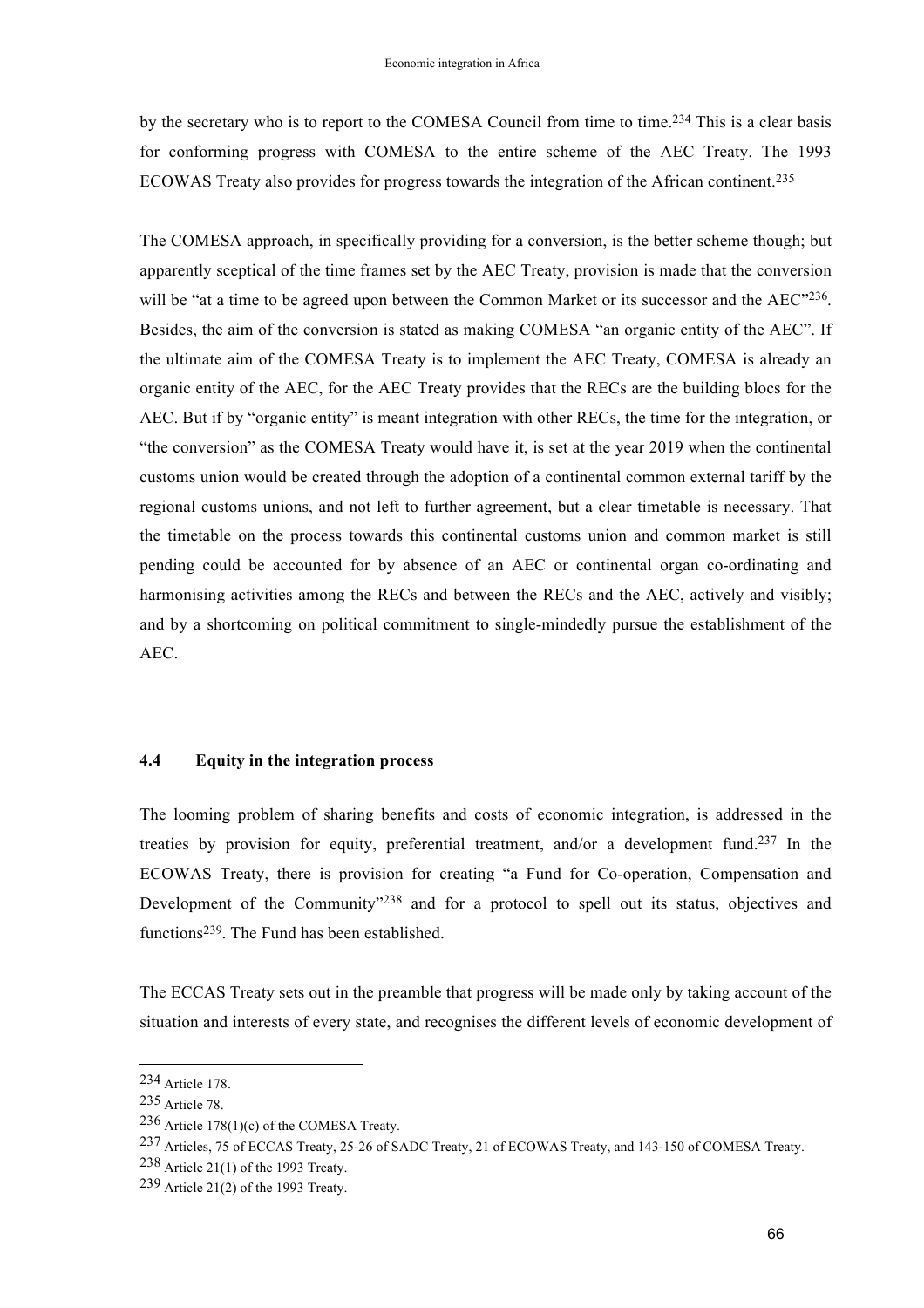by the secretary who is to report to the COMESA Council from time to time.234 This is a clear basis for conforming progress with COMESA to the entire scheme of the AEC Treaty. The 1993 ECOWAS Treaty also provides for progress towards the integration of the African continent.235

The COMESA approach, in specifically providing for a conversion, is the better scheme though; but apparently sceptical of the time frames set by the AEC Treaty, provision is made that the conversion will be "at a time to be agreed upon between the Common Market or its successor and the AEC"236. Besides, the aim of the conversion is stated as making COMESA "an organic entity of the AEC". If the ultimate aim of the COMESA Treaty is to implement the AEC Treaty, COMESA is already an organic entity of the AEC, for the AEC Treaty provides that the RECs are the building blocs for the AEC. But if by "organic entity" is meant integration with other RECs, the time for the integration, or "the conversion" as the COMESA Treaty would have it, is set at the year 2019 when the continental customs union would be created through the adoption of a continental common external tariff by the regional customs unions, and not left to further agreement, but a clear timetable is necessary. That the timetable on the process towards this continental customs union and common market is still pending could be accounted for by absence of an AEC or continental organ co-ordinating and harmonising activities among the RECs and between the RECs and the AEC, actively and visibly; and by a shortcoming on political commitment to single-mindedly pursue the establishment of the AEC.

# **4.4 Equity in the integration process**

The looming problem of sharing benefits and costs of economic integration, is addressed in the treaties by provision for equity, preferential treatment, and/or a development fund.237 In the ECOWAS Treaty, there is provision for creating "a Fund for Co-operation, Compensation and Development of the Community<sup>"238</sup> and for a protocol to spell out its status, objectives and functions239. The Fund has been established.

The ECCAS Treaty sets out in the preamble that progress will be made only by taking account of the situation and interests of every state, and recognises the different levels of economic development of

<sup>234</sup> Article 178.

<sup>235</sup> Article 78.

<sup>236</sup> Article 178(1)(c) of the COMESA Treaty.

<sup>237</sup> Articles, 75 of ECCAS Treaty, 25-26 of SADC Treaty, 21 of ECOWAS Treaty, and 143-150 of COMESA Treaty.

<sup>238</sup> Article 21(1) of the 1993 Treaty.

<sup>239</sup> Article 21(2) of the 1993 Treaty.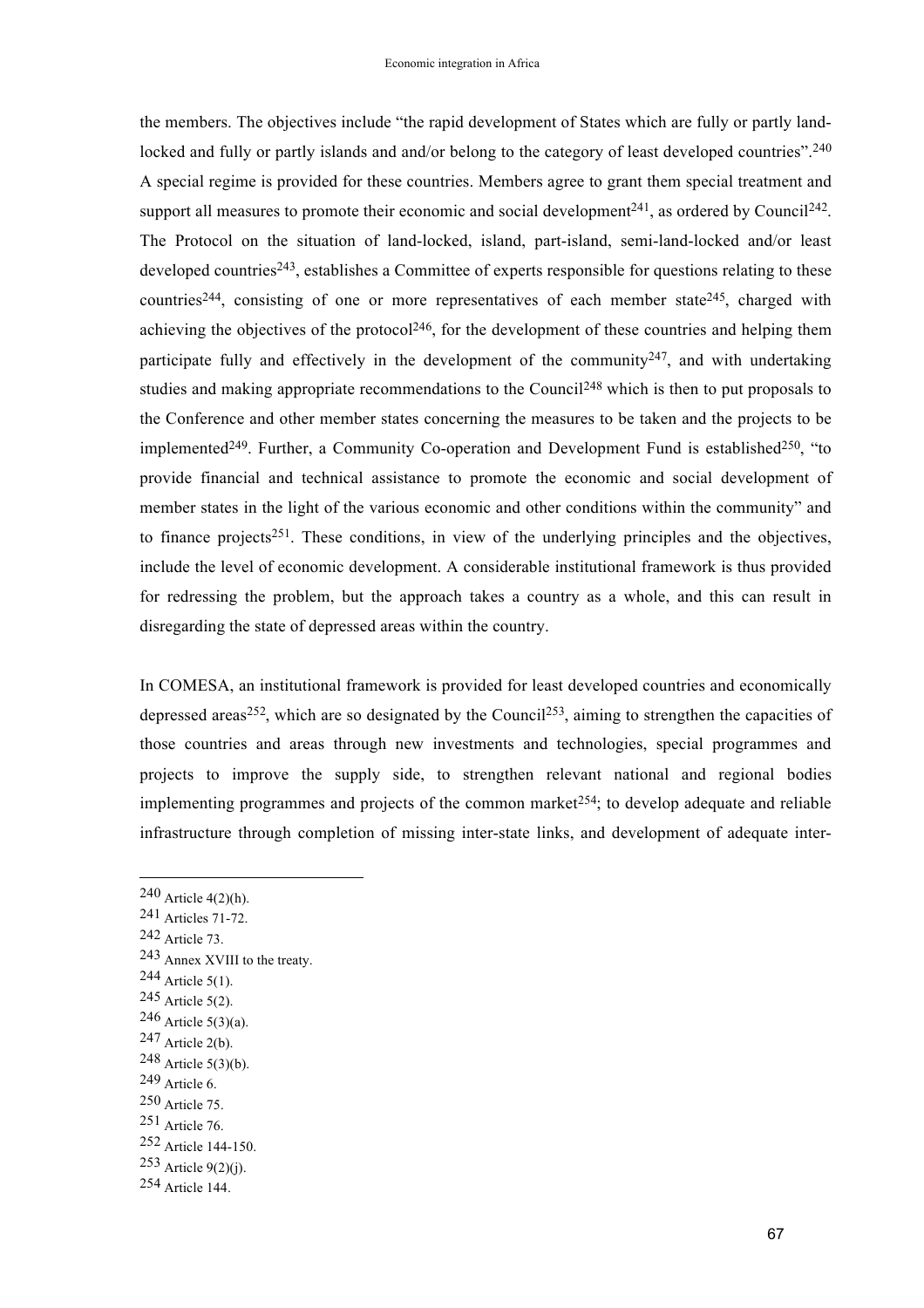the members. The objectives include "the rapid development of States which are fully or partly landlocked and fully or partly islands and and/or belong to the category of least developed countries".<sup>240</sup> A special regime is provided for these countries. Members agree to grant them special treatment and support all measures to promote their economic and social development<sup>241</sup>, as ordered by Council<sup>242</sup>. The Protocol on the situation of land-locked, island, part-island, semi-land-locked and/or least developed countries<sup>243</sup>, establishes a Committee of experts responsible for questions relating to these countries<sup>244</sup>, consisting of one or more representatives of each member state<sup>245</sup>, charged with achieving the objectives of the protocol<sup>246</sup>, for the development of these countries and helping them participate fully and effectively in the development of the community<sup>247</sup>, and with undertaking studies and making appropriate recommendations to the Council248 which is then to put proposals to the Conference and other member states concerning the measures to be taken and the projects to be implemented<sup>249</sup>. Further, a Community Co-operation and Development Fund is established<sup>250</sup>, "to provide financial and technical assistance to promote the economic and social development of member states in the light of the various economic and other conditions within the community" and to finance projects<sup>251</sup>. These conditions, in view of the underlying principles and the objectives, include the level of economic development. A considerable institutional framework is thus provided for redressing the problem, but the approach takes a country as a whole, and this can result in disregarding the state of depressed areas within the country.

In COMESA, an institutional framework is provided for least developed countries and economically depressed areas<sup>252</sup>, which are so designated by the Council<sup>253</sup>, aiming to strengthen the capacities of those countries and areas through new investments and technologies, special programmes and projects to improve the supply side, to strengthen relevant national and regional bodies implementing programmes and projects of the common market<sup>254</sup>; to develop adequate and reliable infrastructure through completion of missing inter-state links, and development of adequate inter-

242 Article 73.

l

- 243 Annex XVIII to the treaty.
- 244 Article 5(1).
- 245 Article 5(2).
- 246 Article 5(3)(a).
- 247 Article 2(b).
- 248 Article 5(3)(b).
- 249 Article 6.
- 250 Article 75.
- 251 Article 76.

254 Article 144.

<sup>240</sup> Article 4(2)(h).

<sup>241</sup> Articles 71-72.

<sup>252</sup> Article 144-150.

 $253$  Article 9(2)(j).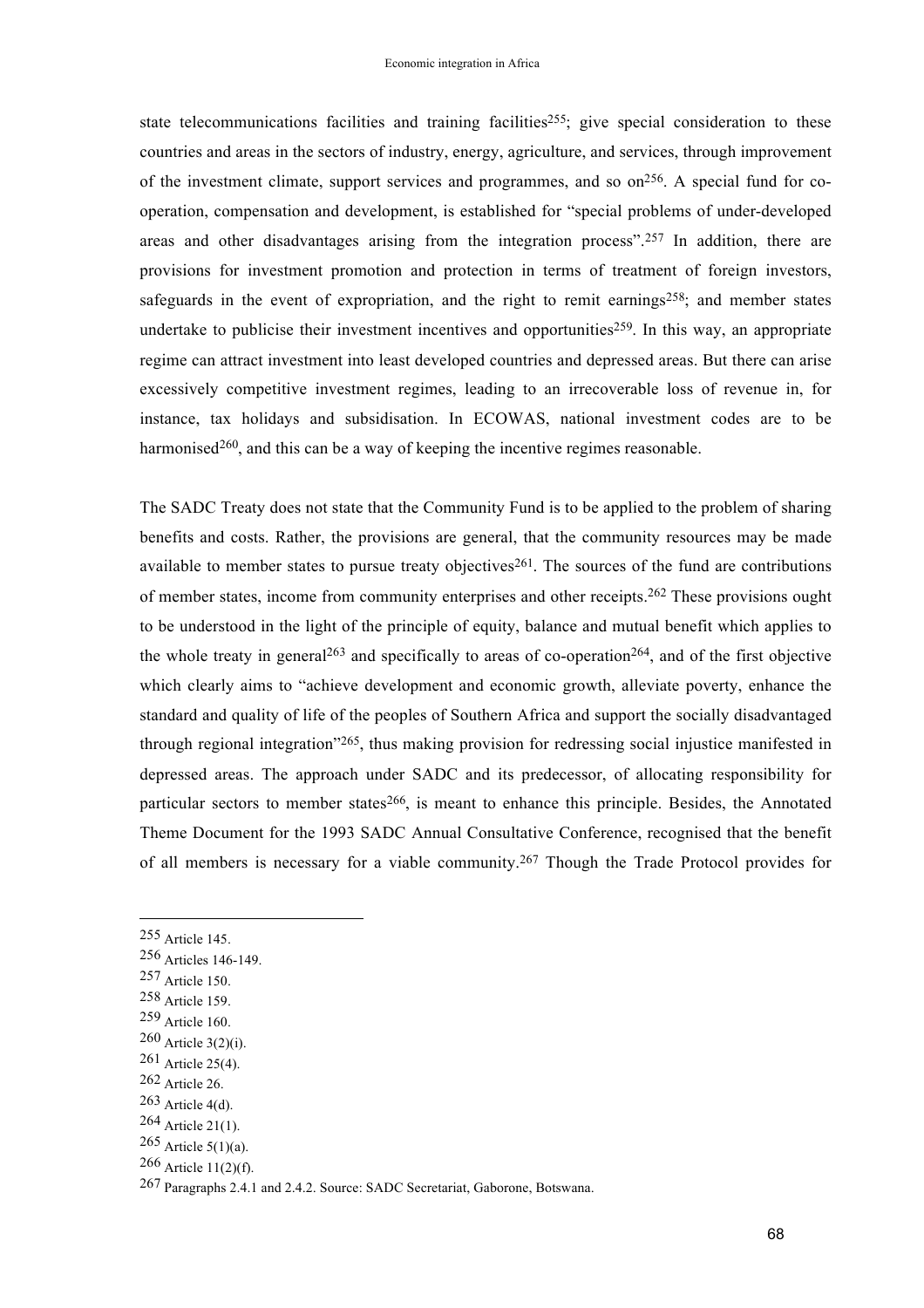state telecommunications facilities and training facilities<sup>255</sup>; give special consideration to these countries and areas in the sectors of industry, energy, agriculture, and services, through improvement of the investment climate, support services and programmes, and so  $\text{on}^{256}$ . A special fund for cooperation, compensation and development, is established for "special problems of under-developed areas and other disadvantages arising from the integration process".257 In addition, there are provisions for investment promotion and protection in terms of treatment of foreign investors, safeguards in the event of expropriation, and the right to remit earnings<sup>258</sup>; and member states undertake to publicise their investment incentives and opportunities<sup>259</sup>. In this way, an appropriate regime can attract investment into least developed countries and depressed areas. But there can arise excessively competitive investment regimes, leading to an irrecoverable loss of revenue in, for instance, tax holidays and subsidisation. In ECOWAS, national investment codes are to be harmonised<sup>260</sup>, and this can be a way of keeping the incentive regimes reasonable.

The SADC Treaty does not state that the Community Fund is to be applied to the problem of sharing benefits and costs. Rather, the provisions are general, that the community resources may be made available to member states to pursue treaty objectives<sup>261</sup>. The sources of the fund are contributions of member states, income from community enterprises and other receipts.262 These provisions ought to be understood in the light of the principle of equity, balance and mutual benefit which applies to the whole treaty in general<sup>263</sup> and specifically to areas of co-operation<sup>264</sup>, and of the first objective which clearly aims to "achieve development and economic growth, alleviate poverty, enhance the standard and quality of life of the peoples of Southern Africa and support the socially disadvantaged through regional integration"265, thus making provision for redressing social injustice manifested in depressed areas. The approach under SADC and its predecessor, of allocating responsibility for particular sectors to member states<sup>266</sup>, is meant to enhance this principle. Besides, the Annotated Theme Document for the 1993 SADC Annual Consultative Conference, recognised that the benefit of all members is necessary for a viable community.267 Though the Trade Protocol provides for

255 Article 145.

- 256 Articles 146-149.
- 257 Article 150.
- 258 Article 159.
- 259 Article 160.
- 260 Article 3(2)(i).
- 261 Article 25(4).
- 262 Article 26.
- $263$  Article 4(d).
- 264 Article 21(1).
- $265$  Article  $5(1)(a)$ .
- 266 Article 11(2)(f).

<sup>267</sup> Paragraphs 2.4.1 and 2.4.2. Source: SADC Secretariat, Gaborone, Botswana.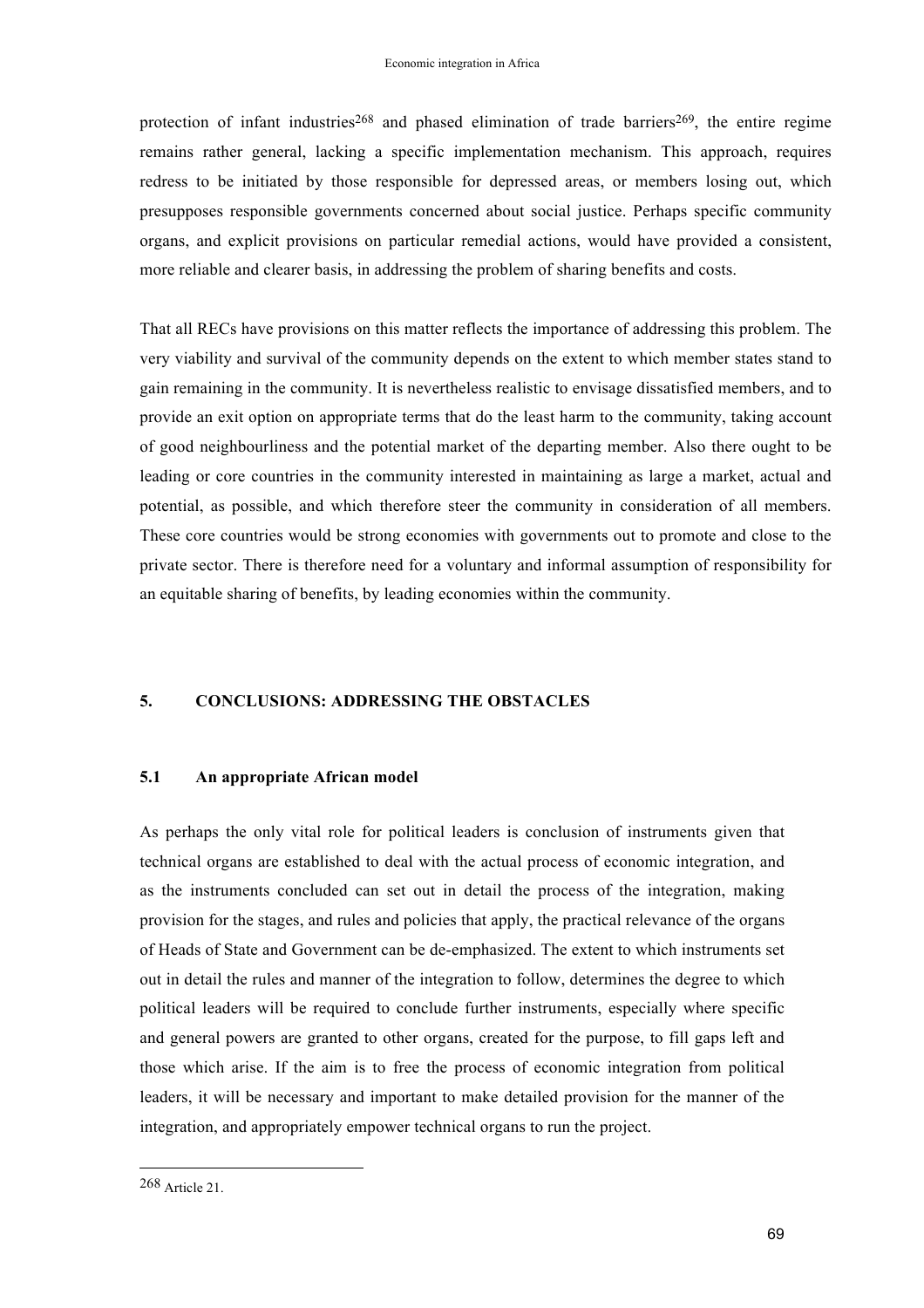protection of infant industries<sup>268</sup> and phased elimination of trade barriers<sup>269</sup>, the entire regime remains rather general, lacking a specific implementation mechanism. This approach, requires redress to be initiated by those responsible for depressed areas, or members losing out, which presupposes responsible governments concerned about social justice. Perhaps specific community organs, and explicit provisions on particular remedial actions, would have provided a consistent, more reliable and clearer basis, in addressing the problem of sharing benefits and costs.

That all RECs have provisions on this matter reflects the importance of addressing this problem. The very viability and survival of the community depends on the extent to which member states stand to gain remaining in the community. It is nevertheless realistic to envisage dissatisfied members, and to provide an exit option on appropriate terms that do the least harm to the community, taking account of good neighbourliness and the potential market of the departing member. Also there ought to be leading or core countries in the community interested in maintaining as large a market, actual and potential, as possible, and which therefore steer the community in consideration of all members. These core countries would be strong economies with governments out to promote and close to the private sector. There is therefore need for a voluntary and informal assumption of responsibility for an equitable sharing of benefits, by leading economies within the community.

#### **5. CONCLUSIONS: ADDRESSING THE OBSTACLES**

## **5.1 An appropriate African model**

As perhaps the only vital role for political leaders is conclusion of instruments given that technical organs are established to deal with the actual process of economic integration, and as the instruments concluded can set out in detail the process of the integration, making provision for the stages, and rules and policies that apply, the practical relevance of the organs of Heads of State and Government can be de-emphasized. The extent to which instruments set out in detail the rules and manner of the integration to follow, determines the degree to which political leaders will be required to conclude further instruments, especially where specific and general powers are granted to other organs, created for the purpose, to fill gaps left and those which arise. If the aim is to free the process of economic integration from political leaders, it will be necessary and important to make detailed provision for the manner of the integration, and appropriately empower technical organs to run the project.

<sup>268</sup> Article 21.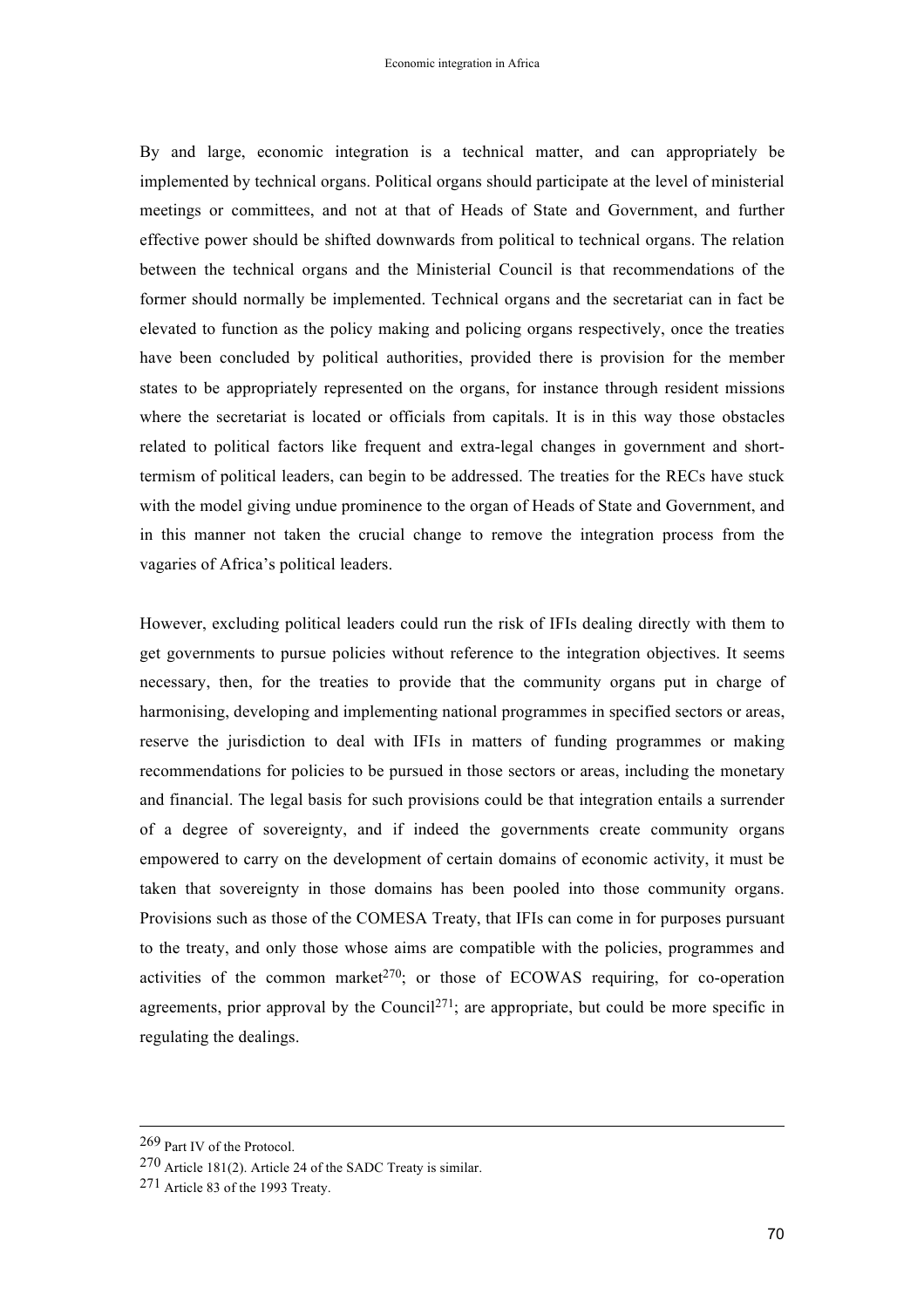By and large, economic integration is a technical matter, and can appropriately be implemented by technical organs. Political organs should participate at the level of ministerial meetings or committees, and not at that of Heads of State and Government, and further effective power should be shifted downwards from political to technical organs. The relation between the technical organs and the Ministerial Council is that recommendations of the former should normally be implemented. Technical organs and the secretariat can in fact be elevated to function as the policy making and policing organs respectively, once the treaties have been concluded by political authorities, provided there is provision for the member states to be appropriately represented on the organs, for instance through resident missions where the secretariat is located or officials from capitals. It is in this way those obstacles related to political factors like frequent and extra-legal changes in government and shorttermism of political leaders, can begin to be addressed. The treaties for the RECs have stuck with the model giving undue prominence to the organ of Heads of State and Government, and in this manner not taken the crucial change to remove the integration process from the vagaries of Africa's political leaders.

However, excluding political leaders could run the risk of IFIs dealing directly with them to get governments to pursue policies without reference to the integration objectives. It seems necessary, then, for the treaties to provide that the community organs put in charge of harmonising, developing and implementing national programmes in specified sectors or areas, reserve the jurisdiction to deal with IFIs in matters of funding programmes or making recommendations for policies to be pursued in those sectors or areas, including the monetary and financial. The legal basis for such provisions could be that integration entails a surrender of a degree of sovereignty, and if indeed the governments create community organs empowered to carry on the development of certain domains of economic activity, it must be taken that sovereignty in those domains has been pooled into those community organs. Provisions such as those of the COMESA Treaty, that IFIs can come in for purposes pursuant to the treaty, and only those whose aims are compatible with the policies, programmes and activities of the common market<sup> $270$ </sup>; or those of ECOWAS requiring, for co-operation agreements, prior approval by the Council<sup>271</sup>; are appropriate, but could be more specific in regulating the dealings.

<sup>269</sup> Part IV of the Protocol.

<sup>270</sup> Article 181(2). Article 24 of the SADC Treaty is similar.

<sup>271</sup> Article 83 of the 1993 Treaty.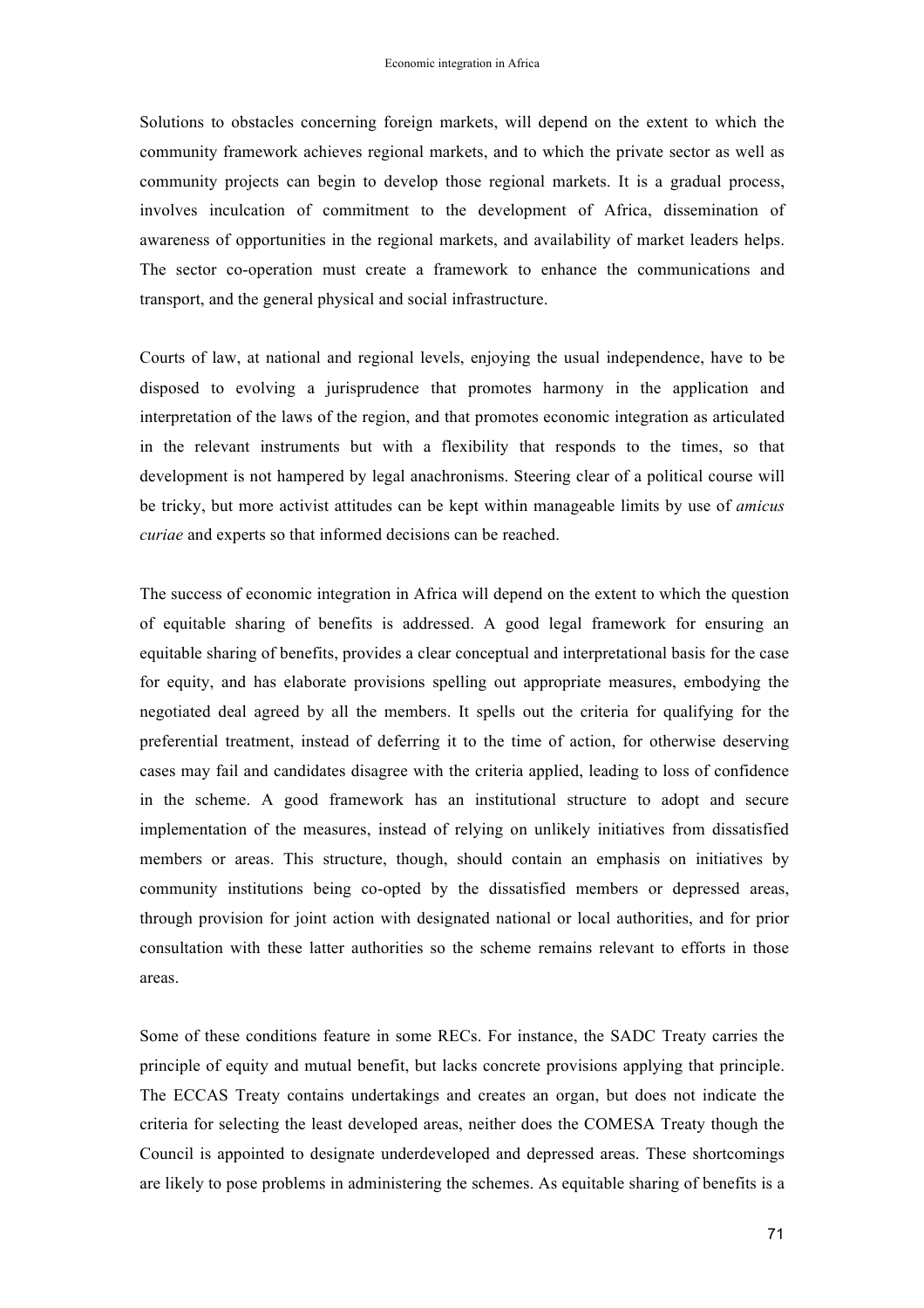Solutions to obstacles concerning foreign markets, will depend on the extent to which the community framework achieves regional markets, and to which the private sector as well as community projects can begin to develop those regional markets. It is a gradual process, involves inculcation of commitment to the development of Africa, dissemination of awareness of opportunities in the regional markets, and availability of market leaders helps. The sector co-operation must create a framework to enhance the communications and transport, and the general physical and social infrastructure.

Courts of law, at national and regional levels, enjoying the usual independence, have to be disposed to evolving a jurisprudence that promotes harmony in the application and interpretation of the laws of the region, and that promotes economic integration as articulated in the relevant instruments but with a flexibility that responds to the times, so that development is not hampered by legal anachronisms. Steering clear of a political course will be tricky, but more activist attitudes can be kept within manageable limits by use of *amicus curiae* and experts so that informed decisions can be reached.

The success of economic integration in Africa will depend on the extent to which the question of equitable sharing of benefits is addressed. A good legal framework for ensuring an equitable sharing of benefits, provides a clear conceptual and interpretational basis for the case for equity, and has elaborate provisions spelling out appropriate measures, embodying the negotiated deal agreed by all the members. It spells out the criteria for qualifying for the preferential treatment, instead of deferring it to the time of action, for otherwise deserving cases may fail and candidates disagree with the criteria applied, leading to loss of confidence in the scheme. A good framework has an institutional structure to adopt and secure implementation of the measures, instead of relying on unlikely initiatives from dissatisfied members or areas. This structure, though, should contain an emphasis on initiatives by community institutions being co-opted by the dissatisfied members or depressed areas, through provision for joint action with designated national or local authorities, and for prior consultation with these latter authorities so the scheme remains relevant to efforts in those areas.

Some of these conditions feature in some RECs. For instance, the SADC Treaty carries the principle of equity and mutual benefit, but lacks concrete provisions applying that principle. The ECCAS Treaty contains undertakings and creates an organ, but does not indicate the criteria for selecting the least developed areas, neither does the COMESA Treaty though the Council is appointed to designate underdeveloped and depressed areas. These shortcomings are likely to pose problems in administering the schemes. As equitable sharing of benefits is a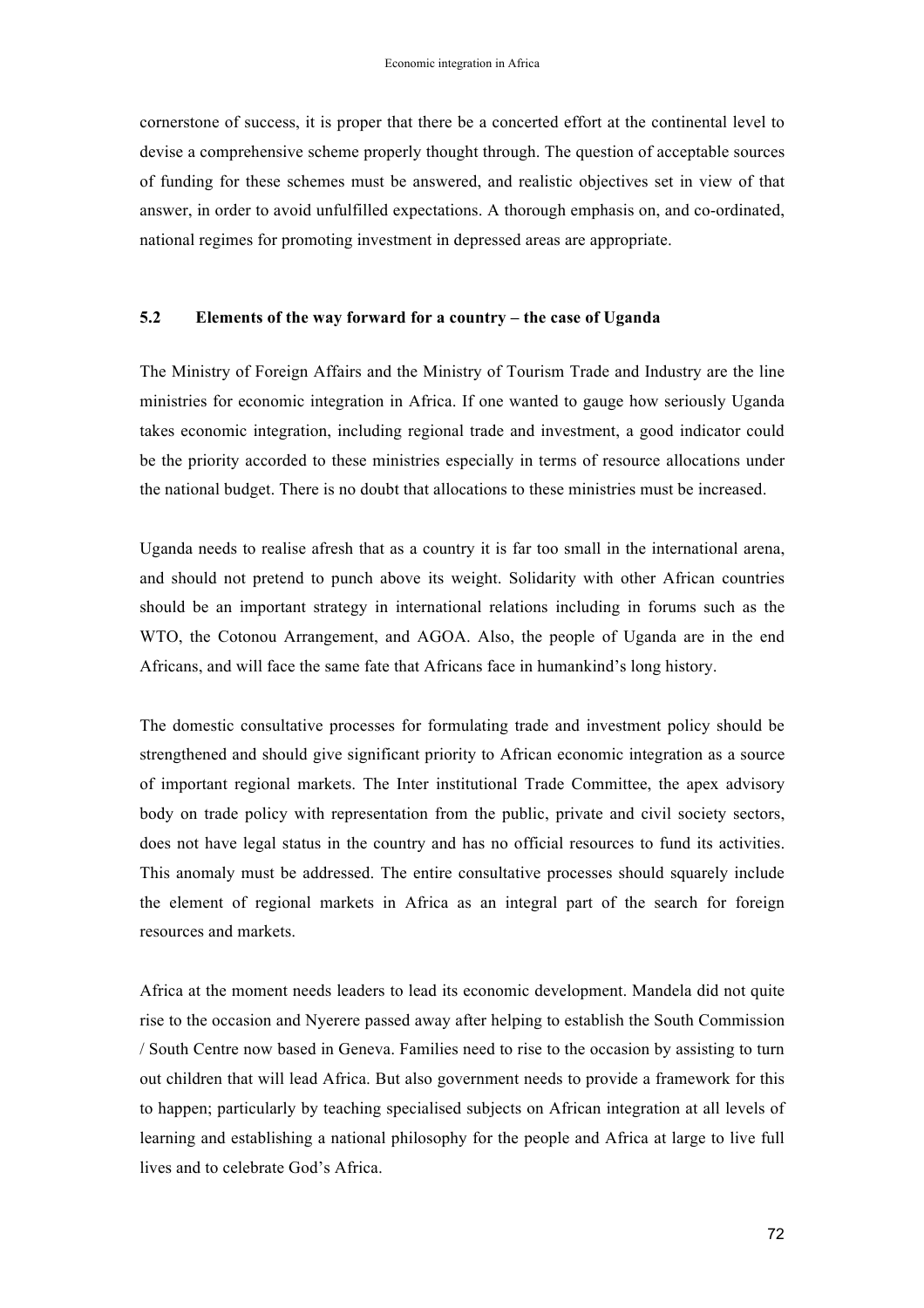cornerstone of success, it is proper that there be a concerted effort at the continental level to devise a comprehensive scheme properly thought through. The question of acceptable sources of funding for these schemes must be answered, and realistic objectives set in view of that answer, in order to avoid unfulfilled expectations. A thorough emphasis on, and co-ordinated, national regimes for promoting investment in depressed areas are appropriate.

## **5.2 Elements of the way forward for a country – the case of Uganda**

The Ministry of Foreign Affairs and the Ministry of Tourism Trade and Industry are the line ministries for economic integration in Africa. If one wanted to gauge how seriously Uganda takes economic integration, including regional trade and investment, a good indicator could be the priority accorded to these ministries especially in terms of resource allocations under the national budget. There is no doubt that allocations to these ministries must be increased.

Uganda needs to realise afresh that as a country it is far too small in the international arena, and should not pretend to punch above its weight. Solidarity with other African countries should be an important strategy in international relations including in forums such as the WTO, the Cotonou Arrangement, and AGOA. Also, the people of Uganda are in the end Africans, and will face the same fate that Africans face in humankind's long history.

The domestic consultative processes for formulating trade and investment policy should be strengthened and should give significant priority to African economic integration as a source of important regional markets. The Inter institutional Trade Committee, the apex advisory body on trade policy with representation from the public, private and civil society sectors, does not have legal status in the country and has no official resources to fund its activities. This anomaly must be addressed. The entire consultative processes should squarely include the element of regional markets in Africa as an integral part of the search for foreign resources and markets.

Africa at the moment needs leaders to lead its economic development. Mandela did not quite rise to the occasion and Nyerere passed away after helping to establish the South Commission / South Centre now based in Geneva. Families need to rise to the occasion by assisting to turn out children that will lead Africa. But also government needs to provide a framework for this to happen; particularly by teaching specialised subjects on African integration at all levels of learning and establishing a national philosophy for the people and Africa at large to live full lives and to celebrate God's Africa.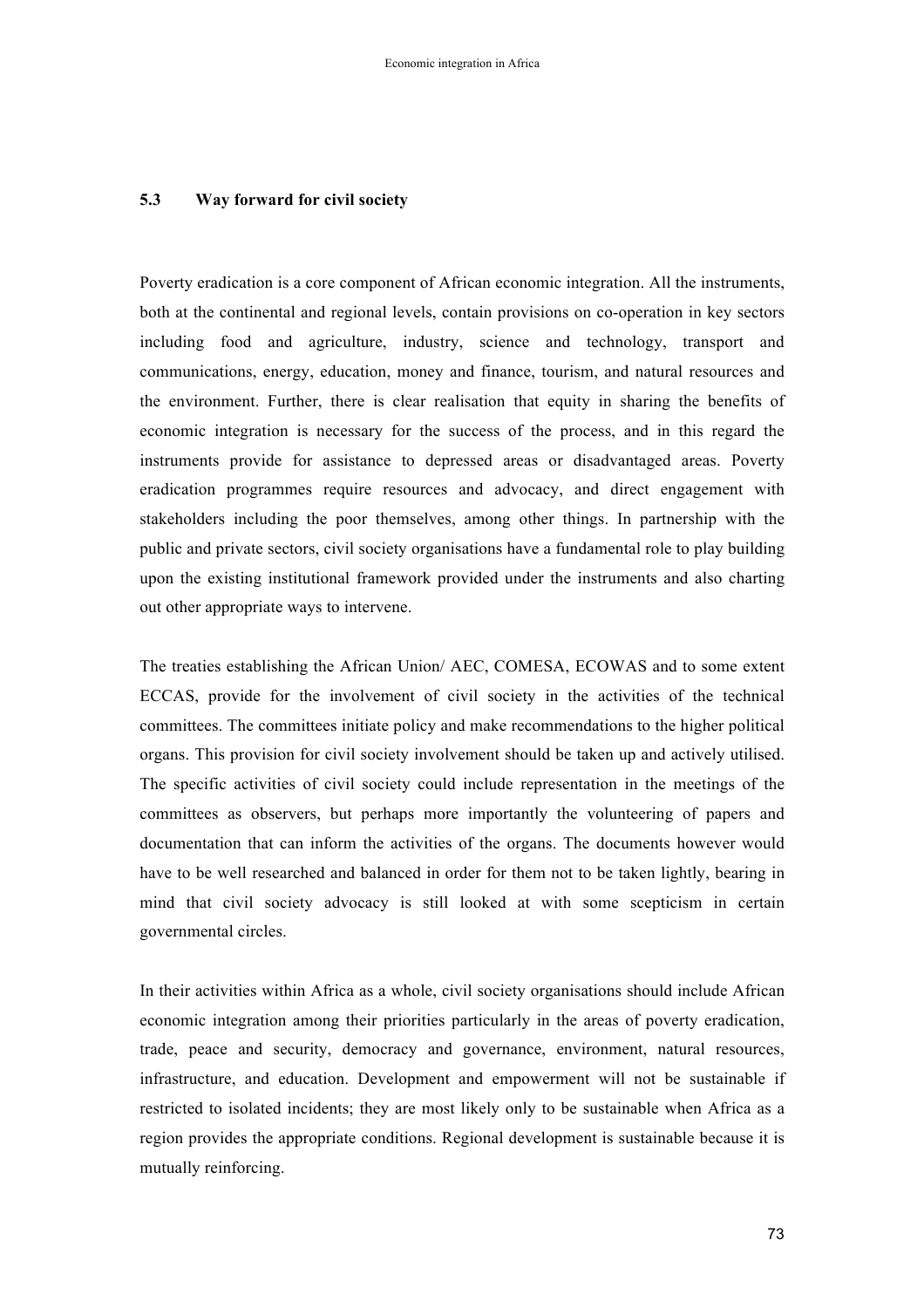## **5.3 Way forward for civil society**

Poverty eradication is a core component of African economic integration. All the instruments, both at the continental and regional levels, contain provisions on co-operation in key sectors including food and agriculture, industry, science and technology, transport and communications, energy, education, money and finance, tourism, and natural resources and the environment. Further, there is clear realisation that equity in sharing the benefits of economic integration is necessary for the success of the process, and in this regard the instruments provide for assistance to depressed areas or disadvantaged areas. Poverty eradication programmes require resources and advocacy, and direct engagement with stakeholders including the poor themselves, among other things. In partnership with the public and private sectors, civil society organisations have a fundamental role to play building upon the existing institutional framework provided under the instruments and also charting out other appropriate ways to intervene.

The treaties establishing the African Union/ AEC, COMESA, ECOWAS and to some extent ECCAS, provide for the involvement of civil society in the activities of the technical committees. The committees initiate policy and make recommendations to the higher political organs. This provision for civil society involvement should be taken up and actively utilised. The specific activities of civil society could include representation in the meetings of the committees as observers, but perhaps more importantly the volunteering of papers and documentation that can inform the activities of the organs. The documents however would have to be well researched and balanced in order for them not to be taken lightly, bearing in mind that civil society advocacy is still looked at with some scepticism in certain governmental circles.

In their activities within Africa as a whole, civil society organisations should include African economic integration among their priorities particularly in the areas of poverty eradication, trade, peace and security, democracy and governance, environment, natural resources, infrastructure, and education. Development and empowerment will not be sustainable if restricted to isolated incidents; they are most likely only to be sustainable when Africa as a region provides the appropriate conditions. Regional development is sustainable because it is mutually reinforcing.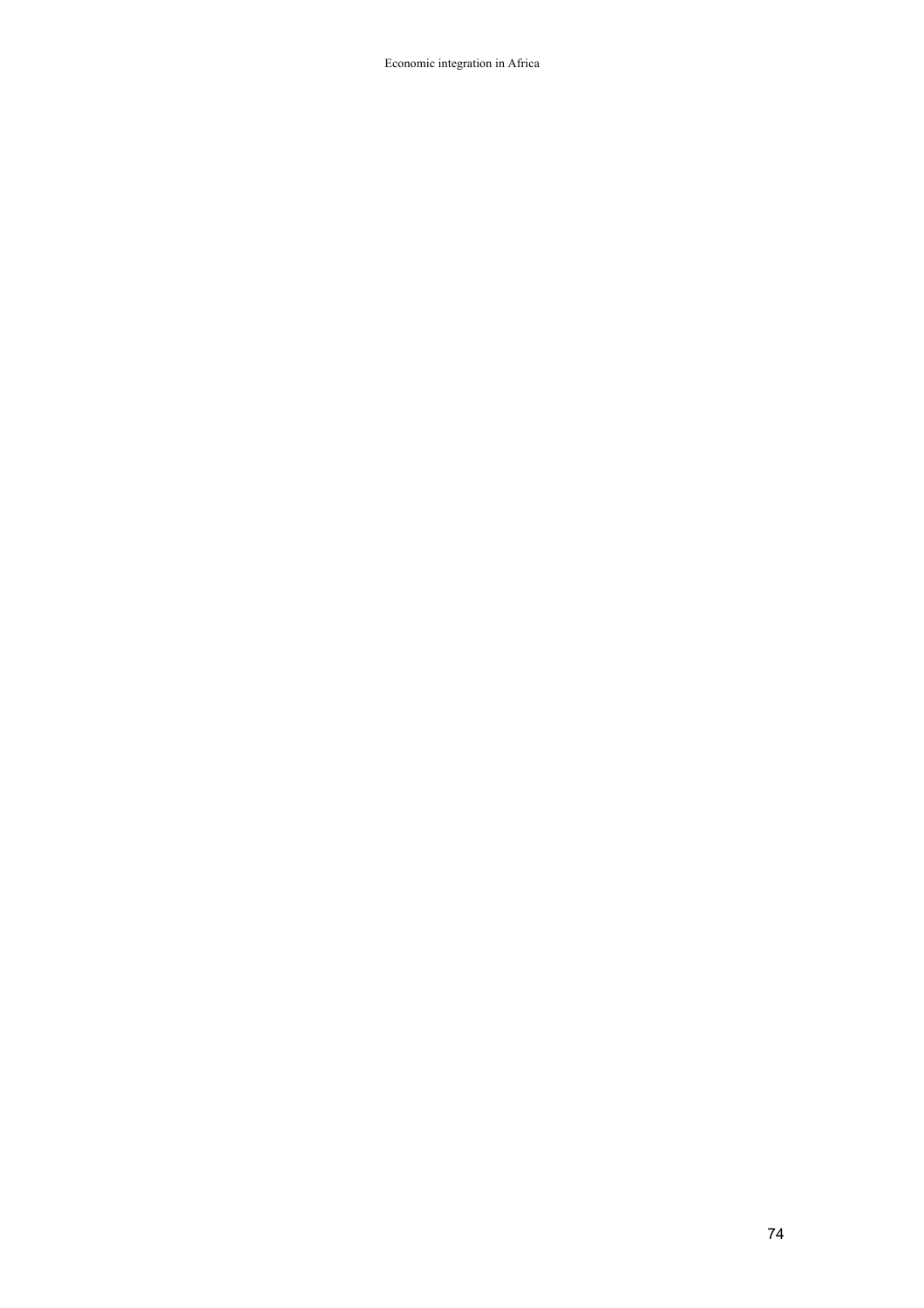Economic integration in Africa